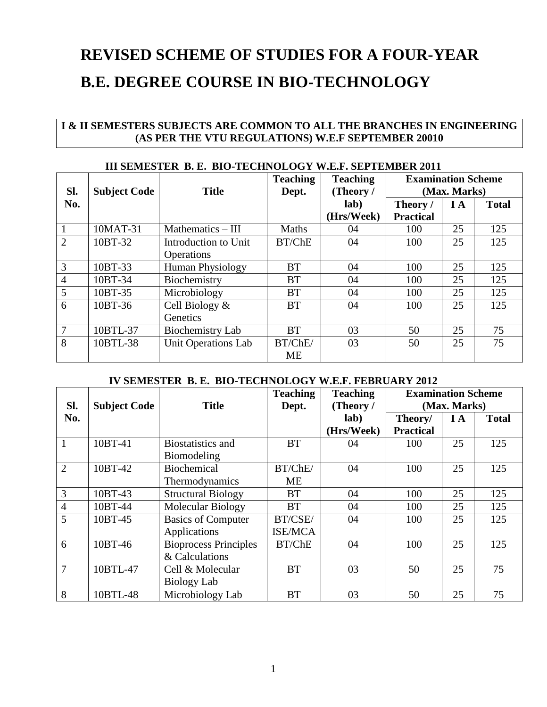## **REVISED SCHEME OF STUDIES FOR A FOUR-YEAR B.E. DEGREE COURSE IN BIO-TECHNOLOGY**

## **I & II SEMESTERS SUBJECTS ARE COMMON TO ALL THE BRANCHES IN ENGINEERING (AS PER THE VTU REGULATIONS) W.E.F SEPTEMBER 20010**

|                | <b>III SEMESTER B. E. BIO-TECHNOLOGY W.E.F. SEPTEMBER 2011</b> |                                           |                          |                              |                                           |           |              |  |
|----------------|----------------------------------------------------------------|-------------------------------------------|--------------------------|------------------------------|-------------------------------------------|-----------|--------------|--|
| SI.            | <b>Subject Code</b>                                            | <b>Title</b>                              | <b>Teaching</b><br>Dept. | <b>Teaching</b><br>(Theory / | <b>Examination Scheme</b><br>(Max. Marks) |           |              |  |
| No.            |                                                                |                                           |                          | lab)<br>(Hrs/Week)           | Theory /<br><b>Practical</b>              | <b>IA</b> | <b>Total</b> |  |
|                | 10MAT-31                                                       | Mathematics $-$ III                       | Maths                    | 04                           | 100                                       | 25        | 125          |  |
| $\overline{2}$ | 10BT-32                                                        | Introduction to Unit<br><b>Operations</b> | BT/ChE                   | 04                           | 100                                       | 25        | 125          |  |
| $\mathfrak{Z}$ | 10BT-33                                                        | <b>Human Physiology</b>                   | <b>BT</b>                | 04                           | 100                                       | 25        | 125          |  |
| $\overline{4}$ | 10BT-34                                                        | Biochemistry                              | <b>BT</b>                | 04                           | 100                                       | 25        | 125          |  |
| 5              | 10BT-35                                                        | Microbiology                              | <b>BT</b>                | 04                           | 100                                       | 25        | 125          |  |
| 6              | 10BT-36                                                        | Cell Biology &<br>Genetics                | <b>BT</b>                | 04                           | 100                                       | 25        | 125          |  |
| 7              | 10BTL-37                                                       | Biochemistry Lab                          | <b>BT</b>                | 03                           | 50                                        | 25        | 75           |  |
| 8              | 10BTL-38                                                       | <b>Unit Operations Lab</b>                | BT/ChE/<br><b>ME</b>     | 03                           | 50                                        | 25        | 75           |  |

## **III SEMESTER B. E. BIO-TECHNOLOGY W.E.F. SEPTEMBER 2011**

#### **IV SEMESTER B. E. BIO-TECHNOLOGY W.E.F. FEBRUARY 2012**

| Sl.            | <b>Subject Code</b> | <b>Title</b>                                   | <b>Teaching</b><br>Dept.  | <b>Teaching</b><br>(Theory / | <b>Examination Scheme</b><br>(Max. Marks) |     |              |
|----------------|---------------------|------------------------------------------------|---------------------------|------------------------------|-------------------------------------------|-----|--------------|
| No.            |                     |                                                |                           | lab)<br>(Hrs/Week)           | Theory/<br><b>Practical</b>               | I A | <b>Total</b> |
| 1              | 10BT-41             | <b>Biostatistics and</b><br>Biomodeling        | <b>BT</b>                 | 04                           | 100                                       | 25  | 125          |
| $\overline{2}$ | 10BT-42             | Biochemical<br>Thermodynamics                  | BT/ChE/<br><b>ME</b>      | 04                           | 100                                       | 25  | 125          |
| 3              | 10BT-43             | <b>Structural Biology</b>                      | <b>BT</b>                 | 04                           | 100                                       | 25  | 125          |
| $\overline{4}$ | 10BT-44             | Molecular Biology                              | <b>BT</b>                 | 04                           | 100                                       | 25  | 125          |
| 5              | 10BT-45             | <b>Basics of Computer</b><br>Applications      | BT/CSE/<br><b>ISE/MCA</b> | 04                           | 100                                       | 25  | 125          |
| 6              | 10BT-46             | <b>Bioprocess Principles</b><br>& Calculations | BT/ChE                    | 04                           | 100                                       | 25  | 125          |
| 7              | 10BTL-47            | Cell & Molecular<br>Biology Lab                | <b>BT</b>                 | 03                           | 50                                        | 25  | 75           |
| 8              | 10BTL-48            | Microbiology Lab                               | <b>BT</b>                 | 03                           | 50                                        | 25  | 75           |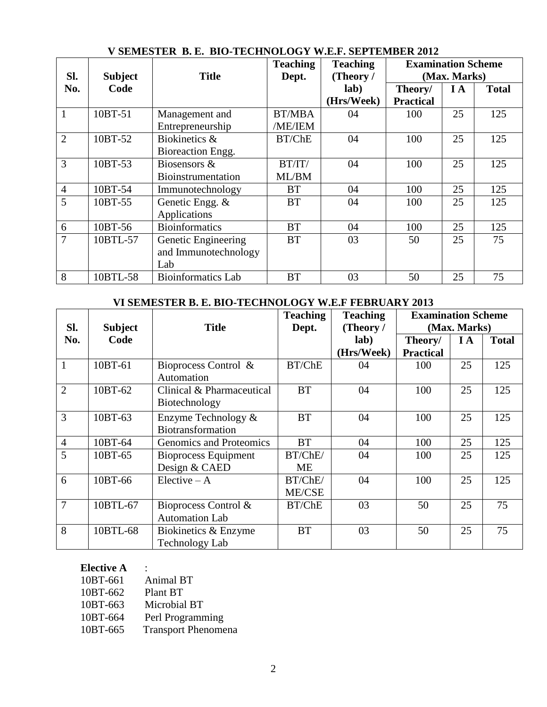|                |                |                           | *******         |                 |                           |              |              |
|----------------|----------------|---------------------------|-----------------|-----------------|---------------------------|--------------|--------------|
|                |                |                           | <b>Teaching</b> | <b>Teaching</b> | <b>Examination Scheme</b> |              |              |
| SI.            | <b>Subject</b> | <b>Title</b>              | Dept.           | (Theory /       |                           | (Max. Marks) |              |
| No.            | Code           |                           |                 | lab)            | Theory/                   | I A          | <b>Total</b> |
|                |                |                           |                 | (Hrs/Week)      | <b>Practical</b>          |              |              |
| $\mathbf{1}$   | 10BT-51        | Management and            | <b>BT/MBA</b>   | 04              | 100                       | 25           | 125          |
|                |                | Entrepreneurship          | /ME/IEM         |                 |                           |              |              |
| $\overline{2}$ | 10BT-52        | Biokinetics &             | BT/ChE          | 04              | 100                       | 25           | 125          |
|                |                | Bioreaction Engg.         |                 |                 |                           |              |              |
| 3              | 10BT-53        | Biosensors &              | BT/IT/          | 04              | 100                       | 25           | 125          |
|                |                | Bioinstrumentation        | ML/BM           |                 |                           |              |              |
| $\overline{4}$ | 10BT-54        | Immunotechnology          | <b>BT</b>       | 04              | 100                       | 25           | 125          |
| 5              | 10BT-55        | Genetic Engg. &           | <b>BT</b>       | 04              | 100                       | 25           | 125          |
|                |                | Applications              |                 |                 |                           |              |              |
| 6              | 10BT-56        | <b>Bioinformatics</b>     | <b>BT</b>       | 04              | 100                       | 25           | 125          |
| $\overline{7}$ | 10BTL-57       | Genetic Engineering       | <b>BT</b>       | 03              | 50                        | 25           | 75           |
|                |                | and Immunotechnology      |                 |                 |                           |              |              |
|                |                | Lab                       |                 |                 |                           |              |              |
| 8              | 10BTL-58       | <b>Bioinformatics Lab</b> | <b>BT</b>       | 03              | 50                        | 25           | 75           |

## **V SEMESTER B. E. BIO-TECHNOLOGY W.E.F. SEPTEMBER 2012**

## **VI SEMESTER B. E. BIO-TECHNOLOGY W.E.F FEBRUARY 2013**

|                |                |                                               | <b>Teaching</b>   | <b>Teaching</b> | <b>Examination Scheme</b> |              |              |
|----------------|----------------|-----------------------------------------------|-------------------|-----------------|---------------------------|--------------|--------------|
| Sl.            | <b>Subject</b> | <b>Title</b>                                  | Dept.             | (Theory /       |                           | (Max. Marks) |              |
| No.            | Code           |                                               |                   | lab)            | Theory/                   | IA           | <b>Total</b> |
|                |                |                                               |                   | (Hrs/Week)      | <b>Practical</b>          |              |              |
| 1              | 10BT-61        | Bioprocess Control &<br>Automation            | BT/ChE            | 04              | 100                       | 25           | 125          |
| $\overline{2}$ | 10BT-62        | Clinical & Pharmaceutical<br>Biotechnology    | <b>BT</b>         | 04              | 100                       | 25           | 125          |
| 3              | 10BT-63        | Enzyme Technology &<br>Biotransformation      | <b>BT</b>         | 04              | 100                       | 25           | 125          |
| $\overline{4}$ | 10BT-64        | Genomics and Proteomics                       | <b>BT</b>         | 04              | 100                       | 25           | 125          |
| 5              | 10BT-65        | <b>Bioprocess Equipment</b>                   | BT/ChE/           | 04              | 100                       | 25           | 125          |
|                |                | Design & CAED                                 | ME                |                 |                           |              |              |
| 6              | 10BT-66        | $Electric-A$                                  | BT/ChE/<br>ME/CSE | 04              | 100                       | 25           | 125          |
| $\overline{7}$ | 10BTL-67       | Bioprocess Control &<br><b>Automation Lab</b> | BT/ChE            | 03              | 50                        | 25           | 75           |
| 8              | 10BTL-68       | Biokinetics & Enzyme<br><b>Technology Lab</b> | <b>BT</b>         | 03              | 50                        | 25           | 75           |

## **Elective A** :

| 10BT-661 | <b>Animal BT</b>           |
|----------|----------------------------|
| 10BT-662 | Plant BT                   |
| 10BT-663 | Microbial BT               |
| 10BT-664 | Perl Programming           |
| 10BT-665 | <b>Transport Phenomena</b> |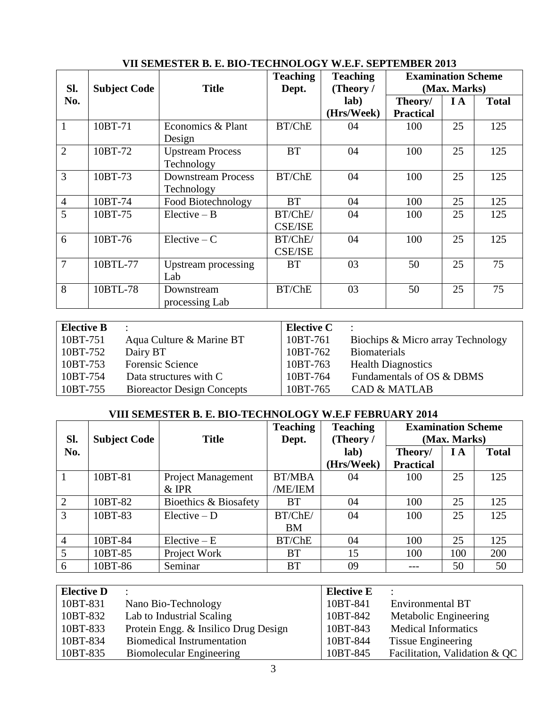|                |                     |                           | <b>Teaching</b> | <b>Teaching</b> | <b>Examination Scheme</b> |     |              |
|----------------|---------------------|---------------------------|-----------------|-----------------|---------------------------|-----|--------------|
| SI.            | <b>Subject Code</b> | <b>Title</b>              | Dept.           | (Theory /       | (Max. Marks)              |     |              |
| No.            |                     |                           |                 | lab)            | Theory/                   | I A | <b>Total</b> |
|                |                     |                           |                 | (Hrs/Week)      | <b>Practical</b>          |     |              |
| 1              | 10BT-71             | Economics & Plant         | BT/ChE          | 04              | 100                       | 25  | 125          |
|                |                     | Design                    |                 |                 |                           |     |              |
| $\overline{2}$ | 10BT-72             | <b>Upstream Process</b>   | <b>BT</b>       | 04              | 100                       | 25  | 125          |
|                |                     | Technology                |                 |                 |                           |     |              |
| 3              | 10BT-73             | <b>Downstream Process</b> | BT/ChE          | 04              | 100                       | 25  | 125          |
|                |                     | Technology                |                 |                 |                           |     |              |
| $\overline{4}$ | 10BT-74             | Food Biotechnology        | <b>BT</b>       | 04              | 100                       | 25  | 125          |
| 5              | 10BT-75             | $Electric - B$            | BT/ChE/         | 04              | 100                       | 25  | 125          |
|                |                     |                           | <b>CSE/ISE</b>  |                 |                           |     |              |
| 6              | 10BT-76             | $Electric - C$            | BT/ChE/         | 04              | 100                       | 25  | 125          |
|                |                     |                           | <b>CSE/ISE</b>  |                 |                           |     |              |
| 7              | 10BTL-77            | Upstream processing       | <b>BT</b>       | 03              | 50                        | 25  | 75           |
|                |                     | Lab                       |                 |                 |                           |     |              |
| 8              | 10BTL-78            | Downstream                | BT/ChE          | 03              | 50                        | 25  | 75           |
|                |                     | processing Lab            |                 |                 |                           |     |              |

## **VII SEMESTER B. E. BIO-TECHNOLOGY W.E.F. SEPTEMBER 2013**

| <b>Elective B</b> | $\bullet$                         | <b>Elective C</b> |                                   |
|-------------------|-----------------------------------|-------------------|-----------------------------------|
| $ 10BT-751 $      | Aqua Culture & Marine BT          | 10BT-761          | Biochips & Micro array Technology |
| $ 10BT-752 $      | Dairy BT                          | 10BT-762          | <b>Biomaterials</b>               |
| $ 10BT-753 $      | Forensic Science                  | 10BT-763          | <b>Health Diagnostics</b>         |
| $10B$ T-754       | Data structures with C            | 10BT-764          | Fundamentals of OS & DBMS         |
| 10BT-755          | <b>Bioreactor Design Concepts</b> | 10BT-765          | <b>CAD &amp; MATLAB</b>           |

## **VIII SEMESTER B. E. BIO-TECHNOLOGY W.E.F FEBRUARY 2014**

| Sl.            | <b>Subject Code</b> | <b>Title</b>                     | <b>Teaching</b><br>Dept. | <b>Teaching</b><br>(Theory / | <b>Examination Scheme</b><br>(Max. Marks) |     |              |
|----------------|---------------------|----------------------------------|--------------------------|------------------------------|-------------------------------------------|-----|--------------|
| No.            |                     |                                  |                          | lab)<br>(Hrs/Week)           | Theory/<br><b>Practical</b>               | I A | <b>Total</b> |
|                | 10BT-81             | Project Management               | <b>BT/MBA</b>            | 04                           | 100                                       | 25  | 125          |
| $\overline{2}$ | 10BT-82             | $&$ IPR<br>Bioethics & Biosafety | /ME/IEM<br><b>BT</b>     | 04                           | 100                                       | 25  | 125          |
| 3              | 10BT-83             | $Electric - D$                   | BT/ChE/                  | 04                           | 100                                       | 25  | 125          |
|                |                     |                                  | <b>BM</b>                |                              |                                           |     |              |
| $\overline{4}$ | 10BT-84             | $Electric - E$                   | BT/ChE                   | 04                           | 100                                       | 25  | 125          |
| 5              | 10BT-85             | Project Work                     | <b>BT</b>                | 15                           | 100                                       | 100 | 200          |
| 6              | 10BT-86             | Seminar                          | <b>BT</b>                | 09                           |                                           | 50  | 50           |

| <b>Elective D</b> | $\bullet$                            | <b>Elective E</b> |                               |
|-------------------|--------------------------------------|-------------------|-------------------------------|
| 10BT-831          | Nano Bio-Technology                  | 10BT-841          | <b>Environmental BT</b>       |
| 10BT-832          | Lab to Industrial Scaling            | 10BT-842          | Metabolic Engineering         |
| 10BT-833          | Protein Engg. & Insilico Drug Design | 10BT-843          | <b>Medical Informatics</b>    |
| 10BT-834          | <b>Biomedical Instrumentation</b>    | 10BT-844          | Tissue Engineering            |
| 10BT-835          | <b>Biomolecular Engineering</b>      | 10BT-845          | Facilitation, Validation & QC |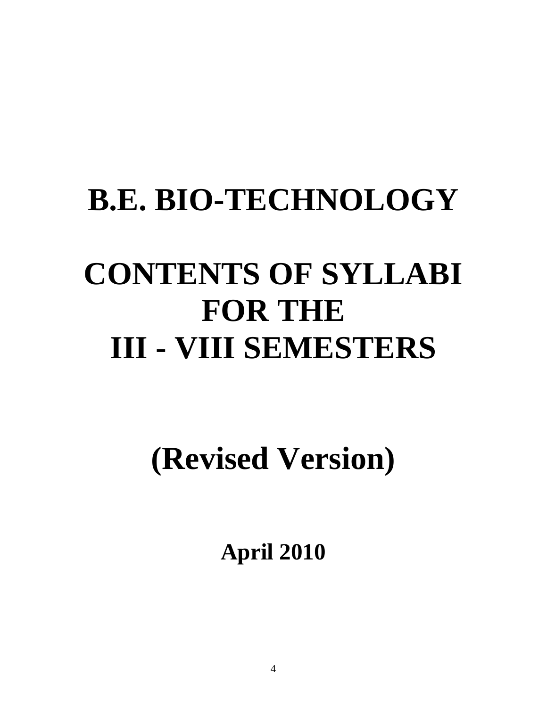## **B.E. BIO-TECHNOLOGY**

# **CONTENTS OF SYLLABI FOR THE III - VIII SEMESTERS**

## **(Revised Version)**

**April 2010**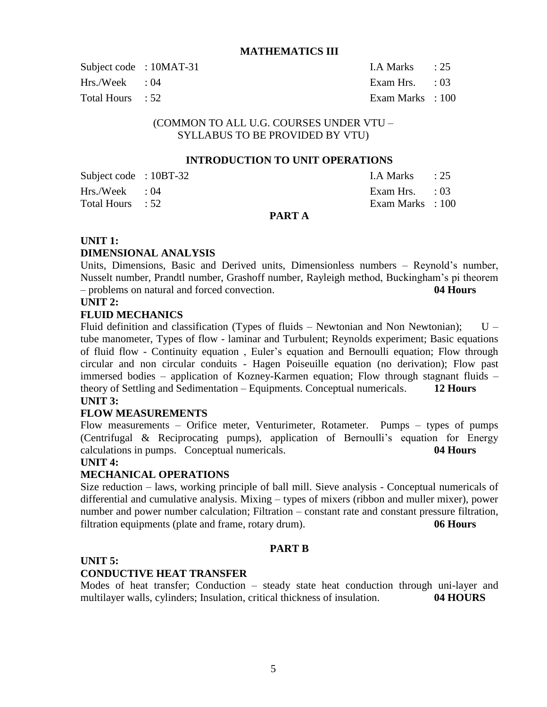#### **MATHEMATICS III**

| Subject code : 10MAT-31 | LA Marks : 25             |  |
|-------------------------|---------------------------|--|
| $Hrs./Week$ : 04        | Exam Hrs. $\therefore$ 03 |  |
| Total Hours : 52        | Exam Marks : 100          |  |

## (COMMON TO ALL U.G. COURSES UNDER VTU – SYLLABUS TO BE PROVIDED BY VTU)

#### **INTRODUCTION TO UNIT OPERATIONS**

| Subject code : 10BT-32 |        | LA Marks $\qquad$ : 25 |  |
|------------------------|--------|------------------------|--|
| $Hrs./Week$ : 04       |        | Exam Hrs. : 03         |  |
| Total Hours : 52       |        | Exam Marks : 100       |  |
|                        | PART A |                        |  |

#### **UNIT 1:**

#### **DIMENSIONAL ANALYSIS**

Units, Dimensions, Basic and Derived units, Dimensionless numbers – Reynold's number, Nusselt number, Prandtl number, Grashoff number, Rayleigh method, Buckingham's pi theorem – problems on natural and forced convection. **04 Hours**

#### **UNIT 2:**

#### **FLUID MECHANICS**

Fluid definition and classification (Types of fluids  $-$  Newtonian and Non Newtonian);  $U$ tube manometer, Types of flow - laminar and Turbulent; Reynolds experiment; Basic equations of fluid flow - Continuity equation , Euler's equation and Bernoulli equation; Flow through circular and non circular conduits - Hagen Poiseuille equation (no derivation); Flow past immersed bodies – application of Kozney-Karmen equation; Flow through stagnant fluids – theory of Settling and Sedimentation – Equipments. Conceptual numericals. **12 Hours UNIT 3:** 

## **FLOW MEASUREMENTS**

Flow measurements – Orifice meter, Venturimeter, Rotameter. Pumps – types of pumps (Centrifugal & Reciprocating pumps), application of Bernoulli's equation for Energy calculations in pumps.Conceptual numericals. **04 Hours**

#### **UNIT 4:**

#### **MECHANICAL OPERATIONS**

Size reduction – laws, working principle of ball mill. Sieve analysis - Conceptual numericals of differential and cumulative analysis. Mixing – types of mixers (ribbon and muller mixer), power number and power number calculation; Filtration – constant rate and constant pressure filtration, filtration equipments (plate and frame, rotary drum). **06 Hours**

#### **PART B**

## **UNIT 5:**

#### **CONDUCTIVE HEAT TRANSFER**

Modes of heat transfer; Conduction – steady state heat conduction through uni-layer and multilayer walls, cylinders; Insulation, critical thickness of insulation. **04 HOURS**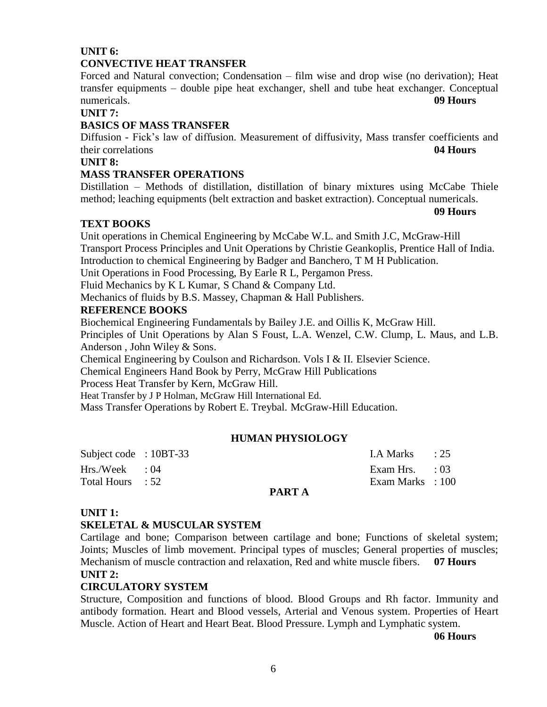## **UNIT 6: CONVECTIVE HEAT TRANSFER**

Forced and Natural convection; Condensation – film wise and drop wise (no derivation); Heat transfer equipments – double pipe heat exchanger, shell and tube heat exchanger. Conceptual numericals. **09 Hours**

#### **UNIT 7:**

## **BASICS OF MASS TRANSFER**

Diffusion - Fick's law of diffusion. Measurement of diffusivity, Mass transfer coefficients and their correlations **04 Hours**

## **UNIT 8:**

## **MASS TRANSFER OPERATIONS**

Distillation – Methods of distillation, distillation of binary mixtures using McCabe Thiele method; leaching equipments (belt extraction and basket extraction). Conceptual numericals.

**09 Hours**

#### **TEXT BOOKS**

Unit operations in Chemical Engineering by McCabe W.L. and Smith J.C, McGraw-Hill Transport Process Principles and Unit Operations by Christie Geankoplis, Prentice Hall of India. Introduction to chemical Engineering by Badger and Banchero, T M H Publication.

Unit Operations in Food Processing, By Earle R L, Pergamon Press.

Fluid Mechanics by K L Kumar, S Chand & Company Ltd.

Mechanics of fluids by B.S. Massey, Chapman & Hall Publishers.

## **REFERENCE BOOKS**

Biochemical Engineering Fundamentals by Bailey J.E. and Oillis K, McGraw Hill.

Principles of Unit Operations by Alan S Foust, L.A. Wenzel, C.W. Clump, L. Maus, and L.B. Anderson , John Wiley & Sons.

Chemical Engineering by Coulson and Richardson. Vols I & II. Elsevier Science.

Chemical Engineers Hand Book by Perry, McGraw Hill Publications

Process Heat Transfer by Kern, McGraw Hill.

Heat Transfer by J P Holman, McGraw Hill International Ed.

Mass Transfer Operations by Robert E. Treybal. McGraw-Hill Education.

#### **HUMAN PHYSIOLOGY**

| Subject code : $10BT-33$ |        | $1.A$ Marks $\qquad$ : 25 |  |
|--------------------------|--------|---------------------------|--|
| $Hrs./Week$ : 04         |        | Exam Hrs. $\therefore$ 03 |  |
| Total Hours : 52         |        | Exam Marks : 100          |  |
|                          | PART A |                           |  |

#### **UNIT 1:**

#### **SKELETAL & MUSCULAR SYSTEM**

Cartilage and bone; Comparison between cartilage and bone; Functions of skeletal system; Joints; Muscles of limb movement. Principal types of muscles; General properties of muscles; Mechanism of muscle contraction and relaxation, Red and white muscle fibers. **07 Hours UNIT 2:** 

#### **CIRCULATORY SYSTEM**

Structure, Composition and functions of blood. Blood Groups and Rh factor. Immunity and antibody formation. Heart and Blood vessels, Arterial and Venous system. Properties of Heart Muscle. Action of Heart and Heart Beat. Blood Pressure. Lymph and Lymphatic system.

**06 Hours**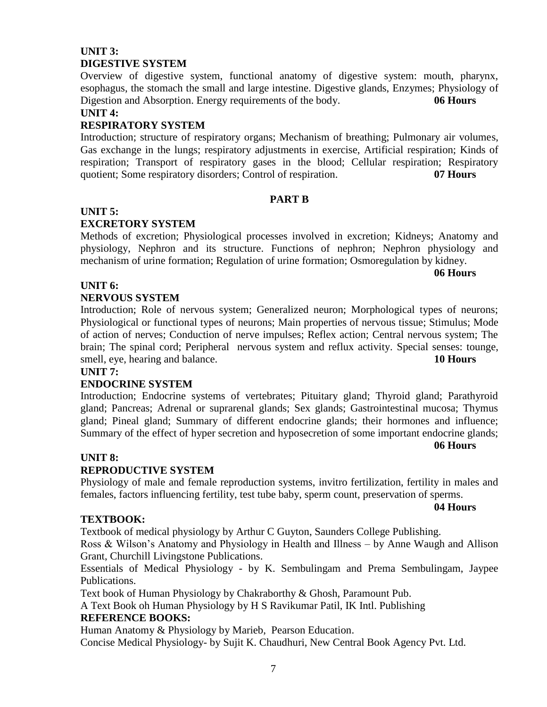## **UNIT 3: DIGESTIVE SYSTEM**

Overview of digestive system, functional anatomy of digestive system: mouth, pharynx, esophagus, the stomach the small and large intestine. Digestive glands, Enzymes; Physiology of Digestion and Absorption. Energy requirements of the body. **06 Hours**

#### **UNIT 4:**

## **RESPIRATORY SYSTEM**

Introduction; structure of respiratory organs; Mechanism of breathing; Pulmonary air volumes, Gas exchange in the lungs; respiratory adjustments in exercise, Artificial respiration; Kinds of respiration; Transport of respiratory gases in the blood; Cellular respiration; Respiratory quotient; Some respiratory disorders; Control of respiration. **07 Hours** 

#### **PART B**

## **UNIT 5:**

## **EXCRETORY SYSTEM**

Methods of excretion; Physiological processes involved in excretion; Kidneys; Anatomy and physiology, Nephron and its structure. Functions of nephron; Nephron physiology and mechanism of urine formation; Regulation of urine formation; Osmoregulation by kidney.

**06 Hours**

## **UNIT 6:**

#### **NERVOUS SYSTEM**

Introduction; Role of nervous system; Generalized neuron; Morphological types of neurons; Physiological or functional types of neurons; Main properties of nervous tissue; Stimulus; Mode of action of nerves; Conduction of nerve impulses; Reflex action; Central nervous system; The brain; The spinal cord; Peripheral nervous system and reflux activity. Special senses: tounge, smell, eye, hearing and balance. **10 Hours**

#### **UNIT 7:**

#### **ENDOCRINE SYSTEM**

Introduction; Endocrine systems of vertebrates; Pituitary gland; Thyroid gland; Parathyroid gland; Pancreas; Adrenal or suprarenal glands; Sex glands; Gastrointestinal mucosa; Thymus gland; Pineal gland; Summary of different endocrine glands; their hormones and influence; Summary of the effect of hyper secretion and hyposecretion of some important endocrine glands;

**06 Hours**

#### **UNIT 8:**

#### **REPRODUCTIVE SYSTEM**

Physiology of male and female reproduction systems, invitro fertilization, fertility in males and females, factors influencing fertility, test tube baby, sperm count, preservation of sperms.

#### **04 Hours**

#### **TEXTBOOK:**

Textbook of medical physiology by Arthur C Guyton, Saunders College Publishing.

Ross & Wilson's Anatomy and Physiology in Health and Illness – by Anne Waugh and Allison Grant, Churchill Livingstone Publications.

Essentials of Medical Physiology - by K. Sembulingam and Prema Sembulingam, Jaypee Publications.

Text book of Human Physiology by Chakraborthy & Ghosh, Paramount Pub.

A Text Book oh Human Physiology by H S Ravikumar Patil, IK Intl. Publishing

#### **REFERENCE BOOKS:**

Human Anatomy & Physiology by Marieb, Pearson Education.

Concise Medical Physiology- by Sujit K. Chaudhuri, New Central Book Agency Pvt. Ltd.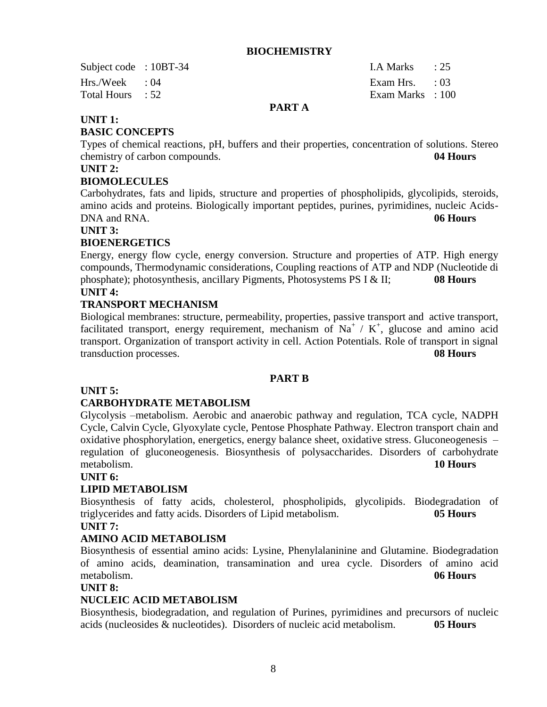#### **BIOCHEMISTRY**

Subject code : 10BT-34 I.A Marks : 25 Hrs./Week : 04 Exam Hrs. : 03 Total Hours : 52 Exam Marks : 100

## **PART A**

## **UNIT 1:**

#### **BASIC CONCEPTS**

Types of chemical reactions, pH, buffers and their properties, concentration of solutions. Stereo chemistry of carbon compounds. **04 Hours** 

#### **UNIT 2:**

#### **BIOMOLECULES**

Carbohydrates, fats and lipids, structure and properties of phospholipids, glycolipids, steroids, amino acids and proteins. Biologically important peptides, purines, pyrimidines, nucleic Acids-DNA and RNA. **06 Hours** 

#### **UNIT 3:**

## **BIOENERGETICS**

Energy, energy flow cycle, energy conversion. Structure and properties of ATP. High energy compounds, Thermodynamic considerations, Coupling reactions of ATP and NDP (Nucleotide di phosphate); photosynthesis, ancillary Pigments, Photosystems PS I & II; **08 Hours UNIT 4:** 

## **TRANSPORT MECHANISM**

Biological membranes: structure, permeability, properties, passive transport and active transport, facilitated transport, energy requirement, mechanism of Na<sup>+</sup> / K<sup>+</sup>, glucose and amino acid transport. Organization of transport activity in cell. Action Potentials. Role of transport in signal transduction processes. **08 Hours** 

#### **PART B**

#### **UNIT 5:**

#### **CARBOHYDRATE METABOLISM**

Glycolysis –metabolism. Aerobic and anaerobic pathway and regulation, TCA cycle, NADPH Cycle, Calvin Cycle, Glyoxylate cycle, Pentose Phosphate Pathway. Electron transport chain and oxidative phosphorylation, energetics, energy balance sheet, oxidative stress. Gluconeogenesis – regulation of gluconeogenesis. Biosynthesis of polysaccharides. Disorders of carbohydrate metabolism. **10 Hours**

#### **UNIT 6:**

#### **LIPID METABOLISM**

Biosynthesis of fatty acids, cholesterol, phospholipids, glycolipids. Biodegradation of triglycerides and fatty acids. Disorders of Lipid metabolism. **05 Hours UNIT 7:** 

## **AMINO ACID METABOLISM**

Biosynthesis of essential amino acids: Lysine, Phenylalaninine and Glutamine. Biodegradation of amino acids, deamination, transamination and urea cycle. Disorders of amino acid metabolism. **06 Hours** 

#### **UNIT 8:**

## **NUCLEIC ACID METABOLISM**

Biosynthesis, biodegradation, and regulation of Purines, pyrimidines and precursors of nucleic acids (nucleosides & nucleotides).Disorders of nucleic acid metabolism. **05 Hours**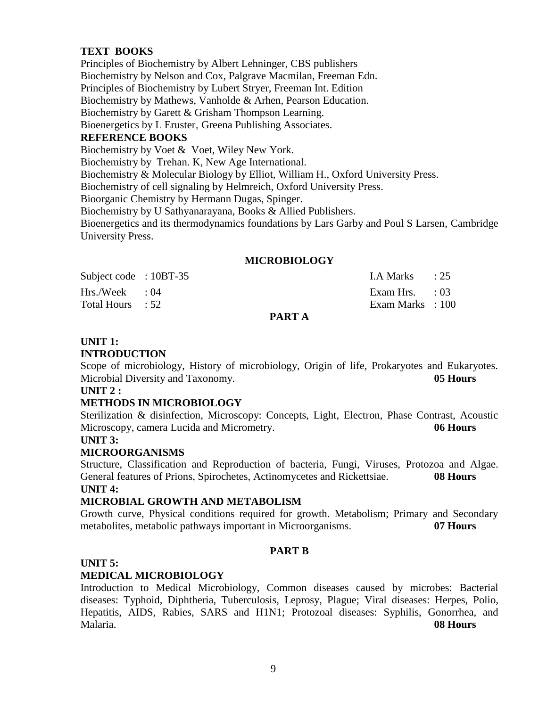## **TEXT BOOKS**

Principles of Biochemistry by Albert Lehninger, CBS publishers Biochemistry by Nelson and Cox, Palgrave Macmilan, Freeman Edn. Principles of Biochemistry by Lubert Stryer, Freeman Int. Edition Biochemistry by Mathews, Vanholde & Arhen, Pearson Education. Biochemistry by Garett & Grisham Thompson Learning. Bioenergetics by L Eruster, Greena Publishing Associates. **REFERENCE BOOKS** Biochemistry by Voet & Voet, Wiley New York. Biochemistry by Trehan. K, New Age International. Biochemistry & Molecular Biology by Elliot, William H., Oxford University Press. Biochemistry of cell signaling by Helmreich, Oxford University Press. Bioorganic Chemistry by Hermann Dugas, Spinger. Biochemistry by U Sathyanarayana, Books & Allied Publishers. Bioenergetics and its thermodynamics foundations by Lars Garby and Poul S Larsen, Cambridge

#### **MICROBIOLOGY**

| Total Hours : 52         | PART A | Exam Marks : 100          |  |
|--------------------------|--------|---------------------------|--|
|                          |        |                           |  |
| Hrs./Week : 04           |        | Exam Hrs. $\qquad 03$     |  |
| Subject code : $10BT-35$ |        | $1.A$ Marks $\qquad$ : 25 |  |

#### **PART A**

#### **UNIT 1:**

#### **INTRODUCTION**

University Press.

Scope of microbiology, History of microbiology, Origin of life, Prokaryotes and Eukaryotes. Microbial Diversity and Taxonomy. **05 Hours**

#### **UNIT 2 :**

#### **METHODS IN MICROBIOLOGY**

Sterilization & disinfection, Microscopy: Concepts, Light, Electron, Phase Contrast, Acoustic Microscopy, camera Lucida and Micrometry. **06 Hours**

**UNIT 3:**

#### **MICROORGANISMS**

Structure, Classification and Reproduction of bacteria, Fungi, Viruses, Protozoa and Algae. General features of Prions, Spirochetes, Actinomycetes and Rickettsiae. **08 Hours UNIT 4:**

## **MICROBIAL GROWTH AND METABOLISM**

Growth curve, Physical conditions required for growth. Metabolism; Primary and Secondary metabolites, metabolic pathways important in Microorganisms. **07 Hours**

#### **PART B**

#### **UNIT 5:**

#### **MEDICAL MICROBIOLOGY**

Introduction to Medical Microbiology, Common diseases caused by microbes: Bacterial diseases: Typhoid, Diphtheria, Tuberculosis, Leprosy, Plague; Viral diseases: Herpes, Polio, Hepatitis, AIDS, Rabies, SARS and H1N1; Protozoal diseases: Syphilis, Gonorrhea, and Malaria. **08 Hours**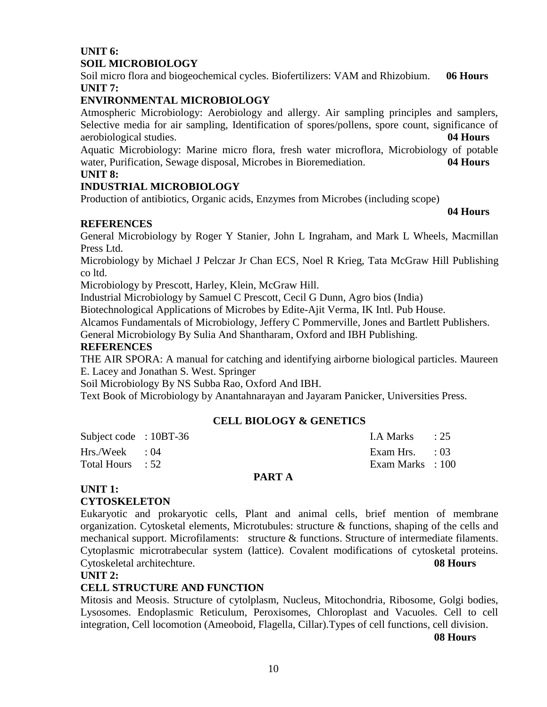## **UNIT 6: SOIL MICROBIOLOGY**

Soil micro flora and biogeochemical cycles. Biofertilizers: VAM and Rhizobium. **06 Hours UNIT 7:**

## **ENVIRONMENTAL MICROBIOLOGY**

Atmospheric Microbiology: Aerobiology and allergy. Air sampling principles and samplers, Selective media for air sampling, Identification of spores/pollens, spore count, significance of aerobiological studies. **04 Hours**

Aquatic Microbiology: Marine micro flora, fresh water microflora, Microbiology of potable water, Purification, Sewage disposal, Microbes in Bioremediation. **04 Hours**

## **UNIT 8:**

## **INDUSTRIAL MICROBIOLOGY**

Production of antibiotics, Organic acids, Enzymes from Microbes (including scope)

#### **04 Hours**

## **REFERENCES**

General Microbiology by Roger Y Stanier, John L Ingraham, and Mark L Wheels, Macmillan Press Ltd.

Microbiology by Michael J Pelczar Jr Chan ECS, Noel R Krieg, Tata McGraw Hill Publishing co ltd.

Microbiology by Prescott, Harley, Klein, McGraw Hill.

Industrial Microbiology by Samuel C Prescott, Cecil G Dunn, Agro bios (India)

Biotechnological Applications of Microbes by Edite-Ajit Verma, IK Intl. Pub House.

Alcamos Fundamentals of Microbiology, Jeffery C Pommerville, Jones and Bartlett Publishers.

General Microbiology By Sulia And Shantharam, Oxford and IBH Publishing.

#### **REFERENCES**

THE AIR SPORA: A manual for catching and identifying airborne biological particles. Maureen E. Lacey and Jonathan S. West. Springer

Soil Microbiology By NS Subba Rao, Oxford And IBH.

Text Book of Microbiology by Anantahnarayan and Jayaram Panicker, Universities Press.

#### **CELL BIOLOGY & GENETICS**

| Total Hours : 52       |  | Exam Marks : 100        |  |
|------------------------|--|-------------------------|--|
| $Hrs./Week$ : 04       |  | Exam Hrs. $\qquad$ : 03 |  |
| Subject code : 10BT-36 |  | LA Marks $\qquad$ : 25  |  |

#### **PART A**

## **UNIT 1: CYTOSKELETON**

Eukaryotic and prokaryotic cells, Plant and animal cells, brief mention of membrane organization. Cytosketal elements, Microtubules: structure  $\&$  functions, shaping of the cells and mechanical support. Microfilaments: structure & functions. Structure of intermediate filaments. Cytoplasmic microtrabecular system (lattice). Covalent modifications of cytosketal proteins. Cytoskeletal architechture. **08 Hours**

#### **UNIT 2:**

## **CELL STRUCTURE AND FUNCTION**

Mitosis and Meosis. Structure of cytolplasm, Nucleus, Mitochondria, Ribosome, Golgi bodies, Lysosomes. Endoplasmic Reticulum, Peroxisomes, Chloroplast and Vacuoles. Cell to cell integration, Cell locomotion (Ameoboid, Flagella, Cillar).Types of cell functions, cell division.

**08 Hours**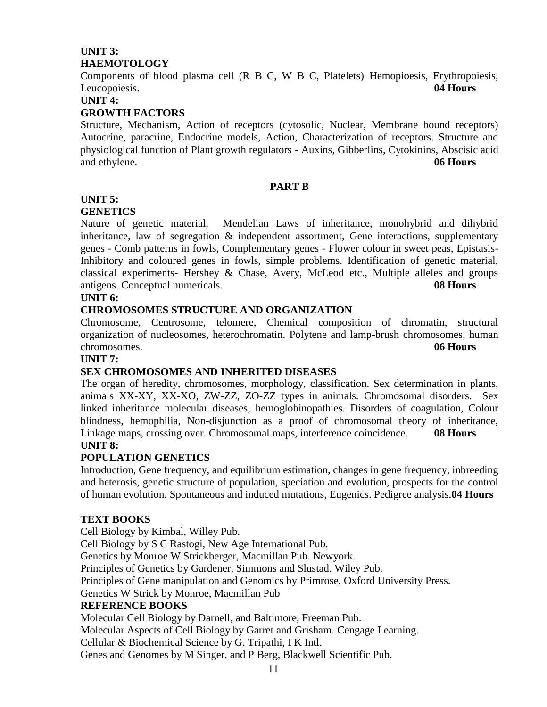## **UNIT 3: HAEMOTOLOGY**

Components of blood plasma cell (R B C, W B C, Platelets) Hemopioesis, Erythropoiesis, Leucopoiesis. **04 Hours**

**UNIT 4:**

## **GROWTH FACTORS**

Structure, Mechanism, Action of receptors (cytosolic, Nuclear, Membrane bound receptors) Autocrine, paracrine, Endocrine models, Action, Characterization of receptors. Structure and physiological function of Plant growth regulators - Auxins, Gibberlins, Cytokinins, Abscisic acid and ethylene. **06 Hours**

#### **PART B**

## **UNIT 5:**

#### **GENETICS**

Nature of genetic material, Mendelian Laws of inheritance, monohybrid and dihybrid inheritance, law of segregation  $\&$  independent assortment, Gene interactions, supplementary genes - Comb patterns in fowls, Complementary genes - Flower colour in sweet peas, Epistasis-Inhibitory and coloured genes in fowls, simple problems. Identification of genetic material, classical experiments- Hershey  $\&$  Chase, Avery, McLeod etc., Multiple alleles and groups antigens. Conceptual numericals. **08 Hours**

#### **UNIT 6:**

## **CHROMOSOMES STRUCTURE AND ORGANIZATION**

Chromosome, Centrosome, telomere, Chemical composition of chromatin, structural organization of nucleosomes, heterochromatin. Polytene and lamp-brush chromosomes, human chromosomes. **06 Hours**

#### **UNIT 7:**

## **SEX CHROMOSOMES AND INHERITED DISEASES**

The organ of heredity, chromosomes, morphology, classification. Sex determination in plants, animals XX-XY, XX-XO, ZW-ZZ, ZO-ZZ types in animals. Chromosomal disorders. Sex linked inheritance molecular diseases, hemoglobinopathies. Disorders of coagulation, Colour blindness, hemophilia, Non-disjunction as a proof of chromosomal theory of inheritance, Linkage maps, crossing over. Chromosomal maps, interference coincidence. **08 Hours UNIT 8:**

#### **POPULATION GENETICS**

Introduction, Gene frequency, and equilibrium estimation, changes in gene frequency, inbreeding and heterosis, genetic structure of population, speciation and evolution, prospects for the control of human evolution. Spontaneous and induced mutations, Eugenics. Pedigree analysis.**04 Hours**

#### **TEXT BOOKS**

Cell Biology by Kimbal, Willey Pub. Cell Biology by S C Rastogi, New Age International Pub. Genetics by Monroe W Strickberger, Macmillan Pub. Newyork. Principles of Genetics by Gardener, Simmons and Slustad. Wiley Pub. Principles of Gene manipulation and Genomics by Primrose, Oxford University Press. Genetics W Strick by Monroe, Macmillan Pub **REFERENCE BOOKS** Molecular Cell Biology by Darnell, and Baltimore, Freeman Pub. Molecular Aspects of Cell Biology by Garret and Grisham. Cengage Learning. Cellular & Biochemical Science by G. Tripathi, I K Intl.

Genes and Genomes by M Singer, and P Berg, Blackwell Scientific Pub.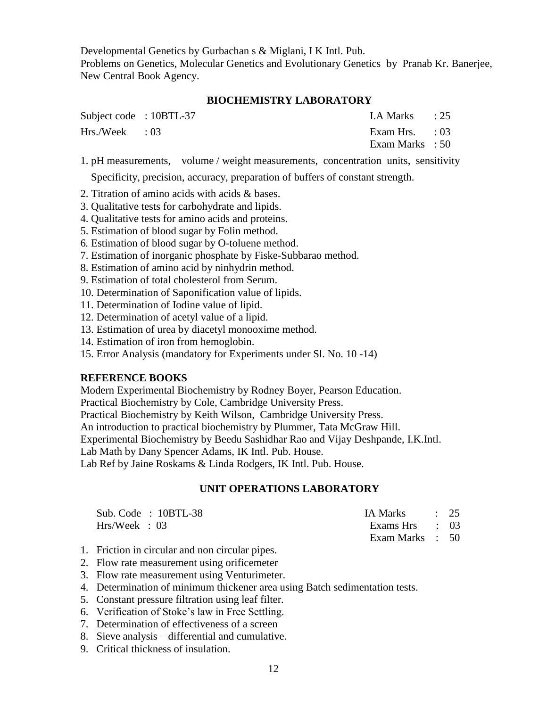Developmental Genetics by Gurbachan s & Miglani, I K Intl. Pub. Problems on Genetics, Molecular Genetics and Evolutionary Genetics by Pranab Kr. Banerjee, New Central Book Agency.

#### **BIOCHEMISTRY LABORATORY**

| Subject code : 10BTL-37 | I.A Marks $\qquad$ : 25                    |  |
|-------------------------|--------------------------------------------|--|
| $Hrs./Week$ : 03        | Exam Hrs. $\qquad$ : 03<br>Exam Marks : 50 |  |
|                         |                                            |  |

1. pH measurements, volume / weight measurements, concentration units, sensitivity

Specificity, precision, accuracy, preparation of buffers of constant strength.

- 2. Titration of amino acids with acids & bases.
- 3. Qualitative tests for carbohydrate and lipids.
- 4. Qualitative tests for amino acids and proteins.
- 5. Estimation of blood sugar by Folin method.
- 6*.* Estimation of blood sugar by O-toluene method.
- 7. Estimation of inorganic phosphate by Fiske-Subbarao method.
- 8. Estimation of amino acid by ninhydrin method.
- 9. Estimation of total cholesterol from Serum.
- 10. Determination of Saponification value of lipids.
- 11. Determination of Iodine value of lipid.
- 12. Determination of acetyl value of a lipid.
- 13. Estimation of urea by diacetyl monooxime method.
- 14. Estimation of iron from hemoglobin.
- 15. Error Analysis (mandatory for Experiments under Sl. No. 10 -14)

#### **REFERENCE BOOKS**

Modern Experimental Biochemistry by Rodney Boyer, Pearson Education.

Practical Biochemistry by Cole, Cambridge University Press.

Practical Biochemistry by Keith Wilson, Cambridge University Press.

An introduction to practical biochemistry by Plummer, Tata McGraw Hill.

Experimental Biochemistry by Beedu Sashidhar Rao and Vijay Deshpande, I.K.Intl.

Lab Math by Dany Spencer Adams, IK Intl. Pub. House.

Lab Ref by Jaine Roskams & Linda Rodgers, IK Intl. Pub. House.

#### **UNIT OPERATIONS LABORATORY**

| Sub. Code : $10BTL-38$ | IA Marks : 25   |  |
|------------------------|-----------------|--|
| Hrs/Week : 03          | Exams Hrs : 03  |  |
|                        | Exam Marks : 50 |  |

- 1. Friction in circular and non circular pipes.
- 2. Flow rate measurement using orificemeter
- 3. Flow rate measurement using Venturimeter.
- 4. Determination of minimum thickener area using Batch sedimentation tests.
- 5. Constant pressure filtration using leaf filter.
- 6. Verification of Stoke's law in Free Settling.
- 7. Determination of effectiveness of a screen
- 8. Sieve analysis differential and cumulative.
- 9. Critical thickness of insulation.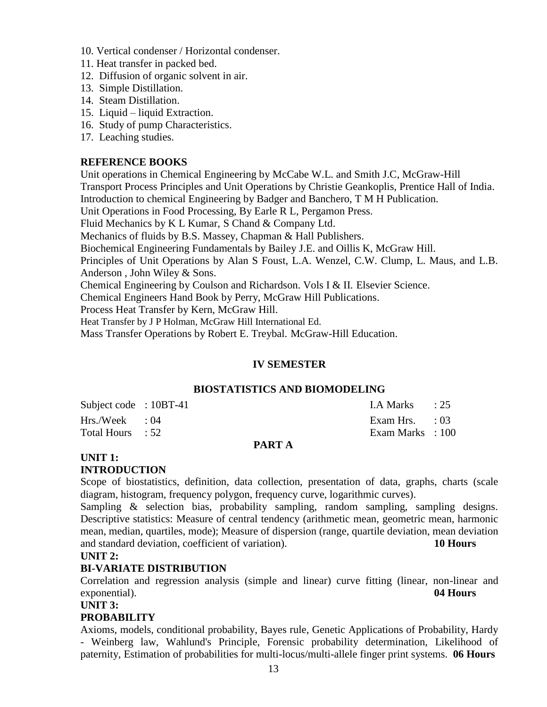- 10. Vertical condenser / Horizontal condenser.
- 11. Heat transfer in packed bed.
- 12. Diffusion of organic solvent in air.
- 13. Simple Distillation.
- 14. Steam Distillation.
- 15. Liquid liquid Extraction.
- 16. Study of pump Characteristics.
- 17. Leaching studies.

#### **REFERENCE BOOKS**

Unit operations in Chemical Engineering by McCabe W.L. and Smith J.C, McGraw-Hill Transport Process Principles and Unit Operations by Christie Geankoplis, Prentice Hall of India. Introduction to chemical Engineering by Badger and Banchero, T M H Publication. Unit Operations in Food Processing, By Earle R L, Pergamon Press. Fluid Mechanics by K L Kumar, S Chand & Company Ltd. Mechanics of fluids by B.S. Massey, Chapman & Hall Publishers. Biochemical Engineering Fundamentals by Bailey J.E. and Oillis K, McGraw Hill. Principles of Unit Operations by Alan S Foust, L.A. Wenzel, C.W. Clump, L. Maus, and L.B. Anderson , John Wiley & Sons. Chemical Engineering by Coulson and Richardson. Vols I & II. Elsevier Science. Chemical Engineers Hand Book by Perry, McGraw Hill Publications. Process Heat Transfer by Kern, McGraw Hill.

Heat Transfer by J P Holman, McGraw Hill International Ed.

Mass Transfer Operations by Robert E. Treybal. McGraw-Hill Education.

#### **IV SEMESTER**

#### **BIOSTATISTICS AND BIOMODELING**

| Total Hours : 52       |  | Exam Marks : 100        |  |
|------------------------|--|-------------------------|--|
| $Hrs./Week$ : 04       |  | Exam Hrs. $\qquad$ : 03 |  |
| Subject code : 10BT-41 |  | LA Marks : 25           |  |

#### **PART A**

#### **UNIT 1: INTRODUCTION**

Scope of biostatistics, definition, data collection, presentation of data, graphs, charts (scale diagram, histogram, frequency polygon, frequency curve, logarithmic curves).

Sampling & selection bias, probability sampling, random sampling, sampling designs. Descriptive statistics: Measure of central tendency (arithmetic mean, geometric mean, harmonic mean, median, quartiles, mode); Measure of dispersion (range, quartile deviation, mean deviation and standard deviation, coefficient of variation). **10 Hours**

#### **UNIT 2:**

#### **BI-VARIATE DISTRIBUTION**

Correlation and regression analysis (simple and linear) curve fitting (linear, non-linear and exponential). **04 Hours**

**UNIT 3:**

#### **PROBABILITY**

Axioms, models, conditional probability, Bayes rule, Genetic Applications of Probability, Hardy - Weinberg law, Wahlund's Principle, Forensic probability determination, Likelihood of paternity, Estimation of probabilities for multi-locus/multi-allele finger print systems. **06 Hours**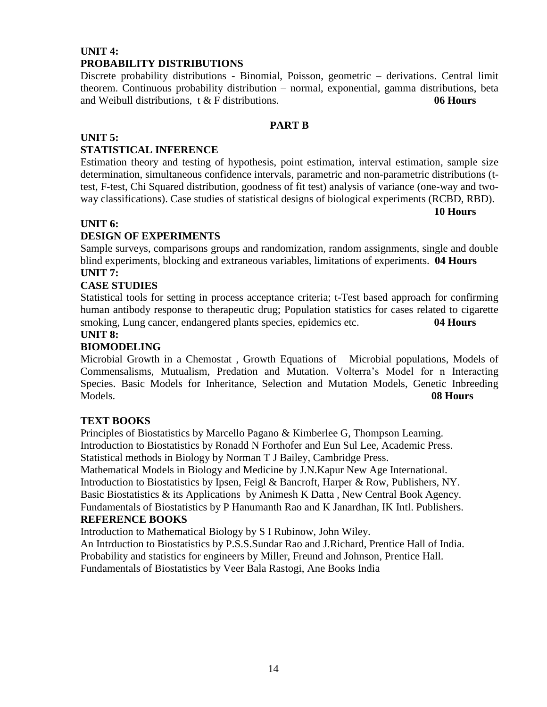## **UNIT 4: PROBABILITY DISTRIBUTIONS**

Discrete probability distributions - Binomial, Poisson, geometric – derivations. Central limit theorem. Continuous probability distribution – normal, exponential, gamma distributions, beta and Weibull distributions, t & F distributions. **06 Hours**

## **PART B**

## **UNIT 5:**

## **STATISTICAL INFERENCE**

Estimation theory and testing of hypothesis, point estimation, interval estimation, sample size determination, simultaneous confidence intervals, parametric and non-parametric distributions (ttest, F-test, Chi Squared distribution, goodness of fit test) analysis of variance (one-way and twoway classifications). Case studies of statistical designs of biological experiments (RCBD, RBD).

**10 Hours**

## **UNIT 6:**

## **DESIGN OF EXPERIMENTS**

Sample surveys, comparisons groups and randomization, random assignments, single and double blind experiments, blocking and extraneous variables, limitations of experiments. **04 Hours UNIT 7:** 

## **CASE STUDIES**

Statistical tools for setting in process acceptance criteria; t-Test based approach for confirming human antibody response to therapeutic drug; Population statistics for cases related to cigarette smoking, Lung cancer, endangered plants species, epidemics etc. **04 Hours**

## **UNIT 8:**

## **BIOMODELING**

Microbial Growth in a Chemostat , Growth Equations of Microbial populations, Models of Commensalisms, Mutualism, Predation and Mutation. Volterra's Model for n Interacting Species. Basic Models for Inheritance, Selection and Mutation Models, Genetic Inbreeding Models. **08 Hours**

#### **TEXT BOOKS**

Principles of Biostatistics by Marcello Pagano & Kimberlee G, Thompson Learning. Introduction to Biostatistics by Ronadd N Forthofer and Eun Sul Lee, Academic Press. Statistical methods in Biology by Norman T J Bailey, Cambridge Press.

Mathematical Models in Biology and Medicine by J.N.Kapur New Age International. Introduction to Biostatistics by Ipsen, Feigl & Bancroft, Harper & Row, Publishers, NY. Basic Biostatistics & its Applications by Animesh K Datta , New Central Book Agency. Fundamentals of Biostatistics by P Hanumanth Rao and K Janardhan, IK Intl. Publishers.

#### **REFERENCE BOOKS**

Introduction to Mathematical Biology by S I Rubinow, John Wiley.

An Intrduction to Biostatistics by P.S.S.Sundar Rao and J.Richard, Prentice Hall of India. Probability and statistics for engineers by Miller, Freund and Johnson, Prentice Hall. Fundamentals of Biostatistics by Veer Bala Rastogi, Ane Books India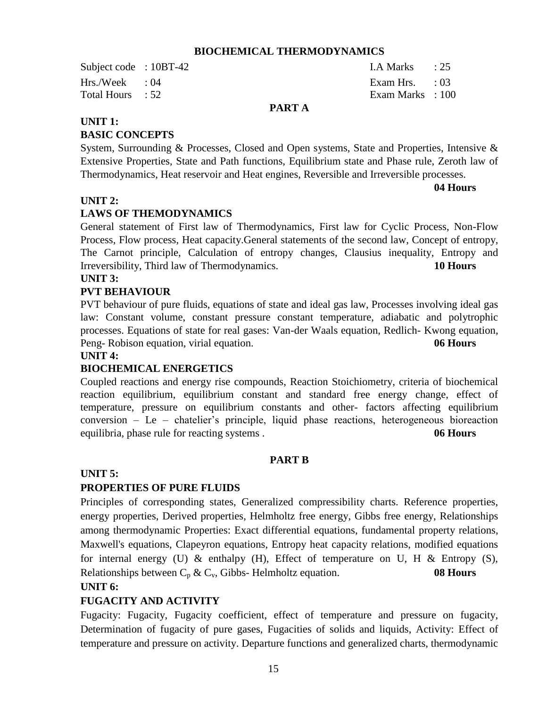#### **BIOCHEMICAL THERMODYNAMICS**

Subject code : 10BT-42 I.A Marks : 25 Hrs./Week : 04 Exam Hrs. : 03 Total Hours : 52 Exam Marks : 100

## **PART A**

#### **UNIT 1:**

#### **BASIC CONCEPTS**

System, Surrounding & Processes, Closed and Open systems, State and Properties, Intensive & Extensive Properties, State and Path functions, Equilibrium state and Phase rule, Zeroth law of Thermodynamics, Heat reservoir and Heat engines, Reversible and Irreversible processes.

**04 Hours**

#### **UNIT 2:**

#### **LAWS OF THEMODYNAMICS**

General statement of First law of Thermodynamics, First law for Cyclic Process, Non-Flow Process, Flow process, Heat capacity.General statements of the second law, Concept of entropy, The Carnot principle, Calculation of entropy changes, Clausius inequality, Entropy and Irreversibility, Third law of Thermodynamics. **10 Hours**

#### **UNIT 3:**

#### **PVT BEHAVIOUR**

PVT behaviour of pure fluids, equations of state and ideal gas law, Processes involving ideal gas law: Constant volume, constant pressure constant temperature, adiabatic and polytrophic processes. Equations of state for real gases: Van-der Waals equation, Redlich- Kwong equation, Peng- Robison equation, virial equation. **06 Hours**

#### **UNIT 4:**

#### **BIOCHEMICAL ENERGETICS**

Coupled reactions and energy rise compounds, Reaction Stoichiometry, criteria of biochemical reaction equilibrium, equilibrium constant and standard free energy change, effect of temperature, pressure on equilibrium constants and other- factors affecting equilibrium conversion – Le – chatelier's principle, liquid phase reactions, heterogeneous bioreaction equilibria, phase rule for reacting systems . **06 Hours**

#### **PART B**

#### **UNIT 5:**

#### **PROPERTIES OF PURE FLUIDS**

Principles of corresponding states, Generalized compressibility charts. Reference properties, energy properties, Derived properties, Helmholtz free energy, Gibbs free energy, Relationships among thermodynamic Properties: Exact differential equations, fundamental property relations, Maxwell's equations, Clapeyron equations, Entropy heat capacity relations, modified equations for internal energy (U)  $\&$  enthalpy (H), Effect of temperature on U, H  $\&$  Entropy (S), Relationships between  $C_p \& C_v$ , Gibbs- Helmholtz equation. **08 Hours** 

#### **UNIT 6:**

#### **FUGACITY AND ACTIVITY**

Fugacity: Fugacity, Fugacity coefficient, effect of temperature and pressure on fugacity, Determination of fugacity of pure gases, Fugacities of solids and liquids, Activity: Effect of temperature and pressure on activity. Departure functions and generalized charts, thermodynamic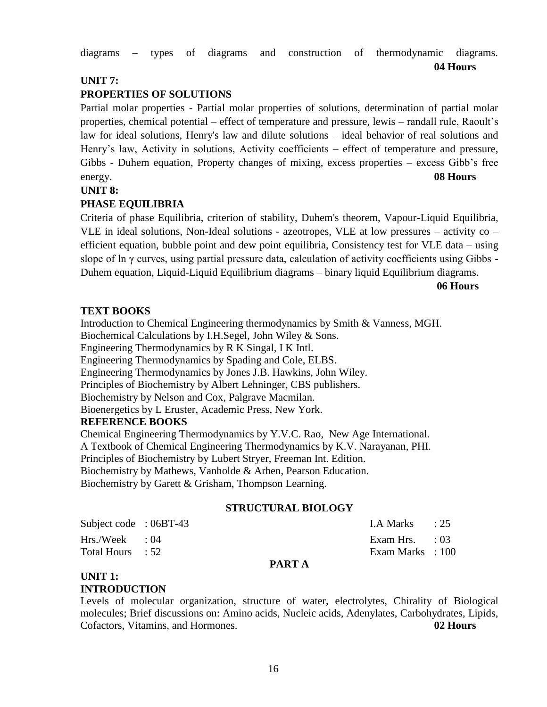diagrams – types of diagrams and construction of thermodynamic diagrams.

## **UNIT 7:**

## **PROPERTIES OF SOLUTIONS**

Partial molar properties - Partial molar properties of solutions, determination of partial molar properties, chemical potential – effect of temperature and pressure, lewis – randall rule, Raoult's law for ideal solutions, Henry's law and dilute solutions – ideal behavior of real solutions and Henry's law, Activity in solutions, Activity coefficients – effect of temperature and pressure, Gibbs - Duhem equation, Property changes of mixing, excess properties – excess Gibb's free energy. **08 Hours** 

#### **UNIT 8:**

## **PHASE EQUILIBRIA**

Criteria of phase Equilibria, criterion of stability, Duhem's theorem, Vapour-Liquid Equilibria, VLE in ideal solutions, Non-Ideal solutions - azeotropes, VLE at low pressures – activity co – efficient equation, bubble point and dew point equilibria, Consistency test for VLE data – using slope of ln γ curves, using partial pressure data, calculation of activity coefficients using Gibbs - Duhem equation, Liquid-Liquid Equilibrium diagrams – binary liquid Equilibrium diagrams.

**06 Hours**

**04 Hours**

#### **TEXT BOOKS**

Introduction to Chemical Engineering thermodynamics by Smith & Vanness, MGH. Biochemical Calculations by I.H.Segel, John Wiley & Sons. Engineering Thermodynamics by R K Singal, I K Intl. Engineering Thermodynamics by Spading and Cole, ELBS. Engineering Thermodynamics by Jones J.B. Hawkins, John Wiley. Principles of Biochemistry by Albert Lehninger, CBS publishers. Biochemistry by Nelson and Cox, Palgrave Macmilan. Bioenergetics by L Eruster, Academic Press, New York. **REFERENCE BOOKS** Chemical Engineering Thermodynamics by Y.V.C. Rao, New Age International. A Textbook of Chemical Engineering Thermodynamics by K.V. Narayanan, PHI. Principles of Biochemistry by Lubert Stryer, Freeman Int. Edition.

Biochemistry by Mathews, Vanholde & Arhen, Pearson Education.

Biochemistry by Garett & Grisham, Thompson Learning.

#### **STRUCTURAL BIOLOGY**

| Subject code : 06BT-43 | LA Marks : 25           |  |
|------------------------|-------------------------|--|
| $Hrs./Week$ : 04       | Exam Hrs. $\qquad$ : 03 |  |
| Total Hours : 52       | Exam Marks : 100        |  |

#### **PART A**

#### **UNIT 1: INTRODUCTION**

Levels of molecular organization, structure of water, electrolytes, Chirality of Biological molecules; Brief discussions on: Amino acids, Nucleic acids, Adenylates, Carbohydrates, Lipids, Cofactors, Vitamins, and Hormones. **02 Hours**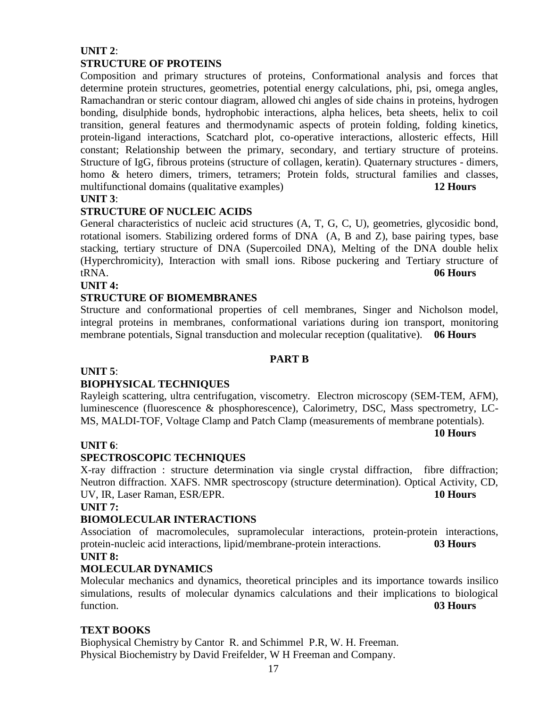## **UNIT 2**: **STRUCTURE OF PROTEINS**

Composition and primary structures of proteins, Conformational analysis and forces that determine protein structures, geometries, potential energy calculations, phi, psi, omega angles, Ramachandran or steric contour diagram, allowed chi angles of side chains in proteins, hydrogen bonding, disulphide bonds, hydrophobic interactions, alpha helices, beta sheets, helix to coil transition, general features and thermodynamic aspects of protein folding, folding kinetics, protein-ligand interactions, Scatchard plot, co-operative interactions, allosteric effects, Hill constant; Relationship between the primary, secondary, and tertiary structure of proteins. Structure of IgG, fibrous proteins (structure of collagen, keratin). Quaternary structures - dimers, homo & hetero dimers, trimers, tetramers; Protein folds, structural families and classes, multifunctional domains (qualitative examples) **12 Hours**

## **UNIT 3**:

## **STRUCTURE OF NUCLEIC ACIDS**

General characteristics of nucleic acid structures (A, T, G, C, U), geometries, glycosidic bond, rotational isomers. Stabilizing ordered forms of DNA (A, B and Z), base pairing types, base stacking, tertiary structure of DNA (Supercoiled DNA), Melting of the DNA double helix (Hyperchromicity), Interaction with small ions. Ribose puckering and Tertiary structure of tRNA. **06 Hours**

#### **UNIT 4:**

#### **STRUCTURE OF BIOMEMBRANES**

Structure and conformational properties of cell membranes, Singer and Nicholson model, integral proteins in membranes, conformational variations during ion transport, monitoring membrane potentials, Signal transduction and molecular reception (qualitative). **06 Hours**

#### **PART B**

#### **UNIT 5**:

## **BIOPHYSICAL TECHNIQUES**

Rayleigh scattering, ultra centrifugation, viscometry. Electron microscopy (SEM-TEM, AFM), luminescence (fluorescence & phosphorescence), Calorimetry, DSC, Mass spectrometry, LC-MS, MALDI-TOF, Voltage Clamp and Patch Clamp (measurements of membrane potentials).

**10 Hours**

## **UNIT 6**:

## **SPECTROSCOPIC TECHNIQUES**

X-ray diffraction : structure determination via single crystal diffraction, fibre diffraction; Neutron diffraction. XAFS. NMR spectroscopy (structure determination). Optical Activity, CD, UV, IR, Laser Raman, ESR/EPR. **10 Hours**

#### **UNIT 7:**

## **BIOMOLECULAR INTERACTIONS**

Association of macromolecules, supramolecular interactions, protein-protein interactions, protein-nucleic acid interactions, lipid/membrane-protein interactions. **03 Hours UNIT 8:** 

## **MOLECULAR DYNAMICS**

Molecular mechanics and dynamics, theoretical principles and its importance towards insilico simulations, results of molecular dynamics calculations and their implications to biological function. **03 Hours**

## **TEXT BOOKS**

Biophysical Chemistry by Cantor R. and Schimmel P.R, W. H. Freeman. Physical Biochemistry by David Freifelder, W H Freeman and Company.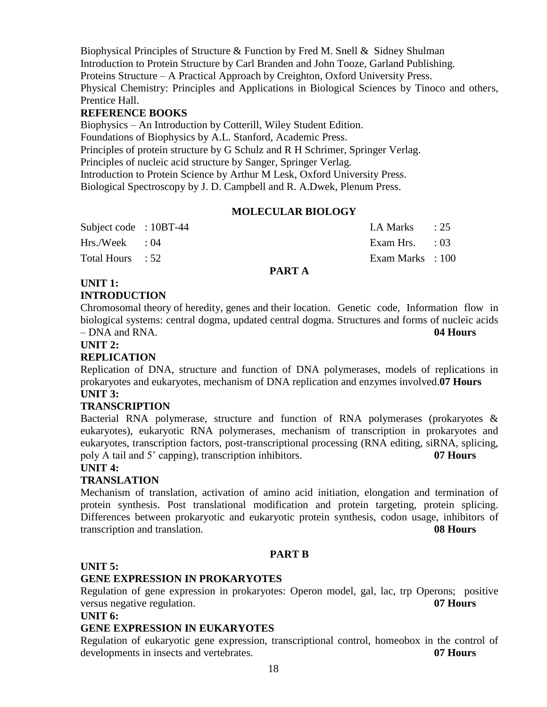Biophysical Principles of Structure & Function by Fred M. Snell & Sidney Shulman Introduction to Protein Structure by Carl Branden and John Tooze, Garland Publishing. Proteins Structure – A Practical Approach by Creighton, Oxford University Press. Physical Chemistry: Principles and Applications in Biological Sciences by Tinoco and others, Prentice Hall.

## **REFERENCE BOOKS**

Biophysics – An Introduction by Cotterill, Wiley Student Edition. Foundations of Biophysics by A.L. Stanford, Academic Press. Principles of protein structure by G Schulz and R H Schrimer, Springer Verlag. Principles of nucleic acid structure by Sanger, Springer Verlag. Introduction to Protein Science by Arthur M Lesk, Oxford University Press. Biological Spectroscopy by J. D. Campbell and R. A.Dwek, Plenum Press.

## **MOLECULAR BIOLOGY**

| Subject code : 10BT-44 |  | LA Marks $\qquad$ : 25  |  |
|------------------------|--|-------------------------|--|
| $Hrs./Week$ : 04       |  | Exam Hrs. $\qquad$ : 03 |  |
| Total Hours : 52       |  | Exam Marks : 100        |  |

#### **PART A**

## **UNIT 1:**

## **INTRODUCTION**

Chromosomal theory of heredity, genes and their location. Genetic code, Information flow in biological systems: central dogma, updated central dogma. Structures and forms of nucleic acids – DNA and RNA. **04 Hours**

#### **UNIT 2:**

## **REPLICATION**

Replication of DNA, structure and function of DNA polymerases, models of replications in prokaryotes and eukaryotes, mechanism of DNA replication and enzymes involved.**07 Hours UNIT 3:** 

## **TRANSCRIPTION**

Bacterial RNA polymerase, structure and function of RNA polymerases (prokaryotes  $\&$ eukaryotes), eukaryotic RNA polymerases, mechanism of transcription in prokaryotes and eukaryotes, transcription factors, post-transcriptional processing (RNA editing, siRNA, splicing, poly A tail and 5' capping), transcription inhibitors. **07 Hours**

#### **UNIT 4:**

## **TRANSLATION**

Mechanism of translation, activation of amino acid initiation, elongation and termination of protein synthesis. Post translational modification and protein targeting, protein splicing. Differences between prokaryotic and eukaryotic protein synthesis, codon usage, inhibitors of transcription and translation. **08 Hours**

#### **PART B**

#### **UNIT 5:**

## **GENE EXPRESSION IN PROKARYOTES**

Regulation of gene expression in prokaryotes: Operon model, gal, lac, trp Operons; positive versus negative regulation. **07 Hours**

#### **UNIT 6:**

## **GENE EXPRESSION IN EUKARYOTES**

Regulation of eukaryotic gene expression, transcriptional control, homeobox in the control of developments in insects and vertebrates. **07 Hours**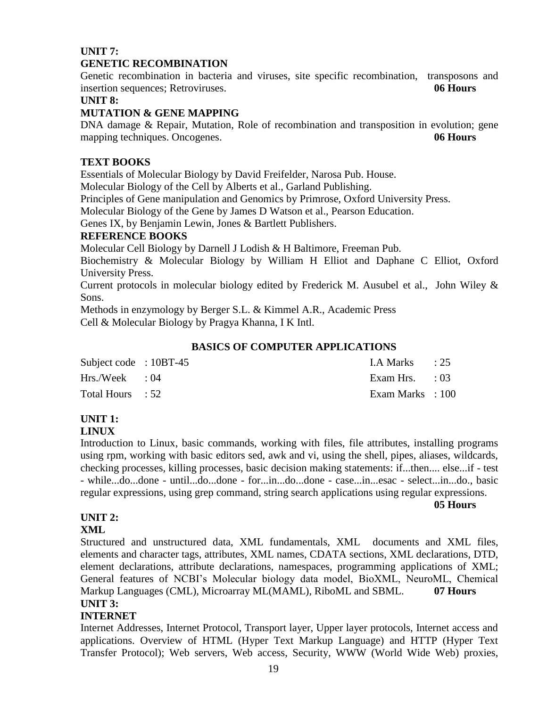## **UNIT 7: GENETIC RECOMBINATION**

Genetic recombination in bacteria and viruses, site specific recombination, transposons and insertion sequences; Retroviruses. **06 Hours**

## **UNIT 8:**

## **MUTATION & GENE MAPPING**

DNA damage & Repair, Mutation, Role of recombination and transposition in evolution; gene mapping techniques. Oncogenes. **06 Hours**

## **TEXT BOOKS**

Essentials of Molecular Biology by David Freifelder, Narosa Pub. House.

Molecular Biology of the Cell by Alberts et al., Garland Publishing.

Principles of Gene manipulation and Genomics by Primrose, Oxford University Press.

Molecular Biology of the Gene by James D Watson et al., Pearson Education.

Genes IX, by Benjamin Lewin, Jones & Bartlett Publishers.

## **REFERENCE BOOKS**

Molecular Cell Biology by Darnell J Lodish & H Baltimore, Freeman Pub.

Biochemistry & Molecular Biology by William H Elliot and Daphane C Elliot, Oxford University Press.

Current protocols in molecular biology edited by Frederick M. Ausubel et al., John Wiley & Sons.

Methods in enzymology by Berger S.L. & Kimmel A.R., Academic Press Cell & Molecular Biology by Pragya Khanna, I K Intl.

## **BASICS OF COMPUTER APPLICATIONS**

| Subject code : 10BT-45 | LA Marks $\qquad$ : 25  |  |
|------------------------|-------------------------|--|
| $Hrs./Week$ : 04       | Exam Hrs. $\qquad$ : 03 |  |
| Total Hours : 52       | Exam Marks : 100        |  |

## **UNIT 1:**

## **LINUX**

Introduction to Linux, basic commands, working with files, file attributes, installing programs using rpm, working with basic editors sed, awk and vi, using the shell, pipes, aliases, wildcards, checking processes, killing processes, basic decision making statements: if...then.... else...if - test - while...do...done - until...do...done - for...in...do...done - case...in...esac - select...in...do., basic regular expressions, using grep command, string search applications using regular expressions.

#### **05 Hours**

## **UNIT 2:**

## **XML**

Structured and unstructured data, XML fundamentals, XML documents and XML files, elements and character tags, attributes, XML names, CDATA sections, XML declarations, DTD, element declarations, attribute declarations, namespaces, programming applications of XML; General features of NCBI's Molecular biology data model, BioXML, NeuroML, Chemical Markup Languages (CML), Microarray ML(MAML), RiboML and SBML. **07 Hours UNIT 3:** 

## **INTERNET**

Internet Addresses, Internet Protocol, Transport layer, Upper layer protocols, Internet access and applications. Overview of HTML (Hyper Text Markup Language) and HTTP (Hyper Text Transfer Protocol); Web servers, Web access, Security, WWW (World Wide Web) proxies,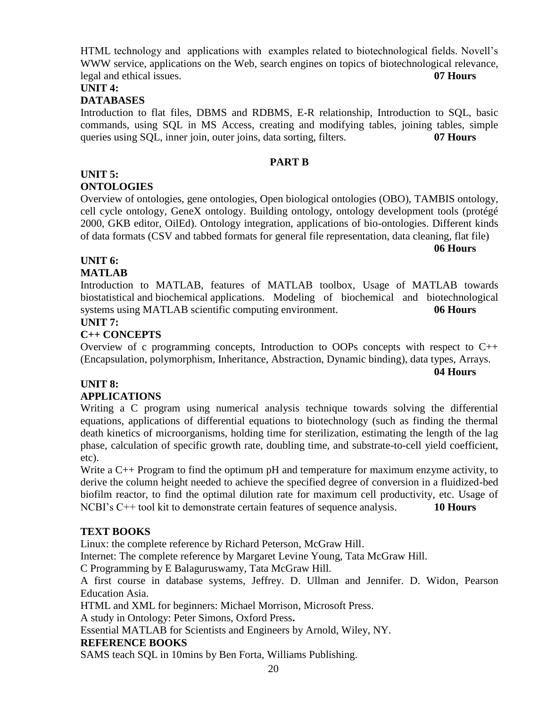HTML technology and applications with examples related to biotechnological fields. Novell's WWW service, applications on the Web, search engines on topics of biotechnological relevance, legal and ethical issues. **07 Hours**

## **UNIT 4:**

## **DATABASES**

Introduction to flat files, DBMS and RDBMS, E-R relationship, Introduction to SQL, basic commands, using SQL in MS Access, creating and modifying tables, joining tables, simple queries using SQL, inner join, outer joins, data sorting, filters. **07 Hours**

#### **PART B**

#### **UNIT 5: ONTOLOGIES**

Overview of ontologies, gene ontologies, Open biological ontologies (OBO), TAMBIS ontology, cell cycle ontology, GeneX ontology. Building ontology, ontology development tools (protégé 2000, GKB editor, OilEd). Ontology integration, applications of bio-ontologies. Different kinds of data formats (CSV and tabbed formats for general file representation, data cleaning, flat file)

## **UNIT 6:**

## **MATLAB**

Introduction to MATLAB, features of MATLAB toolbox, Usage of MATLAB towards biostatistical and biochemical applications. Modeling of biochemical and biotechnological systems using MATLAB scientific computing environment. **06 Hours**

#### **UNIT 7:**

## **C++ CONCEPTS**

Overview of c programming concepts, Introduction to OOPs concepts with respect to C++ (Encapsulation, polymorphism, Inheritance, Abstraction, Dynamic binding), data types, Arrays.

**04 Hours**

**06 Hours**

## **UNIT 8:**

## **APPLICATIONS**

Writing a C program using numerical analysis technique towards solving the differential equations, applications of differential equations to biotechnology (such as finding the thermal death kinetics of microorganisms, holding time for sterilization, estimating the length of the lag phase, calculation of specific growth rate, doubling time, and substrate-to-cell yield coefficient, etc).

Write a C++ Program to find the optimum pH and temperature for maximum enzyme activity, to derive the column height needed to achieve the specified degree of conversion in a fluidized-bed biofilm reactor, to find the optimal dilution rate for maximum cell productivity, etc. Usage of NCBI's C++ tool kit to demonstrate certain features of sequence analysis. **10 Hours**

## **TEXT BOOKS**

Linux: the complete reference by Richard Peterson, McGraw Hill.

Internet: The complete reference by Margaret Levine Young, Tata McGraw Hill.

C Programming by E Balaguruswamy, Tata McGraw Hill.

A first course in database systems, Jeffrey. D. Ullman and Jennifer. D. Widon, Pearson Education Asia.

HTML and XML for beginners: Michael Morrison, Microsoft Press.

A study in Ontology: Peter Simons, Oxford Press**.**

Essential MATLAB for Scientists and Engineers by Arnold, Wiley, NY.

## **REFERENCE BOOKS**

SAMS teach SQL in 10mins by Ben Forta, Williams Publishing.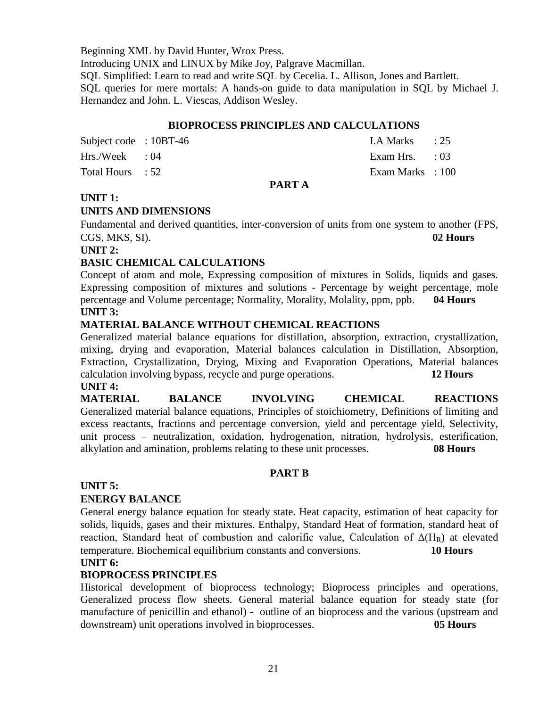Beginning XML by David Hunter, Wrox Press.

Introducing UNIX and LINUX by Mike Joy, Palgrave Macmillan.

SQL Simplified: Learn to read and write SQL by Cecelia. L. Allison, Jones and Bartlett.

SQL queries for mere mortals: A hands-on guide to data manipulation in SQL by Michael J. Hernandez and John. L. Viescas, Addison Wesley.

#### **BIOPROCESS PRINCIPLES AND CALCULATIONS**

|                        |  | PART A |                         |  |
|------------------------|--|--------|-------------------------|--|
| Total Hours : 52       |  |        | Exam Marks : 100        |  |
| $Hrs./Week$ : 04       |  |        | Exam Hrs. $\qquad$ : 03 |  |
| Subject code : 10BT-46 |  |        | LA Marks $\qquad$ : 25  |  |

## **UNIT 1:**

#### **UNITS AND DIMENSIONS**

Fundamental and derived quantities, inter-conversion of units from one system to another (FPS, CGS, MKS, SI). **02 Hours**

#### **UNIT 2:**

## **BASIC CHEMICAL CALCULATIONS**

Concept of atom and mole, Expressing composition of mixtures in Solids, liquids and gases. Expressing composition of mixtures and solutions - Percentage by weight percentage, mole percentage and Volume percentage; Normality, Morality, Molality, ppm, ppb. **04 Hours UNIT 3:** 

## **MATERIAL BALANCE WITHOUT CHEMICAL REACTIONS**

Generalized material balance equations for distillation, absorption, extraction, crystallization, mixing, drying and evaporation, Material balances calculation in Distillation, Absorption, Extraction, Crystallization, Drying, Mixing and Evaporation Operations, Material balances calculation involving bypass, recycle and purge operations. **12 Hours**

#### **UNIT 4:**

**MATERIAL BALANCE INVOLVING CHEMICAL REACTIONS** Generalized material balance equations, Principles of stoichiometry, Definitions of limiting and excess reactants, fractions and percentage conversion, yield and percentage yield, Selectivity, unit process – neutralization, oxidation, hydrogenation, nitration, hydrolysis, esterification, alkylation and amination, problems relating to these unit processes. **08 Hours** 

#### **PART B**

#### **UNIT 5:**

## **ENERGY BALANCE**

General energy balance equation for steady state. Heat capacity, estimation of heat capacity for solids, liquids, gases and their mixtures. Enthalpy, Standard Heat of formation, standard heat of reaction, Standard heat of combustion and calorific value, Calculation of  $\Delta(H_R)$  at elevated temperature. Biochemical equilibrium constants and conversions. **10 Hours**

#### **UNIT 6:**

#### **BIOPROCESS PRINCIPLES**

Historical development of bioprocess technology; Bioprocess principles and operations, Generalized process flow sheets. General material balance equation for steady state (for manufacture of penicillin and ethanol) - outline of an bioprocess and the various (upstream and downstream) unit operations involved in bioprocesses. **05 Hours**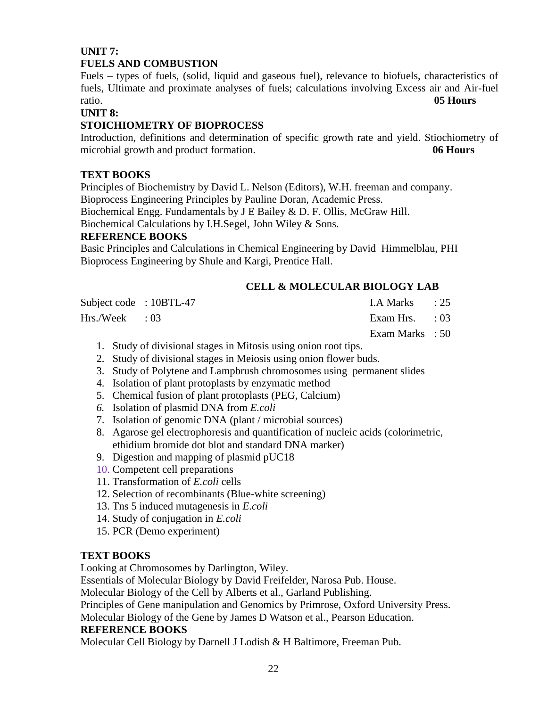## **UNIT 7: FUELS AND COMBUSTION**

Fuels – types of fuels, (solid, liquid and gaseous fuel), relevance to biofuels, characteristics of fuels, Ultimate and proximate analyses of fuels; calculations involving Excess air and Air-fuel ratio. **05 Hours** 

## **UNIT 8:**

## **STOICHIOMETRY OF BIOPROCESS**

Introduction, definitions and determination of specific growth rate and yield. Stiochiometry of microbial growth and product formation. **06 Hours**

## **TEXT BOOKS**

Principles of Biochemistry by David L. Nelson (Editors), W.H. freeman and company. Bioprocess Engineering Principles by Pauline Doran, Academic Press. Biochemical Engg. Fundamentals by J E Bailey & D. F. Ollis, McGraw Hill.

Biochemical Calculations by I.H.Segel, John Wiley & Sons.

## **REFERENCE BOOKS**

Basic Principles and Calculations in Chemical Engineering by David Himmelblau, PHI Bioprocess Engineering by Shule and Kargi, Prentice Hall.

## **CELL & MOLECULAR BIOLOGY LAB**

Subject code : 10BTL-47 I.A Marks : 25

Hrs./Week : 03 Exam Hrs. : 03

Exam Marks : 50

- 1. Study of divisional stages in Mitosis using onion root tips.
- 2. Study of divisional stages in Meiosis using onion flower buds.
- 3. Study of Polytene and Lampbrush chromosomes using permanent slides
- 4. Isolation of plant protoplasts by enzymatic method
- 5. Chemical fusion of plant protoplasts (PEG, Calcium)
- *6.* Isolation of plasmid DNA from *E.coli*
- 7. Isolation of genomic DNA (plant / microbial sources)
- 8. Agarose gel electrophoresis and quantification of nucleic acids (colorimetric, ethidium bromide dot blot and standard DNA marker)
- 9. Digestion and mapping of plasmid pUC18
- 10. Competent cell preparations
- 11. Transformation of *E.coli* cells
- 12. Selection of recombinants (Blue-white screening)
- 13. Tns 5 induced mutagenesis in *E.coli*
- 14. Study of conjugation in *E.coli*
- 15. PCR (Demo experiment)

## **TEXT BOOKS**

Looking at Chromosomes by Darlington, Wiley.

Essentials of Molecular Biology by David Freifelder, Narosa Pub. House.

Molecular Biology of the Cell by Alberts et al., Garland Publishing.

Principles of Gene manipulation and Genomics by Primrose, Oxford University Press.

Molecular Biology of the Gene by James D Watson et al., Pearson Education.

## **REFERENCE BOOKS**

Molecular Cell Biology by Darnell J Lodish & H Baltimore, Freeman Pub.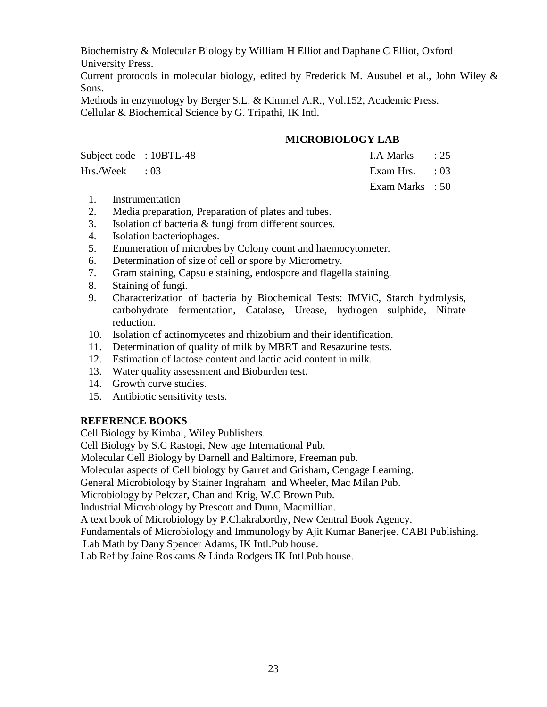Biochemistry & Molecular Biology by William H Elliot and Daphane C Elliot, Oxford University Press.

Current protocols in molecular biology, edited by Frederick M. Ausubel et al., John Wiley & Sons.

Methods in enzymology by Berger S.L. & Kimmel A.R., Vol.152, Academic Press. Cellular & Biochemical Science by G. Tripathi, IK Intl.

## **MICROBIOLOGY LAB**

| Subject code: 10BTL-48 | LA Marks : 25           |  |
|------------------------|-------------------------|--|
| Hrs./Week : 03         | Exam Hrs. $\qquad$ : 03 |  |
|                        | Exam Marks : 50         |  |

- 1. Instrumentation
- 2. Media preparation, Preparation of plates and tubes.
- 3. Isolation of bacteria & fungi from different sources.
- 4. Isolation bacteriophages.
- 5. Enumeration of microbes by Colony count and haemocytometer.
- 6. Determination of size of cell or spore by Micrometry.
- 7. Gram staining, Capsule staining, endospore and flagella staining.
- 8. Staining of fungi.
- 9. Characterization of bacteria by Biochemical Tests: IMViC, Starch hydrolysis, carbohydrate fermentation, Catalase, Urease, hydrogen sulphide, Nitrate reduction.
- 10. Isolation of actinomycetes and rhizobium and their identification.
- 11. Determination of quality of milk by MBRT and Resazurine tests.
- 12. Estimation of lactose content and lactic acid content in milk.
- 13. Water quality assessment and Bioburden test.
- 14. Growth curve studies.
- 15. Antibiotic sensitivity tests.

## **REFERENCE BOOKS**

Cell Biology by Kimbal, Wiley Publishers.

Cell Biology by S.C Rastogi, New age International Pub.

Molecular Cell Biology by Darnell and Baltimore, Freeman pub.

Molecular aspects of Cell biology by Garret and Grisham, Cengage Learning.

General Microbiology by Stainer Ingraham and Wheeler, Mac Milan Pub.

Microbiology by Pelczar, Chan and Krig, W.C Brown Pub.

Industrial Microbiology by Prescott and Dunn, Macmillian.

A text book of Microbiology by P.Chakraborthy, New Central Book Agency.

Fundamentals of Microbiology and Immunology by Ajit Kumar Banerjee. CABI Publishing.

Lab Math by Dany Spencer Adams, IK Intl.Pub house.

Lab Ref by Jaine Roskams & Linda Rodgers IK Intl.Pub house.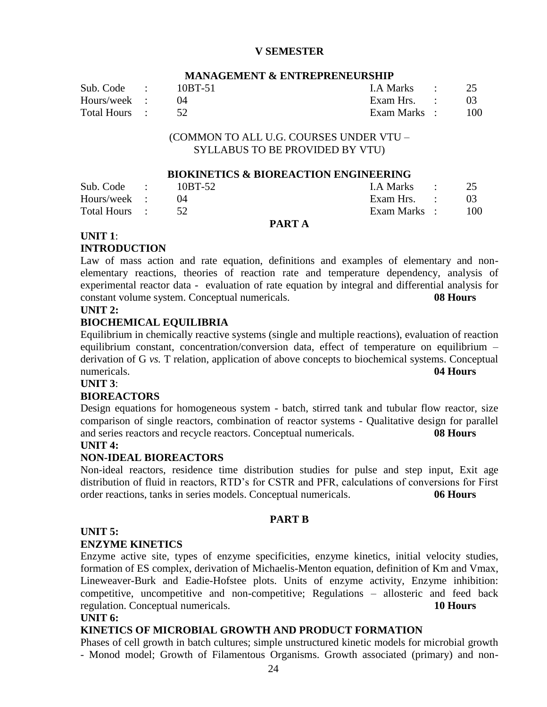## **V SEMESTER**

#### **MANAGEMENT & ENTREPRENEURSHIP**

| Sub. Code :      | 10BT-51 | LA Marks : 25 |        |
|------------------|---------|---------------|--------|
| Hours/week :     |         | Exam Hrs. :   |        |
| Total Hours : 52 |         | Exam Marks :  | $-100$ |

#### (COMMON TO ALL U.G. COURSES UNDER VTU – SYLLABUS TO BE PROVIDED BY VTU)

#### **BIOKINETICS & BIOREACTION ENGINEERING**

| Sub. Code :   | 10BT-52 | I.A Marks : 25 |       |
|---------------|---------|----------------|-------|
| Hours/week :  |         | Exam Hrs. :    |       |
| Total Hours : |         | Exam Marks :   | - 100 |

#### **PART A**

#### **UNIT 1**:

#### **INTRODUCTION**

Law of mass action and rate equation, definitions and examples of elementary and nonelementary reactions, theories of reaction rate and temperature dependency, analysis of experimental reactor data - evaluation of rate equation by integral and differential analysis for constant volume system. Conceptual numericals. **08 Hours**

## **UNIT 2:**

#### **BIOCHEMICAL EQUILIBRIA**

Equilibrium in chemically reactive systems (single and multiple reactions), evaluation of reaction equilibrium constant, concentration/conversion data, effect of temperature on equilibrium – derivation of G *vs.* T relation, application of above concepts to biochemical systems. Conceptual numericals. **04 Hours**

## **UNIT 3**:

#### **BIOREACTORS**

Design equations for homogeneous system - batch, stirred tank and tubular flow reactor, size comparison of single reactors, combination of reactor systems - Qualitative design for parallel and series reactors and recycle reactors. Conceptual numericals. **08 Hours**

#### **UNIT 4:**

#### **NON-IDEAL BIOREACTORS**

Non-ideal reactors, residence time distribution studies for pulse and step input, Exit age distribution of fluid in reactors, RTD's for CSTR and PFR, calculations of conversions for First order reactions, tanks in series models. Conceptual numericals. **06 Hours**

#### **PART B**

#### **UNIT 5:**

#### **ENZYME KINETICS**

Enzyme active site, types of enzyme specificities, enzyme kinetics, initial velocity studies, formation of ES complex, derivation of Michaelis-Menton equation, definition of Km and Vmax, Lineweaver-Burk and Eadie-Hofstee plots. Units of enzyme activity, Enzyme inhibition: competitive, uncompetitive and non-competitive; Regulations – allosteric and feed back regulation. Conceptual numericals. **10 Hours**

#### **UNIT 6:**

#### **KINETICS OF MICROBIAL GROWTH AND PRODUCT FORMATION**

Phases of cell growth in batch cultures; simple unstructured kinetic models for microbial growth - Monod model; Growth of Filamentous Organisms. Growth associated (primary) and non-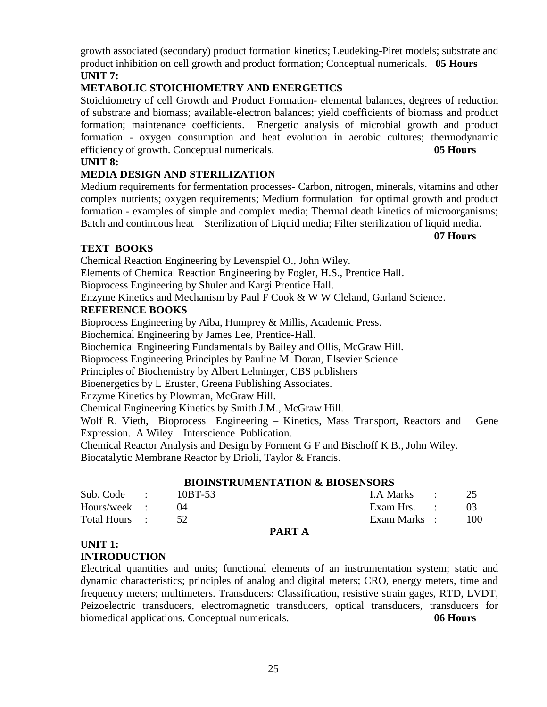growth associated (secondary) product formation kinetics; Leudeking-Piret models; substrate and product inhibition on cell growth and product formation; Conceptual numericals. **05 Hours UNIT 7:**

## **METABOLIC STOICHIOMETRY AND ENERGETICS**

Stoichiometry of cell Growth and Product Formation- elemental balances, degrees of reduction of substrate and biomass; available-electron balances; yield coefficients of biomass and product formation; maintenance coefficients. Energetic analysis of microbial growth and product formation - oxygen consumption and heat evolution in aerobic cultures; thermodynamic efficiency of growth. Conceptual numericals. **05 Hours**

## **UNIT 8:**

## **MEDIA DESIGN AND STERILIZATION**

Medium requirements for fermentation processes- Carbon, nitrogen, minerals, vitamins and other complex nutrients; oxygen requirements; Medium formulation for optimal growth and product formation - examples of simple and complex media; Thermal death kinetics of microorganisms; Batch and continuous heat – Sterilization of Liquid media; Filter sterilization of liquid media.

## **TEXT BOOKS**

Chemical Reaction Engineering by Levenspiel O., John Wiley.

Elements of Chemical Reaction Engineering by Fogler, H.S., Prentice Hall.

Bioprocess Engineering by Shuler and Kargi Prentice Hall.

Enzyme Kinetics and Mechanism by Paul F Cook & W W Cleland, Garland Science.

## **REFERENCE BOOKS**

Bioprocess Engineering by Aiba, Humprey & Millis, Academic Press.

Biochemical Engineering by James Lee, Prentice-Hall.

Biochemical Engineering Fundamentals by Bailey and Ollis, McGraw Hill.

Bioprocess Engineering Principles by Pauline M. Doran, Elsevier Science

Principles of Biochemistry by Albert Lehninger, CBS publishers

Bioenergetics by L Eruster, Greena Publishing Associates.

Enzyme Kinetics by Plowman, McGraw Hill.

Chemical Engineering Kinetics by Smith J.M., McGraw Hill.

Wolf R. Vieth, Bioprocess Engineering – Kinetics, Mass Transport, Reactors and Gene Expression. A Wiley – Interscience Publication.

Chemical Reactor Analysis and Design by Forment G F and Bischoff K B., John Wiley.

Biocatalytic Membrane Reactor by Drioli, Taylor & Francis.

## **BIOINSTRUMENTATION & BIOSENSORS**

| Sub. Code :   | $10B$ T-53 |                 | I.A Marks : $25$ |      |
|---------------|------------|-----------------|------------------|------|
| Hours/week :  |            |                 | Exam Hrs. :      | - 03 |
| Total Hours : |            |                 | Exam Marks :     | 100  |
|               |            | <b>DIADER</b> 4 |                  |      |

## **PART A**

## **UNIT 1:**

## **INTRODUCTION**

Electrical quantities and units; functional elements of an instrumentation system; static and dynamic characteristics; principles of analog and digital meters; CRO, energy meters, time and frequency meters; multimeters. Transducers: Classification, resistive strain gages, RTD, LVDT, Peizoelectric transducers, electromagnetic transducers, optical transducers, transducers for biomedical applications. Conceptual numericals. **06 Hours**

#### **07 Hours**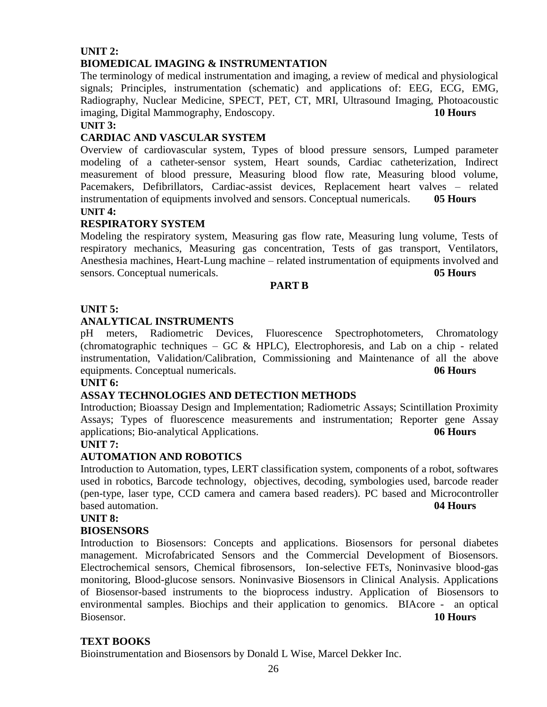## **UNIT 2: BIOMEDICAL IMAGING & INSTRUMENTATION**

The terminology of medical instrumentation and imaging, a review of medical and physiological signals; Principles, instrumentation (schematic) and applications of: EEG, ECG, EMG, Radiography, Nuclear Medicine, SPECT, PET, CT, MRI, Ultrasound Imaging, Photoacoustic imaging, [Digital Mammography, Endoscopy.](http://en.wikipedia.org/wiki/Digital_Mammography_and_PACS) **10 Hours**

## **UNIT 3:**

## **CARDIAC AND VASCULAR SYSTEM**

Overview of cardiovascular system, Types of blood pressure sensors, Lumped parameter modeling of a catheter-sensor system, Heart sounds, Cardiac catheterization, Indirect measurement of blood pressure, Measuring blood flow rate, Measuring blood volume, Pacemakers, Defibrillators, Cardiac-assist devices, Replacement heart valves – related instrumentation of equipments involved and sensors. Conceptual numericals. **05 Hours UNIT 4:** 

## **RESPIRATORY SYSTEM**

Modeling the respiratory system, Measuring gas flow rate, Measuring lung volume, Tests of respiratory mechanics, Measuring gas concentration, Tests of gas transport, Ventilators, Anesthesia machines, Heart-Lung machine – related instrumentation of equipments involved and sensors. Conceptual numericals. **05 Hours**

#### **PART B**

## **UNIT 5:**

## **ANALYTICAL INSTRUMENTS**

pH meters, Radiometric Devices, Fluorescence Spectrophotometers, Chromatology (chromatographic techniques – GC  $& HPLC$ ), Electrophoresis, and Lab on a chip - related instrumentation, Validation/Calibration, Commissioning and Maintenance of all the above equipments. Conceptual numericals. **06 Hours**

## **UNIT 6:**

## **ASSAY TECHNOLOGIES AND DETECTION METHODS**

Introduction; Bioassay Design and Implementation; Radiometric Assays; Scintillation Proximity Assays; Types of fluorescence measurements and instrumentation; Reporter gene Assay applications; Bio-analytical Applications. **06 Hours**

#### **UNIT 7:**

## **AUTOMATION AND ROBOTICS**

Introduction to Automation, types, LERT classification system, components of a robot, softwares used in robotics, Barcode technology, objectives, decoding, symbologies used, barcode reader (pen-type, laser type, CCD camera and camera based readers). PC based and Microcontroller based automation. **04 Hours**

#### **UNIT 8:**

#### **BIOSENSORS**

Introduction to Biosensors: Concepts and applications. Biosensors for personal diabetes management. Microfabricated Sensors and the Commercial Development of Biosensors. Electrochemical sensors, Chemical fibrosensors, Ion-selective FETs, Noninvasive blood-gas monitoring, Blood-glucose sensors. Noninvasive Biosensors in Clinical Analysis. Applications of Biosensor-based instruments to the bioprocess industry. Application of Biosensors to environmental samples. Biochips and their application to genomics. BIAcore - an optical Biosensor. **10 Hours**

#### **TEXT BOOKS**

Bioinstrumentation and Biosensors by Donald L Wise, Marcel Dekker Inc.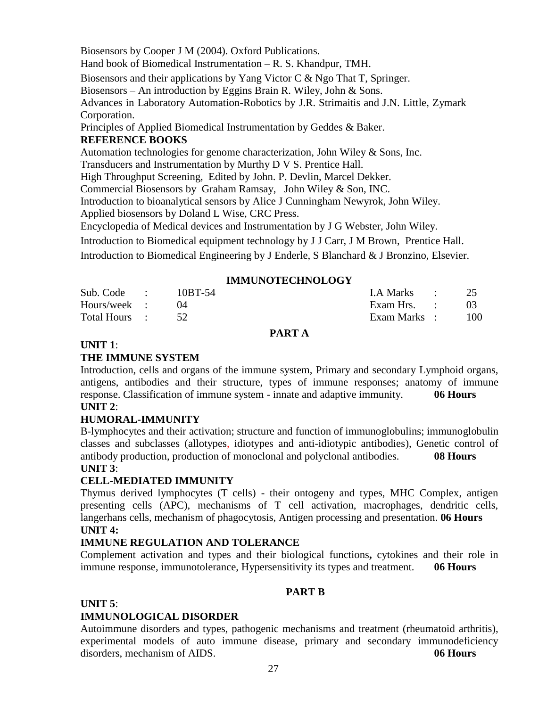Biosensors by Cooper J M (2004). Oxford Publications. Hand book of Biomedical Instrumentation – R. S. Khandpur, TMH. Biosensors and their applications by Yang Victor C & Ngo That T, Springer. Biosensors – An introduction by Eggins Brain R. Wiley, John & Sons. Advances in Laboratory Automation-Robotics by J.R. Strimaitis and J.N. Little, Zymark Corporation. Principles of Applied Biomedical Instrumentation by Geddes & Baker. **REFERENCE BOOKS** Automation technologies for genome characterization, John Wiley & Sons, Inc.

Transducers and Instrumentation by Murthy D V S. Prentice Hall.

High Throughput Screening, Edited by John. P. Devlin, Marcel Dekker.

Commercial Biosensors by Graham Ramsay, John Wiley & Son, INC.

Introduction to bioanalytical sensors by Alice J Cunningham Newyrok, John Wiley.

Applied biosensors by Doland L Wise, CRC Press.

Encyclopedia of Medical devices and Instrumentation by J G Webster, John Wiley.

Introduction to Biomedical equipment technology by J J Carr, J M Brown, Prentice Hall.

Introduction to Biomedical Engineering by J Enderle, S Blanchard & J Bronzino, Elsevier.

#### **IMMUNOTECHNOLOGY**

| Sub. Code :      | $10B$ T-54 | $1. A Marks$ : 25 |     |
|------------------|------------|-------------------|-----|
| Hours/week :     |            | Exam Hrs. :       |     |
| Total Hours : 52 |            | Exam Marks :      | 100 |

#### **PART A**

#### **UNIT 1**:

## **THE IMMUNE SYSTEM**

Introduction, cells and organs of the immune system, Primary and secondary Lymphoid organs, antigens, antibodies and their structure, types of immune responses; anatomy of immune response. Classification of immune system - innate and adaptive immunity. **06 Hours UNIT 2**:

## **HUMORAL-IMMUNITY**

B-lymphocytes and their activation; structure and function of immunoglobulins; immunoglobulin classes and subclasses (allotypes, idiotypes and anti-idiotypic antibodies), Genetic control of antibody production, production of monoclonal and polyclonal antibodies. **08 Hours UNIT 3**:

## **CELL-MEDIATED IMMUNITY**

Thymus derived lymphocytes (T cells) - their ontogeny and types, MHC Complex, antigen presenting cells (APC), mechanisms of T cell activation, macrophages, dendritic cells, langerhans cells, mechanism of phagocytosis, Antigen processing and presentation. **06 Hours UNIT 4:**

## **IMMUNE REGULATION AND TOLERANCE**

Complement activation and types and their biological functions**,** cytokines and their role in immune response, immunotolerance, Hypersensitivity its types and treatment. **06 Hours**

## **PART B**

## **UNIT 5**:

## **IMMUNOLOGICAL DISORDER**

Autoimmune disorders and types, pathogenic mechanisms and treatment (rheumatoid arthritis), experimental models of auto immune disease, primary and secondary immunodeficiency disorders, mechanism of AIDS. **06 Hours**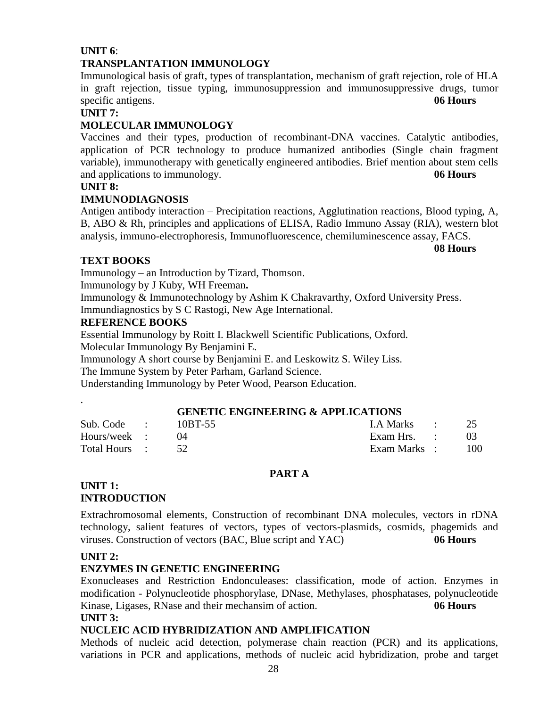#### **UNIT 6**: **TRANSPLANTATION IMMUNOLOGY**

Immunological basis of graft, types of transplantation, mechanism of graft rejection, role of HLA in graft rejection, tissue typing, immunosuppression and immunosuppressive drugs, tumor specific antigens. **06 Hours** 

## **UNIT 7:**

## **MOLECULAR IMMUNOLOGY**

Vaccines and their types, production of recombinant-DNA vaccines. Catalytic antibodies, application of PCR technology to produce humanized antibodies (Single chain fragment variable), immunotherapy with genetically engineered antibodies. Brief mention about stem cells and applications to immunology. **06 Hours**

## **UNIT 8:**

## **IMMUNODIAGNOSIS**

Antigen antibody interaction – Precipitation reactions, Agglutination reactions, Blood typing, A, B, ABO & Rh, principles and applications of ELISA, Radio Immuno Assay (RIA), western blot analysis, immuno-electrophoresis, Immunofluorescence, chemiluminescence assay, FACS.

**08 Hours**

## **TEXT BOOKS**

Immunology – an Introduction by Tizard, Thomson.

Immunology by J Kuby, WH Freeman**.**

Immunology & Immunotechnology by Ashim K Chakravarthy, Oxford University Press. Immundiagnostics by S C Rastogi, New Age International.

## **REFERENCE BOOKS**

Essential Immunology by Roitt I. Blackwell Scientific Publications, Oxford. Molecular Immunology By Benjamini E.

Immunology A short course by Benjamini E. and Leskowitz S. Wiley Liss.

The Immune System by Peter Parham, Garland Science.

Understanding Immunology by Peter Wood, Pearson Education.

## **GENETIC ENGINEERING & APPLICATIONS**

| Sub. Code :   | 10BT-55 | LA Marks :   |     |
|---------------|---------|--------------|-----|
| Hours/week :  |         | Exam Hrs. :  | 03  |
| Total Hours : |         | Exam Marks : | 100 |

#### **PART A**

#### **UNIT 1: INTRODUCTION**

Extrachromosomal elements, Construction of recombinant DNA molecules, vectors in rDNA technology, salient features of vectors, types of vectors-plasmids, cosmids, phagemids and viruses. Construction of vectors (BAC, Blue script and YAC) **06 Hours**

## **UNIT 2:**

.

## **ENZYMES IN GENETIC ENGINEERING**

Exonucleases and Restriction Endonculeases: classification, mode of action. Enzymes in modification - Polynucleotide phosphorylase, DNase, Methylases, phosphatases, polynucleotide Kinase, Ligases, RNase and their mechansim of action. **06 Hours UNIT 3:**

## **NUCLEIC ACID HYBRIDIZATION AND AMPLIFICATION**

Methods of nucleic acid detection, polymerase chain reaction (PCR) and its applications, variations in PCR and applications, methods of nucleic acid hybridization, probe and target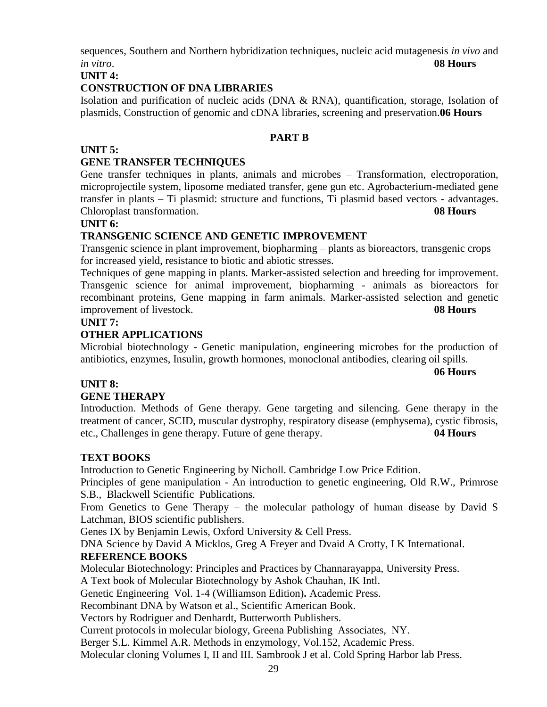sequences, Southern and Northern hybridization techniques, nucleic acid mutagenesis *in vivo* and *in vitro*. **08 Hours**

**UNIT 4:**

## **CONSTRUCTION OF DNA LIBRARIES**

Isolation and purification of nucleic acids (DNA  $\&$  RNA), quantification, storage, Isolation of plasmids, Construction of genomic and cDNA libraries, screening and preservation.**06 Hours**

## **PART B**

## **UNIT 5:**

## **GENE TRANSFER TECHNIQUES**

Gene transfer techniques in plants, animals and microbes – Transformation, electroporation, microprojectile system, liposome mediated transfer, gene gun etc. Agrobacterium-mediated gene transfer in plants – Ti plasmid: structure and functions, Ti plasmid based vectors - advantages. Chloroplast transformation. **08 Hours**

#### **UNIT 6:**

## **TRANSGENIC SCIENCE AND GENETIC IMPROVEMENT**

Transgenic science in plant improvement, biopharming – plants as bioreactors, transgenic crops for increased yield, resistance to biotic and abiotic stresses.

Techniques of gene mapping in plants. Marker-assisted selection and breeding for improvement. Transgenic science for animal improvement, biopharming - animals as bioreactors for recombinant proteins, Gene mapping in farm animals. Marker-assisted selection and genetic improvement of livestock. **08 Hours**

## **UNIT 7:**

## **OTHER APPLICATIONS**

Microbial biotechnology - Genetic manipulation, engineering microbes for the production of antibiotics, enzymes, Insulin, growth hormones, monoclonal antibodies, clearing oil spills.

**06 Hours**

## **UNIT 8:**

## **GENE THERAPY**

Introduction. Methods of Gene therapy. Gene targeting and silencing. Gene therapy in the treatment of cancer, SCID, muscular dystrophy, respiratory disease (emphysema), cystic fibrosis, etc., Challenges in gene therapy. Future of gene therapy. **04 Hours**

## **TEXT BOOKS**

Introduction to Genetic Engineering by Nicholl. Cambridge Low Price Edition.

Principles of gene manipulation - An introduction to genetic engineering, Old R.W., Primrose S.B., Blackwell Scientific Publications.

From Genetics to Gene Therapy – the molecular pathology of human disease by David S Latchman, BIOS scientific publishers.

Genes IX by Benjamin Lewis, Oxford University & Cell Press.

DNA Science by David A Micklos, Greg A Freyer and Dvaid A Crotty, I K International. **REFERENCE BOOKS**

Molecular Biotechnology: Principles and Practices by Channarayappa, University Press.

A Text book of Molecular Biotechnology by Ashok Chauhan, IK Intl.

Genetic Engineering Vol. 1-4 (Williamson Edition)**.** Academic Press.

Recombinant DNA by Watson et al., Scientific American Book.

Vectors by Rodriguer and Denhardt, Butterworth Publishers.

Current protocols in molecular biology, Greena Publishing Associates, NY.

Berger S.L. Kimmel A.R. Methods in enzymology, Vol.152, Academic Press.

Molecular cloning Volumes I, II and III. Sambrook J et al. Cold Spring Harbor lab Press.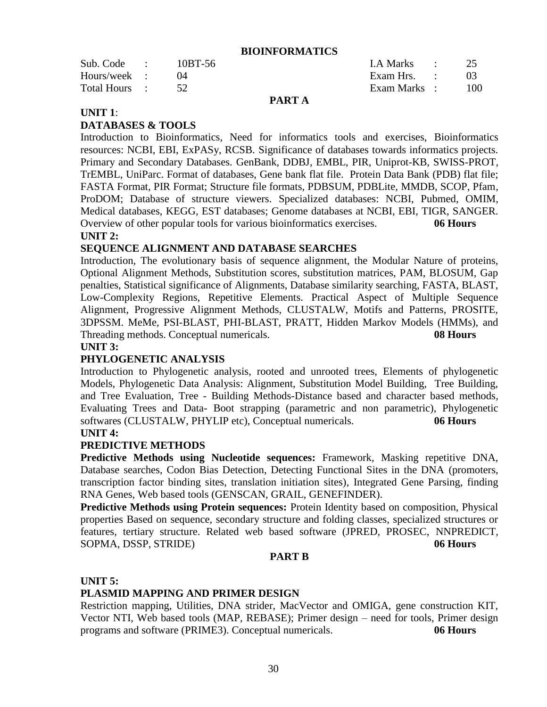#### **BIOINFORMATICS**

|               |         | _ . _ _ _ |              |     |
|---------------|---------|-----------|--------------|-----|
| Total Hours : |         |           | Exam Marks : | 100 |
| Hours/week :  |         |           | Exam Hrs. :  |     |
| Sub. Code :   | 10BT-56 |           | LA Marks :   |     |

#### **PART A**

#### **UNIT 1**:

## **DATABASES & TOOLS**

Introduction to Bioinformatics, Need for informatics tools and exercises, Bioinformatics resources: NCBI, EBI, ExPASy, RCSB. Significance of databases towards informatics projects. Primary and Secondary Databases. GenBank, DDBJ, EMBL, PIR, Uniprot-KB, SWISS-PROT, TrEMBL, UniParc. Format of databases, Gene bank flat file. Protein Data Bank (PDB) flat file; FASTA Format, PIR Format; Structure file formats, PDBSUM, PDBLite, MMDB, SCOP, Pfam, ProDOM; Database of structure viewers. Specialized databases: NCBI, Pubmed, OMIM, Medical databases, KEGG, EST databases; Genome databases at NCBI, EBI, TIGR, SANGER. Overview of other popular tools for various bioinformatics exercises. **06 Hours UNIT 2:**

## **SEQUENCE ALIGNMENT AND DATABASE SEARCHES**

Introduction, The evolutionary basis of sequence alignment, the Modular Nature of proteins, Optional Alignment Methods, Substitution scores, substitution matrices, PAM, BLOSUM, Gap penalties, Statistical significance of Alignments, Database similarity searching, FASTA, BLAST, Low-Complexity Regions, Repetitive Elements. Practical Aspect of Multiple Sequence Alignment, Progressive Alignment Methods, CLUSTALW, Motifs and Patterns, PROSITE, 3DPSSM. MeMe, PSI-BLAST, PHI-BLAST, PRATT, Hidden Markov Models (HMMs), and Threading methods. Conceptual numericals. **08 Hours**

#### **UNIT 3:**

#### **PHYLOGENETIC ANALYSIS**

Introduction to Phylogenetic analysis, rooted and unrooted trees, Elements of phylogenetic Models, Phylogenetic Data Analysis: Alignment, Substitution Model Building, Tree Building, and Tree Evaluation, Tree - Building Methods-Distance based and character based methods, Evaluating Trees and Data- Boot strapping (parametric and non parametric), Phylogenetic softwares (CLUSTALW, PHYLIP etc), Conceptual numericals. 06 Hours

## **UNIT 4:**

#### **PREDICTIVE METHODS**

**Predictive Methods using Nucleotide sequences:** Framework, Masking repetitive DNA, Database searches, Codon Bias Detection, Detecting Functional Sites in the DNA (promoters, transcription factor binding sites, translation initiation sites), Integrated Gene Parsing, finding RNA Genes, Web based tools (GENSCAN, GRAIL, GENEFINDER).

**Predictive Methods using Protein sequences:** Protein Identity based on composition, Physical properties Based on sequence, secondary structure and folding classes, specialized structures or features, tertiary structure. Related web based software (JPRED, PROSEC, NNPREDICT, SOPMA, DSSP, STRIDE) **06 Hours**

#### **PART B**

#### **UNIT 5:**

## **PLASMID MAPPING AND PRIMER DESIGN**

Restriction mapping, Utilities, DNA strider, MacVector and OMIGA, gene construction KIT, Vector NTI, Web based tools (MAP, REBASE); Primer design – need for tools, Primer design programs and software (PRIME3). Conceptual numericals. **06 Hours**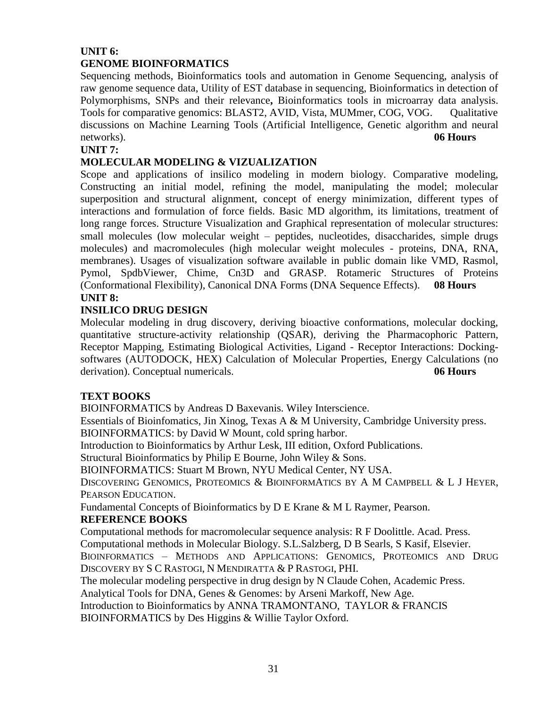## **UNIT 6: GENOME BIOINFORMATICS**

Sequencing methods, Bioinformatics tools and automation in Genome Sequencing, analysis of raw genome sequence data, Utility of EST database in sequencing, Bioinformatics in detection of Polymorphisms, SNPs and their relevance**,** Bioinformatics tools in microarray data analysis. Tools for comparative genomics: BLAST2, AVID, Vista, MUMmer, COG, VOG. Qualitative discussions on Machine Learning Tools (Artificial Intelligence, Genetic algorithm and neural networks). **06 Hours**

## **UNIT 7:**

## **MOLECULAR MODELING & VIZUALIZATION**

Scope and applications of insilico modeling in modern biology. Comparative modeling, Constructing an initial model, refining the model, manipulating the model; molecular superposition and structural alignment, concept of energy minimization, different types of interactions and formulation of force fields. Basic MD algorithm, its limitations, treatment of long range forces. Structure Visualization and Graphical representation of molecular structures: small molecules (low molecular weight – peptides, nucleotides, disaccharides, simple drugs molecules) and macromolecules (high molecular weight molecules - proteins, DNA, RNA, membranes). Usages of visualization software available in public domain like VMD, Rasmol, Pymol, SpdbViewer, Chime, Cn3D and GRASP. Rotameric Structures of Proteins (Conformational Flexibility), Canonical DNA Forms (DNA Sequence Effects). **08 Hours UNIT 8:**

## **INSILICO DRUG DESIGN**

Molecular modeling in drug discovery, deriving bioactive conformations, molecular docking, quantitative structure-activity relationship (QSAR), deriving the Pharmacophoric Pattern, Receptor Mapping, Estimating Biological Activities, Ligand - Receptor Interactions: Dockingsoftwares (AUTODOCK, HEX) Calculation of Molecular Properties, Energy Calculations (no derivation). Conceptual numericals. **06 Hours**

## **TEXT BOOKS**

BIOINFORMATICS by Andreas D Baxevanis. Wiley Interscience.

Essentials of Bioinfomatics, Jin Xinog, Texas A & M University, Cambridge University press. BIOINFORMATICS: by David W Mount, cold spring harbor.

Introduction to Bioinformatics by Arthur Lesk, III edition, Oxford Publications.

Structural Bioinformatics by Philip E Bourne, John Wiley & Sons.

BIOINFORMATICS: Stuart M Brown, NYU Medical Center, NY USA.

DISCOVERING GENOMICS, PROTEOMICS & BIOINFORMATICS BY A M CAMPBELL & L J HEYER, PEARSON EDUCATION.

Fundamental Concepts of Bioinformatics by D E Krane & M L Raymer, Pearson.

#### **REFERENCE BOOKS**

Computational methods for macromolecular sequence analysis: R F Doolittle. Acad. Press. Computational methods in Molecular Biology. S.L.Salzberg, D B Searls, S Kasif, Elsevier.

BIOINFORMATICS – METHODS AND APPLICATIONS: GENOMICS, PROTEOMICS AND DRUG DISCOVERY BY S C RASTOGI, N MENDIRATTA & P RASTOGI, PHI.

The molecular modeling perspective in drug design by N Claude Cohen, Academic Press.

Analytical Tools for DNA, Genes & Genomes: by Arseni Markoff, New Age.

Introduction to Bioinformatics by ANNA TRAMONTANO, TAYLOR & FRANCIS

BIOINFORMATICS by Des Higgins & Willie Taylor Oxford.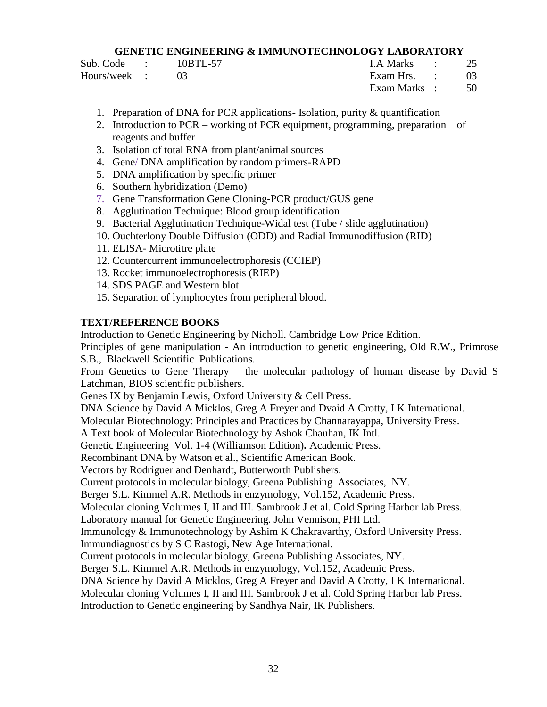#### **GENETIC ENGINEERING & IMMUNOTECHNOLOGY LABORATORY**

Sub. Code : 10BTL-57 I.A Marks : 25 Hours/week : 03 Exam Hrs. : 03

Exam Marks : 50

- 1. Preparation of DNA for PCR applications- Isolation, purity & quantification
- 2. Introduction to PCR working of PCR equipment, programming, preparation of reagents and buffer
- 3. Isolation of total RNA from plant/animal sources
- 4. Gene/ DNA amplification by random primers-RAPD
- 5. DNA amplification by specific primer
- 6. Southern hybridization (Demo)
- 7. Gene Transformation Gene Cloning-PCR product/GUS gene
- 8. Agglutination Technique: Blood group identification
- 9. Bacterial Agglutination Technique-Widal test (Tube / slide agglutination)
- 10. Ouchterlony Double Diffusion (ODD) and Radial Immunodiffusion (RID)
- 11. ELISA- Microtitre plate
- 12. Countercurrent immunoelectrophoresis (CCIEP)
- 13. Rocket immunoelectrophoresis (RIEP)
- 14. SDS PAGE and Western blot
- 15. Separation of lymphocytes from peripheral blood.

## **TEXT/REFERENCE BOOKS**

Introduction to Genetic Engineering by Nicholl. Cambridge Low Price Edition.

Principles of gene manipulation - An introduction to genetic engineering, Old R.W., Primrose S.B., Blackwell Scientific Publications.

From Genetics to Gene Therapy – the molecular pathology of human disease by David S Latchman, BIOS scientific publishers.

Genes IX by Benjamin Lewis, Oxford University & Cell Press.

DNA Science by David A Micklos, Greg A Freyer and Dvaid A Crotty, I K International.

Molecular Biotechnology: Principles and Practices by Channarayappa, University Press.

A Text book of Molecular Biotechnology by Ashok Chauhan, IK Intl.

Genetic Engineering Vol. 1-4 (Williamson Edition)**.** Academic Press.

Recombinant DNA by Watson et al., Scientific American Book.

Vectors by Rodriguer and Denhardt, Butterworth Publishers.

Current protocols in molecular biology, Greena Publishing Associates, NY.

Berger S.L. Kimmel A.R. Methods in enzymology, Vol.152, Academic Press.

Molecular cloning Volumes I, II and III. Sambrook J et al. Cold Spring Harbor lab Press.

Laboratory manual for Genetic Engineering. John Vennison, PHI Ltd.

Immunology & Immunotechnology by Ashim K Chakravarthy, Oxford University Press.

Immundiagnostics by S C Rastogi, New Age International.

Current protocols in molecular biology, Greena Publishing Associates, NY.

Berger S.L. Kimmel A.R. Methods in enzymology, Vol.152, Academic Press.

DNA Science by David A Micklos, Greg A Freyer and David A Crotty, I K International.

Molecular cloning Volumes I, II and III. Sambrook J et al. Cold Spring Harbor lab Press.

Introduction to Genetic engineering by Sandhya Nair, IK Publishers.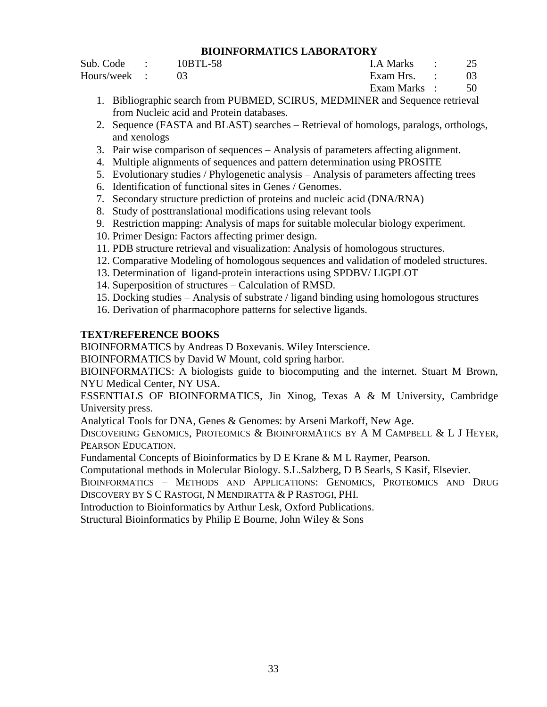#### **BIOINFORMATICS LABORATORY**

Sub. Code : 10BTL-58 I.A Marks : 25 Hours/week : 03 Exam Hrs. : 03

Exam Marks : 50

- 1. Bibliographic search from PUBMED, SCIRUS, MEDMINER and Sequence retrieval from Nucleic acid and Protein databases.
- 2. Sequence (FASTA and BLAST) searches Retrieval of homologs, paralogs, orthologs, and xenologs
- 3. Pair wise comparison of sequences Analysis of parameters affecting alignment.
- 4. Multiple alignments of sequences and pattern determination using PROSITE
- 5. Evolutionary studies / Phylogenetic analysis Analysis of parameters affecting trees
- 6. Identification of functional sites in Genes / Genomes.
- 7. Secondary structure prediction of proteins and nucleic acid (DNA/RNA)
- 8. Study of posttranslational modifications using relevant tools
- 9. Restriction mapping: Analysis of maps for suitable molecular biology experiment.
- 10. Primer Design: Factors affecting primer design.
- 11. PDB structure retrieval and visualization: Analysis of homologous structures.
- 12. Comparative Modeling of homologous sequences and validation of modeled structures.
- 13. Determination of ligand-protein interactions using SPDBV/ LIGPLOT
- 14. Superposition of structures Calculation of RMSD.
- 15. Docking studies Analysis of substrate / ligand binding using homologous structures
- 16. Derivation of pharmacophore patterns for selective ligands.

## **TEXT/REFERENCE BOOKS**

BIOINFORMATICS by Andreas D Boxevanis. Wiley Interscience.

BIOINFORMATICS by David W Mount, cold spring harbor.

BIOINFORMATICS: A biologists guide to biocomputing and the internet. Stuart M Brown, NYU Medical Center, NY USA.

ESSENTIALS OF BIOINFORMATICS, Jin Xinog, Texas A & M University, Cambridge University press.

Analytical Tools for DNA, Genes & Genomes: by Arseni Markoff, New Age.

DISCOVERING GENOMICS, PROTEOMICS & BIOINFORMATICS BY A M CAMPBELL & L J HEYER, PEARSON EDUCATION.

Fundamental Concepts of Bioinformatics by D E Krane & M L Raymer, Pearson.

Computational methods in Molecular Biology. S.L.Salzberg, D B Searls, S Kasif, Elsevier.

BIOINFORMATICS – METHODS AND APPLICATIONS: GENOMICS, PROTEOMICS AND DRUG DISCOVERY BY S C RASTOGI, N MENDIRATTA & P RASTOGI, PHI.

Introduction to Bioinformatics by Arthur Lesk, Oxford Publications.

Structural Bioinformatics by Philip E Bourne, John Wiley & Sons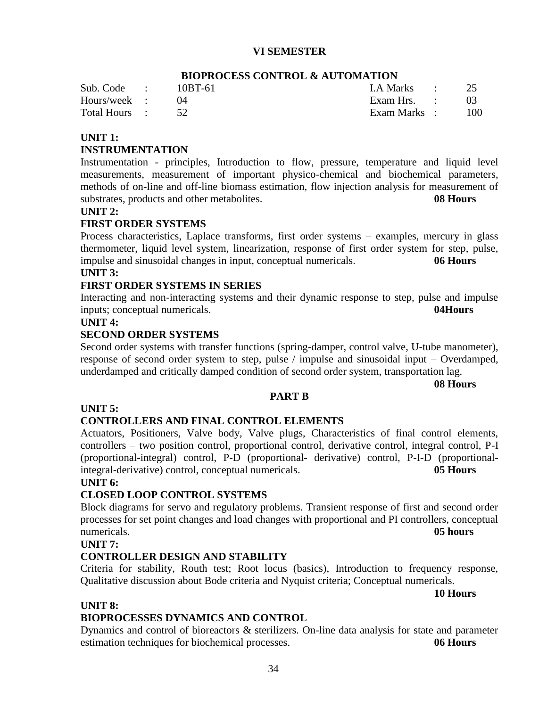## **VI SEMESTER**

|               | DIOI NOCHDO CONTINUM W NCTONITION |                |     |
|---------------|-----------------------------------|----------------|-----|
| Sub. Code :   | 10BT-61                           | I.A Marks : 25 |     |
| Hours/week :  |                                   |                |     |
| Total Hours : |                                   | Exam Marks :   | 100 |
|               |                                   |                |     |

## **BIOPROCESS CONTROL & AUTOMATION**

#### **UNIT 1:**

#### **INSTRUMENTATION**

Instrumentation - principles, Introduction to flow, pressure, temperature and liquid level measurements, measurement of important physico-chemical and biochemical parameters, methods of on-line and off-line biomass estimation, flow injection analysis for measurement of substrates, products and other metabolites. **08 Hours**

#### **UNIT 2:**

#### **FIRST ORDER SYSTEMS**

Process characteristics, Laplace transforms, first order systems – examples, mercury in glass thermometer, liquid level system, linearization, response of first order system for step, pulse, impulse and sinusoidal changes in input, conceptual numericals. **06 Hours**

## **UNIT 3:**

#### **FIRST ORDER SYSTEMS IN SERIES**

Interacting and non-interacting systems and their dynamic response to step, pulse and impulse inputs; conceptual numericals. **04Hours**

#### **UNIT 4:**

#### **SECOND ORDER SYSTEMS**

Second order systems with transfer functions (spring-damper, control valve, U-tube manometer), response of second order system to step, pulse / impulse and sinusoidal input – Overdamped, underdamped and critically damped condition of second order system, transportation lag.

**PART B**

**08 Hours**

#### **UNIT 5:**

#### **CONTROLLERS AND FINAL CONTROL ELEMENTS**

Actuators, Positioners, Valve body, Valve plugs, Characteristics of final control elements, controllers – two position control, proportional control, derivative control, integral control, P-I (proportional-integral) control, P-D (proportional- derivative) control, P-I-D (proportionalintegral-derivative) control, conceptual numericals. **05 Hours**

#### **UNIT 6:**

## **CLOSED LOOP CONTROL SYSTEMS**

Block diagrams for servo and regulatory problems. Transient response of first and second order processes for set point changes and load changes with proportional and PI controllers, conceptual numericals. **05 hours**

#### **UNIT 7:**

#### **CONTROLLER DESIGN AND STABILITY**

Criteria for stability, Routh test; Root locus (basics), Introduction to frequency response, Qualitative discussion about Bode criteria and Nyquist criteria; Conceptual numericals.

**10 Hours**

#### **UNIT 8:**

#### **BIOPROCESSES DYNAMICS AND CONTROL**

Dynamics and control of bioreactors & sterilizers. On-line data analysis for state and parameter estimation techniques for biochemical processes. **06 Hours**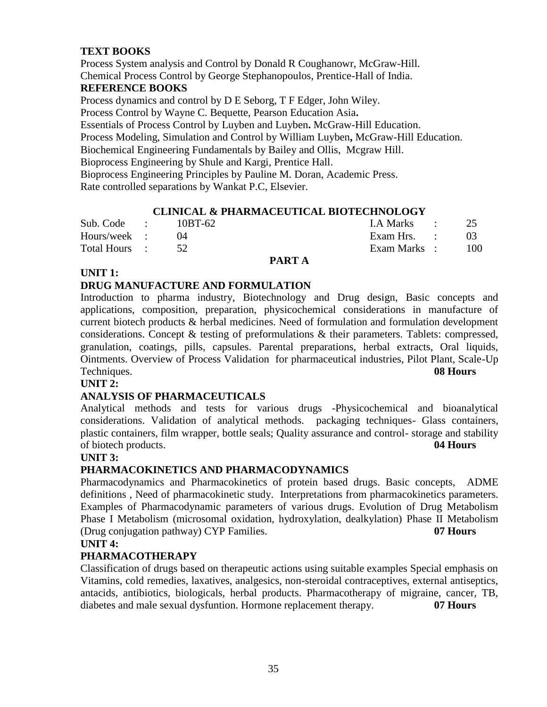## **TEXT BOOKS**

Process System analysis and Control by Donald R Coughanowr, McGraw-Hill. Chemical Process Control by George Stephanopoulos, Prentice-Hall of India.

## **REFERENCE BOOKS**

Process dynamics and control by D E Seborg, T F Edger, John Wiley.

Process Control by Wayne C. Bequette, Pearson Education Asia**.**

Essentials of Process Control by Luyben and Luyben**.** McGraw-Hill Education.

Process Modeling, Simulation and Control by William Luyben**,** McGraw-Hill Education.

Biochemical Engineering Fundamentals by Bailey and Ollis, Mcgraw Hill.

Bioprocess Engineering by Shule and Kargi, Prentice Hall.

Bioprocess Engineering Principles by Pauline M. Doran, Academic Press. Rate controlled separations by Wankat P.C, Elsevier.

## **CLINICAL & PHARMACEUTICAL BIOTECHNOLOGY**

| Sub. Code :   | 10BT-62 | LA Marks :   | 25  |
|---------------|---------|--------------|-----|
| Hours/week :  |         | Exam Hrs. :  |     |
| Total Hours : |         | Exam Marks : | 100 |

## **PART A**

#### **UNIT 1:**

## **DRUG MANUFACTURE AND FORMULATION**

Introduction to pharma industry, Biotechnology and Drug design, Basic concepts and applications, composition, preparation, physicochemical considerations in manufacture of current biotech products & herbal medicines. Need of formulation and formulation development considerations. Concept & testing of preformulations & their parameters. Tablets: compressed, granulation, coatings, pills, capsules. Parental preparations, herbal extracts, Oral liquids, Ointments. Overview of Process Validation for pharmaceutical industries, Pilot Plant, Scale-Up Techniques. **08 Hours**

## **UNIT 2:**

#### **ANALYSIS OF PHARMACEUTICALS**

Analytical methods and tests for various drugs -Physicochemical and bioanalytical considerations. Validation of analytical methods. packaging techniques- Glass containers, plastic containers, film wrapper, bottle seals; Quality assurance and control- storage and stability of biotech products. **04 Hours**

#### **UNIT 3:**

#### **PHARMACOKINETICS AND PHARMACODYNAMICS**

Pharmacodynamics and Pharmacokinetics of protein based drugs. Basic concepts, ADME definitions , Need of pharmacokinetic study. Interpretations from pharmacokinetics parameters. Examples of Pharmacodynamic parameters of various drugs. Evolution of Drug Metabolism Phase I Metabolism (microsomal oxidation, hydroxylation, dealkylation) Phase II Metabolism (Drug conjugation pathway) CYP Families. **07 Hours**

#### **UNIT 4:**

#### **PHARMACOTHERAPY**

Classification of drugs based on therapeutic actions using suitable examples Special emphasis on Vitamins, cold remedies, laxatives, analgesics, non-steroidal contraceptives, external antiseptics, antacids, antibiotics, biologicals, herbal products. Pharmacotherapy of migraine, cancer, TB, diabetes and male sexual dysfuntion. Hormone replacement therapy. **07 Hours**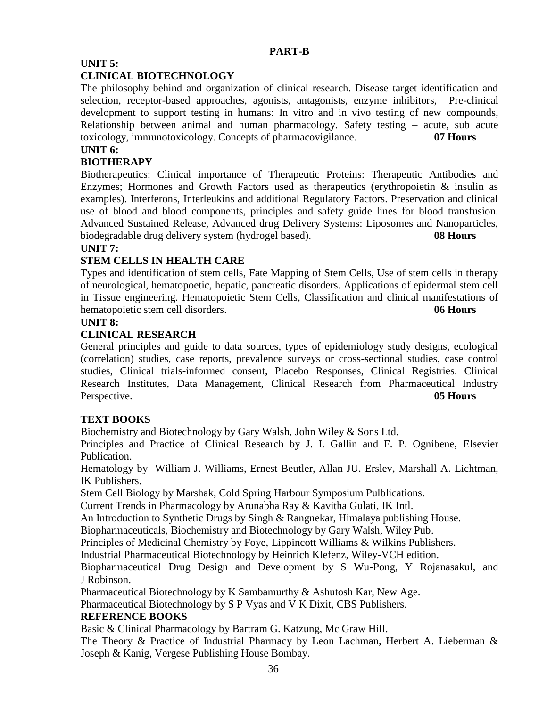## **PART-B**

## **UNIT 5:**

## **CLINICAL BIOTECHNOLOGY**

The philosophy behind and organization of clinical research. Disease target identification and selection, receptor-based approaches, agonists, antagonists, enzyme inhibitors, Pre-clinical development to support testing in humans: In vitro and in vivo testing of new compounds, Relationship between animal and human pharmacology. Safety testing – acute, sub acute toxicology, immunotoxicology. Concepts of pharmacovigilance. **07 Hours**

## **UNIT 6:**

## **BIOTHERAPY**

Biotherapeutics: Clinical importance of Therapeutic Proteins: Therapeutic Antibodies and Enzymes; Hormones and Growth Factors used as therapeutics (erythropoietin  $\&$  insulin as examples). Interferons, Interleukins and additional Regulatory Factors. Preservation and clinical use of blood and blood components, principles and safety guide lines for blood transfusion. Advanced Sustained Release, Advanced drug Delivery Systems: Liposomes and Nanoparticles, biodegradable drug delivery system (hydrogel based). **08 Hours**

## **UNIT 7:**

## **STEM CELLS IN HEALTH CARE**

Types and identification of stem cells, Fate Mapping of Stem Cells, Use of stem cells in therapy of neurological, hematopoetic, hepatic, pancreatic disorders. Applications of epidermal stem cell in Tissue engineering. Hematopoietic Stem Cells, Classification and clinical manifestations of hematopoietic stem cell disorders. **06 Hours**

## **UNIT 8:**

## **CLINICAL RESEARCH**

General principles and guide to data sources, types of epidemiology study designs, ecological (correlation) studies, case reports, prevalence surveys or cross-sectional studies, case control studies, Clinical trials-informed consent, Placebo Responses, Clinical Registries. Clinical Research Institutes, Data Management, Clinical Research from Pharmaceutical Industry Perspective. **05 Hours**

## **TEXT BOOKS**

Biochemistry and Biotechnology by Gary Walsh, John Wiley & Sons Ltd.

Principles and Practice of Clinical Research by J. I. Gallin and F. P. Ognibene, Elsevier Publication.

Hematology by William J. Williams, Ernest Beutler, Allan JU. Erslev, Marshall A. Lichtman, IK Publishers.

Stem Cell Biology by Marshak, Cold Spring Harbour Symposium Pulblications.

Current Trends in Pharmacology by Arunabha Ray & Kavitha Gulati, IK Intl.

An Introduction to Synthetic Drugs by Singh & Rangnekar, Himalaya publishing House.

Biopharmaceuticals, Biochemistry and Biotechnology by Gary Walsh, Wiley Pub.

Principles of Medicinal Chemistry by Foye, Lippincott Williams & Wilkins Publishers.

Industrial Pharmaceutical Biotechnology by Heinrich Klefenz, Wiley-VCH edition.

Biopharmaceutical Drug Design and Development by S Wu-Pong, Y Rojanasakul, and J Robinson.

Pharmaceutical Biotechnology by K Sambamurthy & Ashutosh Kar, New Age.

Pharmaceutical Biotechnology by S P Vyas and V K Dixit, CBS Publishers.

## **REFERENCE BOOKS**

Basic & Clinical Pharmacology by Bartram G. Katzung, Mc Graw Hill.

The Theory & Practice of Industrial Pharmacy by Leon Lachman, Herbert A. Lieberman & Joseph & Kanig, Vergese Publishing House Bombay.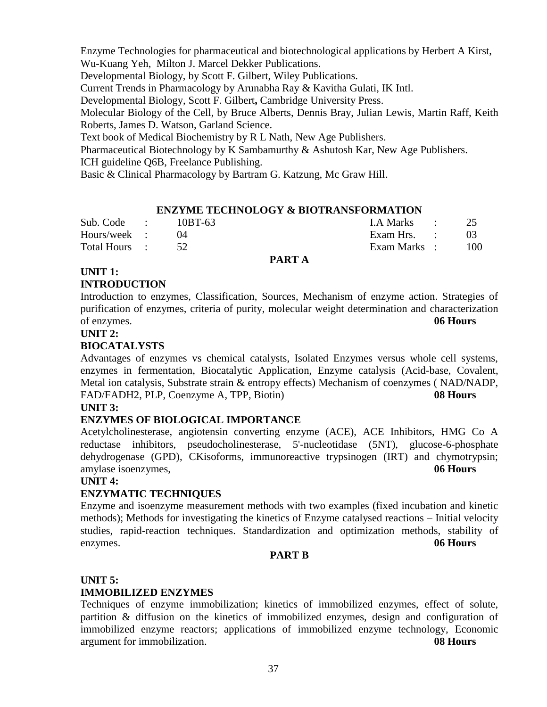Enzyme Technologies for pharmaceutical and biotechnological applications by Herbert A Kirst, Wu-Kuang Yeh, Milton J. Marcel Dekker Publications.

Developmental Biology, by Scott F. Gilbert, Wiley Publications.

Current Trends in Pharmacology by Arunabha Ray & Kavitha Gulati, IK Intl.

Developmental Biology, Scott F. Gilbert**,** Cambridge University Press.

Molecular Biology of the Cell, by Bruce Alberts, Dennis Bray, Julian Lewis, Martin Raff, Keith Roberts, James D. Watson, Garland Science.

Text book of Medical Biochemistry by R L Nath, New Age Publishers.

Pharmaceutical Biotechnology by K Sambamurthy & Ashutosh Kar, New Age Publishers.

ICH guideline Q6B, Freelance Publishing.

Basic & Clinical Pharmacology by Bartram G. Katzung, Mc Graw Hill.

#### **ENZYME TECHNOLOGY & BIOTRANSFORMATION**

| Sub. Code :   | 10BT-63 | I.A Marks :  |     |
|---------------|---------|--------------|-----|
| Hours/week :  |         | Exam Hrs. :  | 03  |
| Total Hours : |         | Exam Marks : | 100 |

#### **PART A**

### **UNIT 1: INTRODUCTION**

Introduction to enzymes, Classification, Sources, Mechanism of enzyme action. Strategies of purification of enzymes, criteria of purity, molecular weight determination and characterization of enzymes. **06 Hours**

#### **UNIT 2:**

### **BIOCATALYSTS**

Advantages of enzymes vs chemical catalysts, Isolated Enzymes versus whole cell systems, enzymes in fermentation, Biocatalytic Application, Enzyme catalysis (Acid-base, Covalent, Metal ion catalysis, Substrate strain & entropy effects) Mechanism of coenzymes ( NAD/NADP, FAD/FADH2, PLP, Coenzyme A, TPP, Biotin) **08 Hours**

#### **UNIT 3:**

### **ENZYMES OF BIOLOGICAL IMPORTANCE**

Acetylcholinesterase, angiotensin converting enzyme (ACE), ACE Inhibitors, HMG Co A reductase inhibitors, pseudocholinesterase, 5'-nucleotidase (5NT), glucose-6-phosphate dehydrogenase (GPD), CKisoforms, immunoreactive trypsinogen (IRT) and chymotrypsin; amylase isoenzymes, **06 Hours**

#### **UNIT 4:**

### **ENZYMATIC TECHNIQUES**

Enzyme and isoenzyme measurement methods with two examples (fixed incubation and kinetic methods); Methods for investigating the kinetics of Enzyme catalysed reactions – Initial velocity studies, rapid-reaction techniques. Standardization and optimization methods, stability of enzymes. **06 Hours**

#### **PART B**

#### **UNIT 5:**

### **IMMOBILIZED ENZYMES**

Techniques of enzyme immobilization; kinetics of immobilized enzymes, effect of solute, partition & diffusion on the kinetics of immobilized enzymes, design and configuration of immobilized enzyme reactors; applications of immobilized enzyme technology, Economic argument for immobilization. **08 Hours**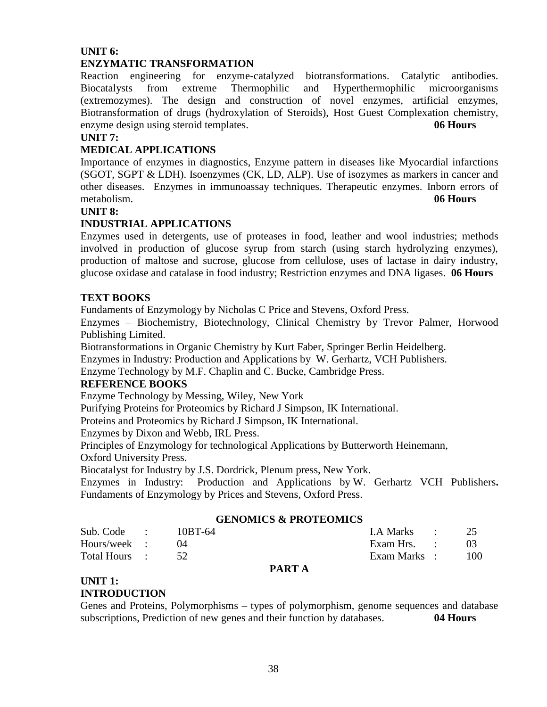### **UNIT 6:**

#### **ENZYMATIC TRANSFORMATION**

Reaction engineering for enzyme-catalyzed biotransformations. Catalytic antibodies. Biocatalysts from extreme Thermophilic and Hyperthermophilic microorganisms (extremozymes). The design and construction of novel enzymes, artificial enzymes, Biotransformation of drugs (hydroxylation of Steroids), Host Guest Complexation chemistry, enzyme design using steroid templates. **06 Hours**

#### **UNIT 7:**

#### **MEDICAL APPLICATIONS**

Importance of enzymes in diagnostics, Enzyme pattern in diseases like Myocardial infarctions (SGOT, SGPT & LDH). Isoenzymes (CK, LD, ALP). Use of isozymes as markers in cancer and other diseases. Enzymes in immunoassay techniques. Therapeutic enzymes. Inborn errors of metabolism. **06 Hours**

#### **UNIT 8:**

#### **INDUSTRIAL APPLICATIONS**

Enzymes used in detergents, use of proteases in food, leather and wool industries; methods involved in production of glucose syrup from starch (using starch hydrolyzing enzymes), production of maltose and sucrose, glucose from cellulose, uses of lactase in dairy industry, glucose oxidase and catalase in food industry; Restriction enzymes and DNA ligases. **06 Hours**

#### **TEXT BOOKS**

Fundaments of Enzymology by Nicholas C Price and Stevens, Oxford Press.

Enzymes – Biochemistry, Biotechnology, Clinical Chemistry by Trevor Palmer, Horwood Publishing Limited.

Biotransformations in Organic Chemistry by Kurt Faber, Springer Berlin Heidelberg.

Enzymes in Industry: Production and Applications by W. Gerhartz, VCH Publishers.

Enzyme Technology by M.F. Chaplin and C. Bucke, Cambridge Press.

#### **REFERENCE BOOKS**

Enzyme Technology by Messing, Wiley, New York

Purifying Proteins for Proteomics by Richard J Simpson, IK International.

Proteins and Proteomics by Richard J Simpson, IK International.

Enzymes by Dixon and Webb, IRL Press.

Principles of Enzymology for technological Applications by Butterworth Heinemann,

Oxford University Press.

Biocatalyst for Industry by J.S. Dordrick, Plenum press, New York.

Enzymes in Industry: Production and Applications by W. Gerhartz VCH Publishers**.** Fundaments of Enzymology by Prices and Stevens, Oxford Press.

#### **GENOMICS & PROTEOMICS**

| Total Hours : 52 |         | Exam Marks : 100 |     |
|------------------|---------|------------------|-----|
| Hours/week :     |         | Exam Hrs. :      | -03 |
| Sub. Code :      | 10BT-64 | I.A Marks : 25   |     |

#### **PART A**

### **UNIT 1:**

### **INTRODUCTION**

Genes and Proteins, Polymorphisms – types of polymorphism, genome sequences and database subscriptions, Prediction of new genes and their function by databases. **04 Hours**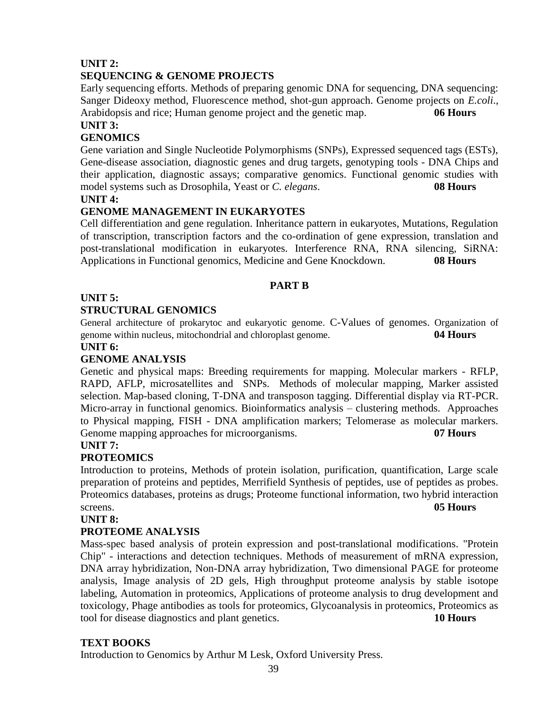### **UNIT 2:**

### **SEQUENCING & GENOME PROJECTS**

Early sequencing efforts. Methods of preparing genomic DNA for sequencing, DNA sequencing: Sanger Dideoxy method, Fluorescence method, shot-gun approach. Genome projects on *E.coli*., Arabidopsis and rice; Human genome project and the genetic map. **06 Hours**

### **UNIT 3:**

### **GENOMICS**

Gene variation and Single Nucleotide Polymorphisms (SNPs), Expressed sequenced tags (ESTs), Gene-disease association, diagnostic genes and drug targets, genotyping tools - DNA Chips and their application, diagnostic assays; comparative genomics. Functional genomic studies with model systems such as Drosophila, Yeast or *C. elegans*. **08 Hours**

#### **UNIT 4:**

### **GENOME MANAGEMENT IN EUKARYOTES**

Cell differentiation and gene regulation. Inheritance pattern in eukaryotes, Mutations, Regulation of transcription, transcription factors and the co-ordination of gene expression, translation and post-translational modification in eukaryotes. Interference RNA, RNA silencing, SiRNA: Applications in Functional genomics, Medicine and Gene Knockdown. **08 Hours**

### **PART B**

### **UNIT 5:**

### **STRUCTURAL GENOMICS**

General architecture of prokarytoc and eukaryotic genome. C-Values of genomes. Organization of genome within nucleus, mitochondrial and chloroplast genome. **04 Hours**

#### **UNIT 6:**

### **GENOME ANALYSIS**

Genetic and physical maps: Breeding requirements for mapping. Molecular markers - RFLP, RAPD, AFLP, microsatellites and SNPs. Methods of molecular mapping, Marker assisted selection. Map-based cloning, T-DNA and transposon tagging. Differential display via RT-PCR. Micro-array in functional genomics. Bioinformatics analysis – clustering methods. Approaches to Physical mapping, FISH - DNA amplification markers; Telomerase as molecular markers. Genome mapping approaches for microorganisms. **07 Hours**

#### **UNIT 7:**

### **PROTEOMICS**

Introduction to proteins, Methods of protein isolation, purification, quantification, Large scale preparation of proteins and peptides, Merrifield Synthesis of peptides, use of peptides as probes. Proteomics databases, proteins as drugs; Proteome functional information, two hybrid interaction screens. **05 Hours**

#### **UNIT 8:**

### **PROTEOME ANALYSIS**

Mass-spec based analysis of protein expression and post-translational modifications. "Protein Chip" - interactions and detection techniques. Methods of measurement of mRNA expression, DNA array hybridization, Non-DNA array hybridization, Two dimensional PAGE for proteome analysis, Image analysis of 2D gels, High throughput proteome analysis by stable isotope labeling, Automation in proteomics, Applications of proteome analysis to drug development and toxicology, Phage antibodies as tools for proteomics, Glycoanalysis in proteomics, Proteomics as tool for disease diagnostics and plant genetics. **10 Hours**

#### **TEXT BOOKS**

Introduction to Genomics by Arthur M Lesk, Oxford University Press.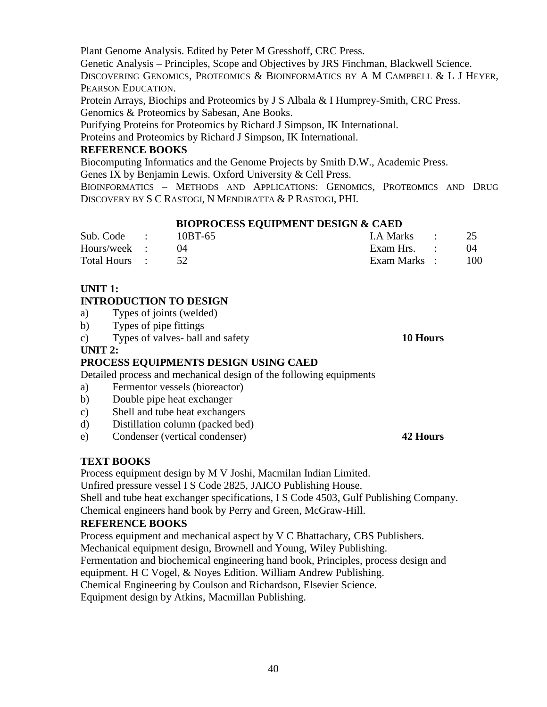Plant Genome Analysis. Edited by Peter M Gresshoff, CRC Press.

Genetic Analysis – Principles, Scope and Objectives by JRS Finchman, Blackwell Science. DISCOVERING GENOMICS, PROTEOMICS & BIOINFORMATICS BY A M CAMPBELL & L J HEYER, PEARSON EDUCATION.

Protein Arrays, Biochips and Proteomics by J S Albala & I Humprey-Smith, CRC Press. Genomics & Proteomics by Sabesan, Ane Books.

Purifying Proteins for Proteomics by Richard J Simpson, IK International.

Proteins and Proteomics by Richard J Simpson, IK International.

### **REFERENCE BOOKS**

Biocomputing Informatics and the Genome Projects by Smith D.W., Academic Press.

Genes IX by Benjamin Lewis. Oxford University & Cell Press.

BIOINFORMATICS – METHODS AND APPLICATIONS: GENOMICS, PROTEOMICS AND DRUG DISCOVERY BY S C RASTOGI, N MENDIRATTA & P RASTOGI, PHI.

### **BIOPROCESS EQUIPMENT DESIGN & CAED**

| Sub. Code :      | 10BT-65 | I.A Marks : 25 |      |
|------------------|---------|----------------|------|
| Hours/week :     |         | Exam Hrs. :    | (1)4 |
| Total Hours : 52 |         | Exam Marks :   | 100  |

### **UNIT 1:**

### **INTRODUCTION TO DESIGN**

- a) Types of joints (welded)
- b) Types of pipe fittings
- c) Types of valves- ball and safety **10 Hours**

### **UNIT 2:**

### **PROCESS EQUIPMENTS DESIGN USING CAED**

Detailed process and mechanical design of the following equipments

- a) Fermentor vessels (bioreactor)
- b) Double pipe heat exchanger
- c) Shell and tube heat exchangers
- d) Distillation column (packed bed)
- e) Condenser (vertical condenser) **42 Hours**

### **TEXT BOOKS**

Process equipment design by M V Joshi, Macmilan Indian Limited.

Unfired pressure vessel I S Code 2825, JAICO Publishing House.

Shell and tube heat exchanger specifications, I S Code 4503, Gulf Publishing Company.

Chemical engineers hand book by Perry and Green, McGraw-Hill.

### **REFERENCE BOOKS**

Process equipment and mechanical aspect by V C Bhattachary, CBS Publishers. Mechanical equipment design, Brownell and Young, Wiley Publishing.

Fermentation and biochemical engineering hand book, Principles, process design and

equipment. H C Vogel, & Noyes Edition. William Andrew Publishing.

Chemical Engineering by Coulson and Richardson, Elsevier Science.

Equipment design by Atkins, Macmillan Publishing.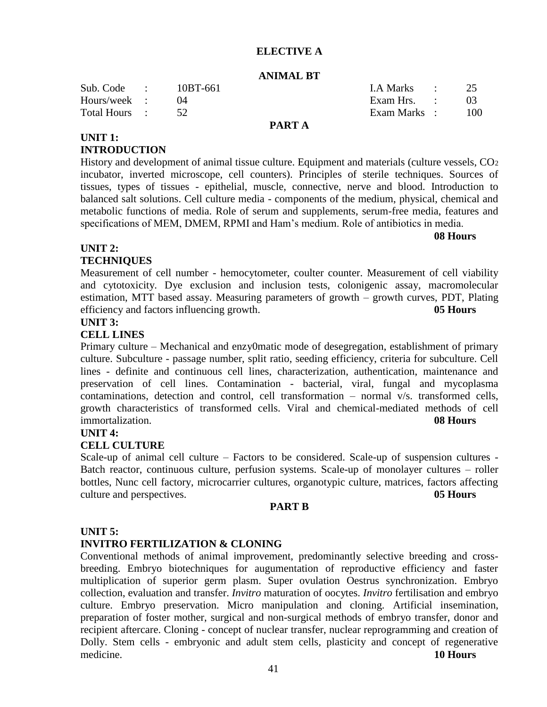#### **ELECTIVE A**

#### **ANIMAL BT**

| Sub. Code :   | 10BT-661 |        | I.A Marks :  | 25  |
|---------------|----------|--------|--------------|-----|
| Hours/week :  |          |        | Exam Hrs. :  |     |
| Total Hours : |          |        | Exam Marks : | 100 |
|               |          | PART A |              |     |

### **UNIT 1: INTRODUCTION**

History and development of animal tissue culture. Equipment and materials (culture vessels, CO<sub>2</sub> incubator, inverted microscope, cell counters). Principles of sterile techniques. Sources of tissues, types of tissues - epithelial, muscle, connective, nerve and blood. Introduction to balanced salt solutions. Cell culture media - components of the medium, physical, chemical and metabolic functions of media. Role of serum and supplements, serum-free media, features and specifications of MEM, DMEM, RPMI and Ham's medium. Role of antibiotics in media.

**08 Hours** 

### **UNIT 2:**

### **TECHNIQUES**

Measurement of cell number - hemocytometer, coulter counter. Measurement of cell viability and cytotoxicity. Dye exclusion and inclusion tests, colonigenic assay, macromolecular estimation, MTT based assay. Measuring parameters of growth – growth curves, PDT, Plating efficiency and factors influencing growth. **05 Hours**

### **UNIT 3:**

#### **CELL LINES**

Primary culture – Mechanical and enzy0matic mode of desegregation, establishment of primary culture. Subculture - passage number, split ratio, seeding efficiency, criteria for subculture. Cell lines - definite and continuous cell lines, characterization, authentication, maintenance and preservation of cell lines. Contamination - bacterial, viral, fungal and mycoplasma contaminations, detection and control, cell transformation – normal v/s. transformed cells, growth characteristics of transformed cells. Viral and chemical-mediated methods of cell immortalization. **08 Hours**

#### **UNIT 4:**

#### **CELL CULTURE**

Scale-up of animal cell culture – Factors to be considered. Scale-up of suspension cultures - Batch reactor, continuous culture, perfusion systems. Scale-up of monolayer cultures – roller bottles, Nunc cell factory, microcarrier cultures, organotypic culture, matrices, factors affecting culture and perspectives. **05 Hours**

#### **PART B**

#### **UNIT 5:**

#### **INVITRO FERTILIZATION & CLONING**

Conventional methods of animal improvement, predominantly selective breeding and crossbreeding. Embryo biotechniques for augumentation of reproductive efficiency and faster multiplication of superior germ plasm. Super ovulation Oestrus synchronization. Embryo collection, evaluation and transfer. *Invitro* maturation of oocytes. *Invitro* fertilisation and embryo culture. Embryo preservation. Micro manipulation and cloning. Artificial insemination, preparation of foster mother, surgical and non-surgical methods of embryo transfer, donor and recipient aftercare. Cloning - concept of nuclear transfer, nuclear reprogramming and creation of Dolly. Stem cells - embryonic and adult stem cells, plasticity and concept of regenerative medicine. **10 Hours**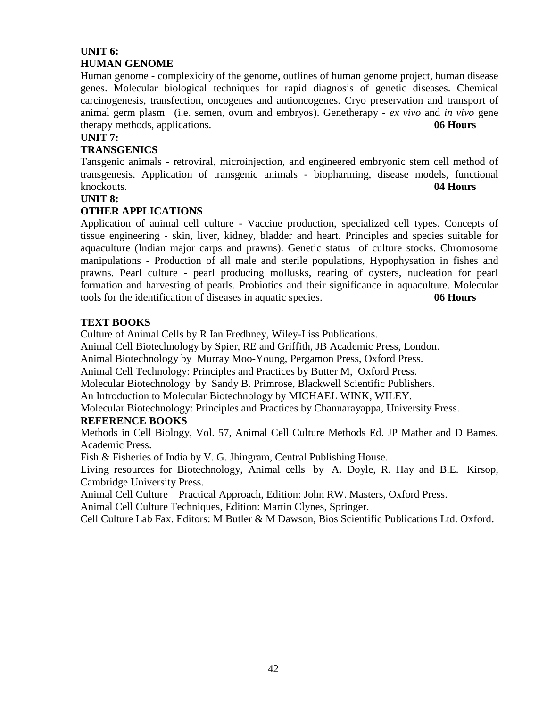### **UNIT 6: HUMAN GENOME**

Human genome - complexicity of the genome, outlines of human genome project, human disease genes. Molecular biological techniques for rapid diagnosis of genetic diseases. Chemical carcinogenesis, transfection, oncogenes and antioncogenes. Cryo preservation and transport of animal germ plasm (i.e. semen, ovum and embryos). Genetherapy - *ex vivo* and *in vivo* gene therapy methods, applications. **06 Hours**

### **UNIT 7:**

### **TRANSGENICS**

Tansgenic animals - retroviral, microinjection, and engineered embryonic stem cell method of transgenesis. Application of transgenic animals - biopharming, disease models, functional knockouts. **04 Hours**

#### **UNIT 8:**

### **OTHER APPLICATIONS**

Application of animal cell culture - Vaccine production, specialized cell types. Concepts of tissue engineering - skin, liver, kidney, bladder and heart. Principles and species suitable for aquaculture (Indian major carps and prawns). Genetic status of culture stocks. Chromosome manipulations - Production of all male and sterile populations, Hypophysation in fishes and prawns. Pearl culture - pearl producing mollusks, rearing of oysters, nucleation for pearl formation and harvesting of pearls. Probiotics and their significance in aquaculture. Molecular tools for the identification of diseases in aquatic species. **06 Hours**

### **TEXT BOOKS**

Culture of Animal Cells by R Ian Fredhney, Wiley-Liss Publications.

Animal Cell Biotechnology by Spier, RE and Griffith, JB Academic Press, London.

Animal Biotechnology by Murray Moo-Young, Pergamon Press, Oxford Press.

Animal Cell Technology: Principles and Practices by Butter M, Oxford Press.

Molecular Biotechnology by Sandy B. Primrose, Blackwell Scientific Publishers.

An Introduction to Molecular Biotechnology by MICHAEL WINK, WILEY.

Molecular Biotechnology: Principles and Practices by Channarayappa, University Press.

#### **REFERENCE BOOKS**

Methods in Cell Biology, Vol. 57, Animal Cell Culture Methods Ed. JP Mather and D Bames. Academic Press.

Fish & Fisheries of India by V. G. Jhingram, Central Publishing House.

Living resources for Biotechnology, Animal cells by A. Doyle, R. Hay and B.E. Kirsop, Cambridge University Press.

Animal Cell Culture – Practical Approach, Edition: John RW. Masters, Oxford Press.

Animal Cell Culture Techniques, Edition: Martin Clynes, Springer.

Cell Culture Lab Fax. Editors: M Butler & M Dawson, Bios Scientific Publications Ltd. Oxford.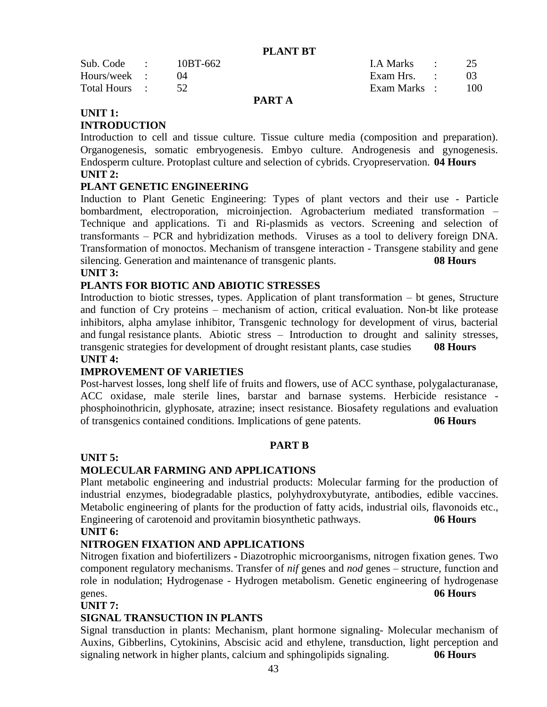**PLANT BT**

| Total Hours : |          | Exam Marks : | - 100 |
|---------------|----------|--------------|-------|
| Hours/week :  |          | Exam Hrs. :  |       |
| Sub. Code :   | 10BT-662 | I.A Marks :  |       |

#### **PART A**

### **UNIT 1:**

### **INTRODUCTION**

Introduction to cell and tissue culture. Tissue culture media (composition and preparation). Organogenesis, somatic embryogenesis. Embyo culture. Androgenesis and gynogenesis. Endosperm culture. Protoplast culture and selection of cybrids. Cryopreservation. **04 Hours UNIT 2:**

### **PLANT GENETIC ENGINEERING**

Induction to Plant Genetic Engineering: Types of plant vectors and their use - Particle bombardment, electroporation, microinjection. Agrobacterium mediated transformation – Technique and applications. Ti and Ri-plasmids as vectors. Screening and selection of transformants – PCR and hybridization methods. Viruses as a tool to delivery foreign DNA. Transformation of monoctos. Mechanism of transgene interaction - Transgene stability and gene silencing. Generation and maintenance of transgenic plants. **08 Hours**

#### **UNIT 3:**

### **PLANTS FOR BIOTIC AND ABIOTIC STRESSES**

Introduction to biotic stresses, types. Application of plant transformation – bt genes, Structure and function of Cry proteins – mechanism of action, critical evaluation. Non-bt like protease inhibitors, alpha amylase inhibitor, Transgenic technology for development of virus, bacterial and fungal resistance plants. Abiotic stress – Introduction to drought and salinity stresses, transgenic strategies for development of drought resistant plants, case studies **08 Hours UNIT 4:**

### **IMPROVEMENT OF VARIETIES**

Post-harvest losses, long shelf life of fruits and flowers, use of ACC synthase, polygalacturanase, ACC oxidase, male sterile lines, barstar and barnase systems. Herbicide resistance phosphoinothricin, glyphosate, atrazine; insect resistance. Biosafety regulations and evaluation of transgenics contained conditions. Implications of gene patents. **06 Hours**

#### **PART B**

#### **UNIT 5:**

### **MOLECULAR FARMING AND APPLICATIONS**

Plant metabolic engineering and industrial products: Molecular farming for the production of industrial enzymes, biodegradable plastics, polyhydroxybutyrate, antibodies, edible vaccines. Metabolic engineering of plants for the production of fatty acids, industrial oils, flavonoids etc., Engineering of carotenoid and provitamin biosynthetic pathways. **06 Hours UNIT 6:**

#### **NITROGEN FIXATION AND APPLICATIONS**

Nitrogen fixation and biofertilizers **-** Diazotrophic microorganisms, nitrogen fixation genes. Two component regulatory mechanisms. Transfer of *nif* genes and *nod* genes – structure, function and role in nodulation; Hydrogenase - Hydrogen metabolism. Genetic engineering of hydrogenase genes. **06 Hours**

#### **UNIT 7:**

### **SIGNAL TRANSUCTION IN PLANTS**

Signal transduction in plants: Mechanism, plant hormone signaling- Molecular mechanism of Auxins, Gibberlins, Cytokinins, Abscisic acid and ethylene, transduction, light perception and signaling network in higher plants, calcium and sphingolipids signaling. **06 Hours**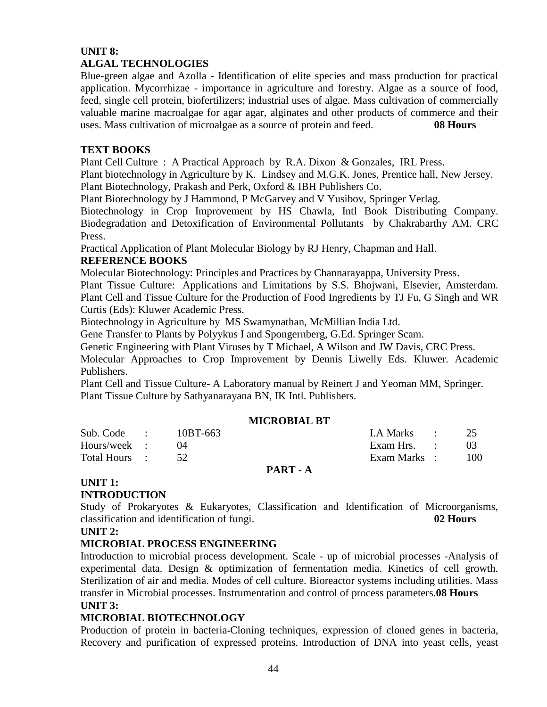### **UNIT 8: ALGAL TECHNOLOGIES**

Blue-green algae and Azolla - Identification of elite species and mass production for practical application. Mycorrhizae - importance in agriculture and forestry. Algae as a source of food, feed, single cell protein, biofertilizers; industrial uses of algae. Mass cultivation of commercially valuable marine macroalgae for agar agar, alginates and other products of commerce and their uses. Mass cultivation of microalgae as a source of protein and feed. **08 Hours**

### **TEXT BOOKS**

Plant Cell Culture : A Practical Approach by R.A. Dixon & Gonzales, IRL Press.

Plant biotechnology in Agriculture by K. Lindsey and M.G.K. Jones, Prentice hall, New Jersey. Plant Biotechnology, Prakash and Perk, Oxford & IBH Publishers Co.

Plant Biotechnology by J Hammond, P McGarvey and V Yusibov, Springer Verlag.

Biotechnology in Crop Improvement by HS Chawla, Intl Book Distributing Company. Biodegradation and Detoxification of Environmental Pollutants by Chakrabarthy AM. CRC Press.

Practical Application of Plant Molecular Biology by RJ Henry, Chapman and Hall.

### **REFERENCE BOOKS**

Molecular Biotechnology: Principles and Practices by Channarayappa, University Press.

Plant Tissue Culture: Applications and Limitations by S.S. Bhojwani, Elsevier, Amsterdam. Plant Cell and Tissue Culture for the Production of Food Ingredients by TJ Fu, G Singh and WR Curtis (Eds): Kluwer Academic Press.

Biotechnology in Agriculture by MS Swamynathan, McMillian India Ltd.

Gene Transfer to Plants by Polyykus I and Spongernberg, G.Ed. Springer Scam.

Genetic Engineering with Plant Viruses by T Michael, A Wilson and JW Davis, CRC Press.

Molecular Approaches to Crop Improvement by Dennis Liwelly Eds. Kluwer. Academic Publishers.

Plant Cell and Tissue Culture- A Laboratory manual by Reinert J and Yeoman MM, Springer. Plant Tissue Culture by Sathyanarayana BN, IK Intl. Publishers.

### **MICROBIAL BT**

| Total Hours : 52 |          | Exam Marks : 100 |        |
|------------------|----------|------------------|--------|
| Hours/week :     |          | Exam Hrs. :      | - 03 - |
| Sub. Code :      | 10BT-663 | LA Marks : 25    |        |

#### **PART - A**

# **UNIT 1:**

### **INTRODUCTION**

Study of Prokaryotes & Eukaryotes, Classification and Identification of Microorganisms, classification and identification of fungi. **02 Hours**

#### **UNIT 2:**

### **MICROBIAL PROCESS ENGINEERING**

Introduction to microbial process development. Scale - up of microbial processes -Analysis of experimental data. Design & optimization of fermentation media. Kinetics of cell growth. Sterilization of air and media. Modes of cell culture. Bioreactor systems including utilities. Mass transfer in Microbial processes. Instrumentation and control of process parameters.**08 Hours UNIT 3:**

### **MICROBIAL BIOTECHNOLOGY**

Production of protein in bacteria**-**Cloning techniques, expression of cloned genes in bacteria, Recovery and purification of expressed proteins. Introduction of DNA into yeast cells, yeast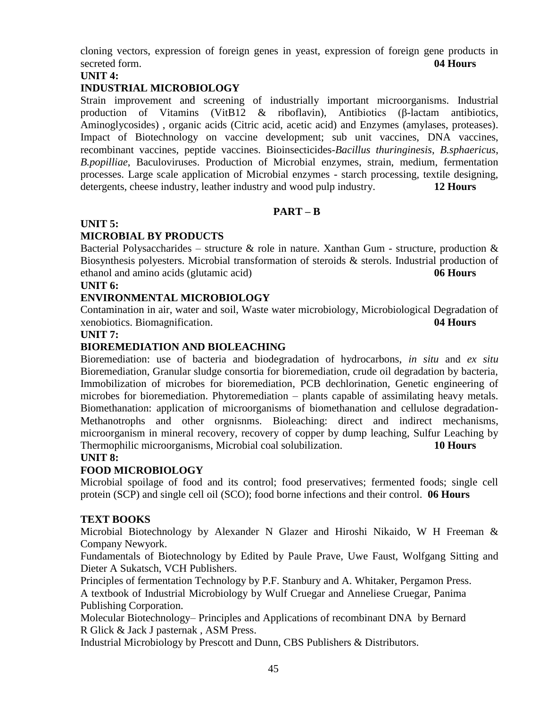cloning vectors, expression of foreign genes in yeast, expression of foreign gene products in secreted form. **04 Hours**

### **UNIT 4:**

### **INDUSTRIAL MICROBIOLOGY**

Strain improvement and screening of industrially important microorganisms. Industrial production of Vitamins (VitB12 & riboflavin), Antibiotics (β-lactam antibiotics, Aminoglycosides) , organic acids (Citric acid, acetic acid) and Enzymes (amylases, proteases). Impact of Biotechnology on vaccine development; sub unit vaccines, DNA vaccines, recombinant vaccines, peptide vaccines. Bioinsecticides-*Bacillus thuringinesis*, *B.sphaericus*, *B.popilliae*, Baculoviruses. Production of Microbial enzymes, strain, medium, fermentation processes. Large scale application of Microbial enzymes - starch processing, textile designing, detergents, cheese industry, leather industry and wood pulp industry. **12 Hours**

#### **PART – B**

#### **UNIT 5:**

### **MICROBIAL BY PRODUCTS**

Bacterial Polysaccharides – structure & role in nature. Xanthan Gum - structure, production & Biosynthesis polyesters. Microbial transformation of steroids & sterols. Industrial production of ethanol and amino acids (glutamic acid) **06 Hours**

#### **UNIT 6:**

#### **ENVIRONMENTAL MICROBIOLOGY**

Contamination in air, water and soil, Waste water microbiology, Microbiological Degradation of xenobiotics. Biomagnification. **04 Hours**

#### **UNIT 7:**

### **BIOREMEDIATION AND BIOLEACHING**

Bioremediation: use of bacteria and biodegradation of hydrocarbons, *in situ* and *ex situ* Bioremediation, Granular sludge consortia for bioremediation, crude oil degradation by bacteria, Immobilization of microbes for bioremediation, PCB dechlorination, Genetic engineering of microbes for bioremediation. Phytoremediation – plants capable of assimilating heavy metals. Biomethanation: application of microorganisms of biomethanation and cellulose degradation-Methanotrophs and other orgnisnms. Bioleaching: direct and indirect mechanisms, microorganism in mineral recovery, recovery of copper by dump leaching, Sulfur Leaching by Thermophilic microorganisms, Microbial coal solubilization. **10 Hours**

### **UNIT 8:**

#### **FOOD MICROBIOLOGY**

Microbial spoilage of food and its control; food preservatives; fermented foods; single cell protein (SCP) and single cell oil (SCO); food borne infections and their control. **06 Hours**

#### **TEXT BOOKS**

Microbial Biotechnology by Alexander N Glazer and Hiroshi Nikaido, W H Freeman & Company Newyork.

Fundamentals of Biotechnology by Edited by Paule Prave, Uwe Faust, Wolfgang Sitting and Dieter A Sukatsch, VCH Publishers.

Principles of fermentation Technology by P.F. Stanbury and A. Whitaker, Pergamon Press.

A textbook of Industrial Microbiology by Wulf Cruegar and Anneliese Cruegar, Panima Publishing Corporation.

Molecular Biotechnology– Principles and Applications of recombinant DNA by Bernard R Glick & Jack J pasternak , ASM Press.

Industrial Microbiology by Prescott and Dunn, CBS Publishers & Distributors.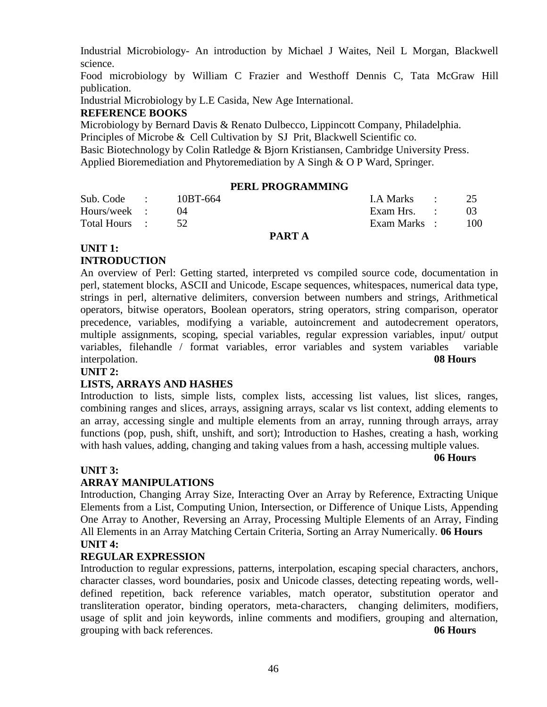Industrial Microbiology- An introduction by Michael J Waites, Neil L Morgan, Blackwell science.

Food microbiology by William C Frazier and Westhoff Dennis C, Tata McGraw Hill publication.

Industrial Microbiology by L.E Casida, New Age International.

### **REFERENCE BOOKS**

Microbiology by Bernard Davis & Renato Dulbecco, Lippincott Company, Philadelphia.

Principles of Microbe & Cell Cultivation by SJ Prit, Blackwell Scientific co. Basic Biotechnology by Colin Ratledge & Bjorn Kristiansen, Cambridge University Press.

Applied Bioremediation and Phytoremediation by A Singh & O P Ward, Springer.

#### **PERL PROGRAMMING**

| Sub. Code :   | 10BT-664 | I.A Marks : 25 |                 |
|---------------|----------|----------------|-----------------|
| Hours/week :  |          | Exam Hrs. :    | 03 <sup>2</sup> |
| Total Hours : |          | Exam Marks :   | 100             |

#### **PART A**

### **UNIT 1:**

### **INTRODUCTION**

An overview of Perl: Getting started, interpreted vs compiled source code, documentation in perl, statement blocks, ASCII and Unicode, Escape sequences, whitespaces, numerical data type, strings in perl, alternative delimiters, conversion between numbers and strings, Arithmetical operators, bitwise operators, Boolean operators, string operators, string comparison, operator precedence, variables, modifying a variable, autoincrement and autodecrement operators, multiple assignments, scoping, special variables, regular expression variables, input/ output variables, filehandle / format variables, error variables and system variables variable interpolation. **08 Hours**

### **UNIT 2:**

#### **LISTS, ARRAYS AND HASHES**

Introduction to lists, simple lists, complex lists, accessing list values, list slices, ranges, combining ranges and slices, arrays, assigning arrays, scalar vs list context, adding elements to an array, accessing single and multiple elements from an array, running through arrays, array functions (pop, push, shift, unshift, and sort); Introduction to Hashes, creating a hash, working with hash values, adding, changing and taking values from a hash, accessing multiple values.

#### **06 Hours**

#### **UNIT 3:**

#### **ARRAY MANIPULATIONS**

Introduction, Changing Array Size, Interacting Over an Array by Reference, Extracting Unique Elements from a List, Computing Union, Intersection, or Difference of Unique Lists, Appending One Array to Another, Reversing an Array, Processing Multiple Elements of an Array, Finding All Elements in an Array Matching Certain Criteria, Sorting an Array Numerically. **06 Hours UNIT 4:**

#### **REGULAR EXPRESSION**

Introduction to regular expressions, patterns, interpolation, escaping special characters, anchors, character classes, word boundaries, posix and Unicode classes, detecting repeating words, welldefined repetition, back reference variables, match operator, substitution operator and transliteration operator, binding operators, meta-characters, changing delimiters, modifiers, usage of split and join keywords, inline comments and modifiers, grouping and alternation, grouping with back references. **06 Hours**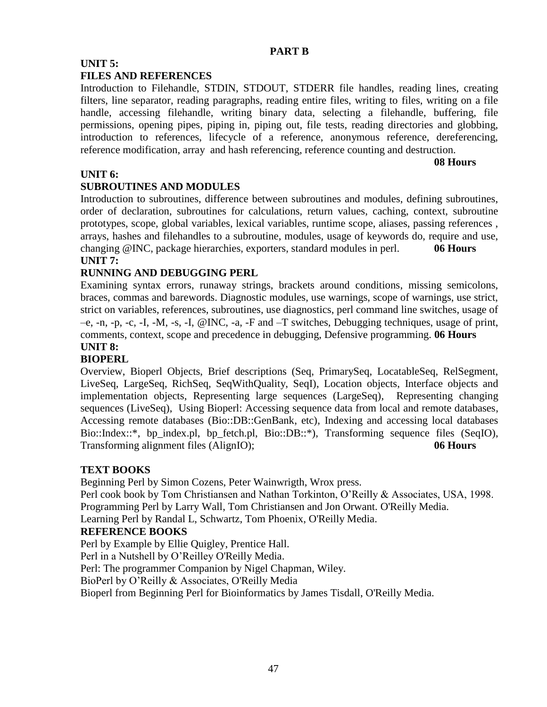#### **PART B**

### **UNIT 5:**

### **FILES AND REFERENCES**

Introduction to Filehandle, STDIN, STDOUT, STDERR file handles, reading lines, creating filters, line separator, reading paragraphs, reading entire files, writing to files, writing on a file handle, accessing filehandle, writing binary data, selecting a filehandle, buffering, file permissions, opening pipes, piping in, piping out, file tests, reading directories and globbing, introduction to references, lifecycle of a reference, anonymous reference, dereferencing, reference modification, array and hash referencing, reference counting and destruction.

**08 Hours**

### **UNIT 6:**

### **SUBROUTINES AND MODULES**

Introduction to subroutines, difference between subroutines and modules, defining subroutines, order of declaration, subroutines for calculations, return values, caching, context, subroutine prototypes, scope, global variables, lexical variables, runtime scope, aliases, passing references , arrays, hashes and filehandles to a subroutine, modules, usage of keywords do, require and use, changing @INC, package hierarchies, exporters, standard modules in perl. **06 Hours UNIT 7:**

### **RUNNING AND DEBUGGING PERL**

Examining syntax errors, runaway strings, brackets around conditions, missing semicolons, braces, commas and barewords. Diagnostic modules, use warnings, scope of warnings, use strict, strict on variables, references, subroutines, use diagnostics, perl command line switches, usage of –e, -n, -p, -c, -I, -M, -s, -I, @INC, -a, -F and –T switches, Debugging techniques, usage of print, comments, context, scope and precedence in debugging, Defensive programming. **06 Hours**

### **UNIT 8:**

### **BIOPERL**

[Overview,](http://www.bioperl.org/wiki/Bptutorial.pl#Overview) Bioperl Objects, [Brief descriptions \(Seq, PrimarySeq, LocatableSeq, RelSegment,](http://www.bioperl.org/wiki/Bptutorial.pl#Brief_descriptions_.28Seq.2C_PrimarySeq.2C_LocatableSeq.2C_RelSegment.2C_LiveSeq.2C_LargeSeq.2C_RichSeq.2C_SeqWithQuality.2C_SeqI.29)  [LiveSeq, LargeSeq, RichSeq, SeqWithQuality, SeqI\),](http://www.bioperl.org/wiki/Bptutorial.pl#Brief_descriptions_.28Seq.2C_PrimarySeq.2C_LocatableSeq.2C_RelSegment.2C_LiveSeq.2C_LargeSeq.2C_RichSeq.2C_SeqWithQuality.2C_SeqI.29) [Location objects,](http://www.bioperl.org/wiki/Bptutorial.pl#Location_objects) [Interface objects and](http://www.bioperl.org/wiki/Bptutorial.pl#Interface_objects_and_implementation_objects)  [implementation objects,](http://www.bioperl.org/wiki/Bptutorial.pl#Interface_objects_and_implementation_objects) [Representing large sequences \(LargeSeq\),](http://www.bioperl.org/wiki/Bptutorial.pl#Representing_large_sequences_.28LargeSeq.29) [Representing changing](http://www.bioperl.org/wiki/Bptutorial.pl#Representing_changing_sequences_.28LiveSeq.29)  [sequences \(LiveSeq\),](http://www.bioperl.org/wiki/Bptutorial.pl#Representing_changing_sequences_.28LiveSeq.29) [Using Bioperl:](http://www.bioperl.org/wiki/Bptutorial.pl#Using_Bioperl) [Accessing sequence data from local and remote databases,](http://www.bioperl.org/wiki/Bptutorial.pl#Accessing_sequence_data_from_local_and_remote_databases) [Accessing remote databases \(Bio::DB::GenBank, etc\),](http://www.bioperl.org/wiki/Bptutorial.pl#Accessing_remote_databases_.28Bio::DB::GenBank.2C_etc.29) [Indexing and accessing local databases](http://www.bioperl.org/wiki/Bptutorial.pl#Indexing_and_accessing_local_databases_Bio::Index::.2A.2C_bp_index.pl.2C_bp_fetch.pl.2C_Bio::DB::.2A.29)  [Bio::Index::\\*, bp\\_index.pl, bp\\_fetch.pl, Bio::DB::\\*\),](http://www.bioperl.org/wiki/Bptutorial.pl#Indexing_and_accessing_local_databases_Bio::Index::.2A.2C_bp_index.pl.2C_bp_fetch.pl.2C_Bio::DB::.2A.29) [Transforming sequence files \(SeqIO\),](http://www.bioperl.org/wiki/Bptutorial.pl#Transforming_sequence_files_.28SeqIO.29) [Transforming alignment files \(AlignIO\);](http://www.bioperl.org/wiki/Bptutorial.pl#Transforming_alignment_files_.28AlignIO.29) **06 Hours**

### **TEXT BOOKS**

Beginning Perl by Simon Cozens, Peter Wainwrigth, Wrox press.

Perl cook book by Tom Christiansen and Nathan Torkinton, O'Reilly & Associates, USA, 1998. Programming Perl by Larry Wall, Tom Christiansen and Jon Orwant. O'Reilly Media.

Learning Perl by Randal L, Schwartz, Tom Phoenix, O'Reilly Media.

### **REFERENCE BOOKS**

Perl by Example by Ellie Quigley, Prentice Hall.

Perl in a Nutshell by O'Reilley O'Reilly Media.

Perl: The programmer Companion by Nigel Chapman, Wiley.

BioPerl by O'Reilly & Associates, O'Reilly Media

[Bioperl](javascript:iLzpBOI() from [Beginning Perl for Bioinformatics](javascript:iLzpBOI() by [James Tisdall,](http://www.oreillynet.com/cs/catalog/view/au/617?x-t=book.view) O'Reilly Media.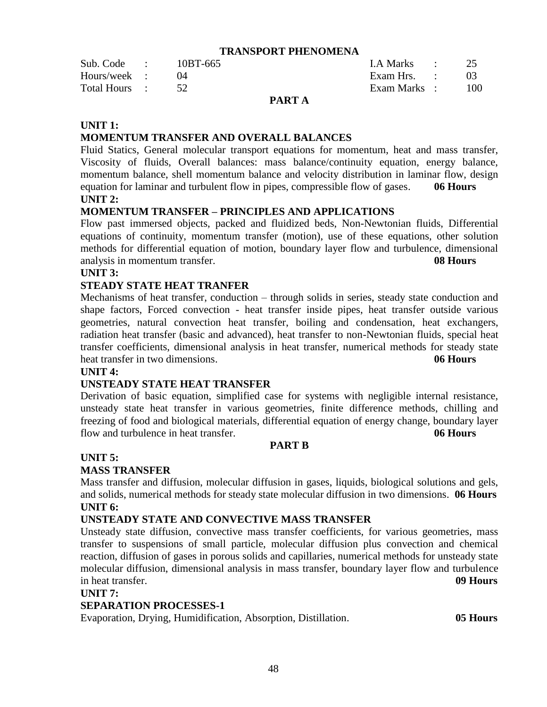#### **TRANSPORT PHENOMENA**

|               |          | ---- |              |     |
|---------------|----------|------|--------------|-----|
| Total Hours : |          |      | Exam Marks : | 100 |
| Hours/week :  |          |      | Exam Hrs. :  |     |
| Sub. Code :   | 10BT-665 |      | LA Marks :   |     |

#### **PART A**

#### **UNIT 1:**

#### **MOMENTUM TRANSFER AND OVERALL BALANCES**

Fluid Statics, General molecular transport equations for momentum, heat and mass transfer, Viscosity of fluids, Overall balances: mass balance/continuity equation, energy balance, momentum balance, shell momentum balance and velocity distribution in laminar flow, design equation for laminar and turbulent flow in pipes, compressible flow of gases. **06 Hours UNIT 2:**

#### **MOMENTUM TRANSFER – PRINCIPLES AND APPLICATIONS**

Flow past immersed objects, packed and fluidized beds, Non-Newtonian fluids, Differential equations of continuity, momentum transfer (motion), use of these equations, other solution methods for differential equation of motion, boundary layer flow and turbulence, dimensional analysis in momentum transfer. **08 Hours**

#### **UNIT 3:**

#### **STEADY STATE HEAT TRANFER**

Mechanisms of heat transfer, conduction – through solids in series, steady state conduction and shape factors, Forced convection - heat transfer inside pipes, heat transfer outside various geometries, natural convection heat transfer, boiling and condensation, heat exchangers, radiation heat transfer (basic and advanced), heat transfer to non-Newtonian fluids, special heat transfer coefficients, dimensional analysis in heat transfer, numerical methods for steady state heat transfer in two dimensions. **06 Hours**

#### **UNIT 4:**

#### **UNSTEADY STATE HEAT TRANSFER**

Derivation of basic equation, simplified case for systems with negligible internal resistance, unsteady state heat transfer in various geometries, finite difference methods, chilling and freezing of food and biological materials, differential equation of energy change, boundary layer flow and turbulence in heat transfer. **06 Hours**

#### **PART B**

#### **UNIT 5:**

#### **MASS TRANSFER**

Mass transfer and diffusion, molecular diffusion in gases, liquids, biological solutions and gels, and solids, numerical methods for steady state molecular diffusion in two dimensions. **06 Hours UNIT 6:**

#### **UNSTEADY STATE AND CONVECTIVE MASS TRANSFER**

Unsteady state diffusion, convective mass transfer coefficients, for various geometries, mass transfer to suspensions of small particle, molecular diffusion plus convection and chemical reaction, diffusion of gases in porous solids and capillaries, numerical methods for unsteady state molecular diffusion, dimensional analysis in mass transfer, boundary layer flow and turbulence in heat transfer. **09 Hours**

#### **UNIT 7:**

#### **SEPARATION PROCESSES-1**

Evaporation, Drying, Humidification, Absorption, Distillation. **05 Hours**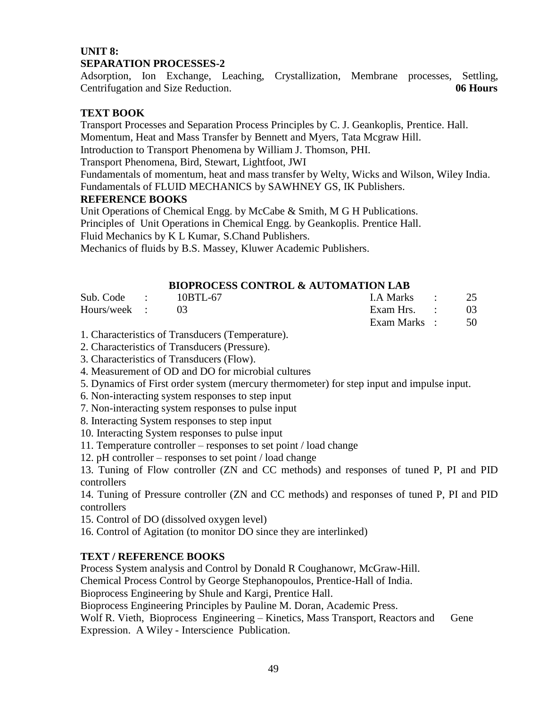### **UNIT 8: SEPARATION PROCESSES-2**

Adsorption, Ion Exchange, Leaching, Crystallization, Membrane processes, Settling, Centrifugation and Size Reduction. **06 Hours**

### **TEXT BOOK**

Transport Processes and Separation Process Principles by C. J. Geankoplis, Prentice. Hall. Momentum, Heat and Mass Transfer by Bennett and Myers, Tata Mcgraw Hill. Introduction to Transport Phenomena by William J. Thomson, PHI.

Transport Phenomena, Bird, Stewart, Lightfoot, JWI

Fundamentals of momentum, heat and mass transfer by Welty, Wicks and Wilson, Wiley India. Fundamentals of FLUID MECHANICS by SAWHNEY GS, IK Publishers.

### **REFERENCE BOOKS**

Unit Operations of Chemical Engg. by McCabe & Smith, M G H Publications. Principles of Unit Operations in Chemical Engg. by Geankoplis. Prentice Hall. Fluid Mechanics by K L Kumar, S.Chand Publishers.

Mechanics of fluids by B.S. Massey, Kluwer Academic Publishers.

### **BIOPROCESS CONTROL & AUTOMATION LAB**

| $Sub. Code : 10BTL-67$ |  | I.A Marks : 25               |  |
|------------------------|--|------------------------------|--|
| Hours/week : 03        |  | Exam Hrs. $\qquad \qquad$ 03 |  |
|                        |  | Exam Marks : 50              |  |

1. Characteristics of Transducers (Temperature).

2. Characteristics of Transducers (Pressure).

3. Characteristics of Transducers (Flow).

4. Measurement of OD and DO for microbial cultures

- 5. Dynamics of First order system (mercury thermometer) for step input and impulse input.
- 6. Non-interacting system responses to step input
- 7. Non-interacting system responses to pulse input
- 8. Interacting System responses to step input
- 10. Interacting System responses to pulse input
- 11. Temperature controller responses to set point / load change
- 12. pH controller responses to set point / load change

13. Tuning of Flow controller (ZN and CC methods) and responses of tuned P, PI and PID controllers

14. Tuning of Pressure controller (ZN and CC methods) and responses of tuned P, PI and PID controllers

- 15. Control of DO (dissolved oxygen level)
- 16. Control of Agitation (to monitor DO since they are interlinked)

### **TEXT / REFERENCE BOOKS**

Process System analysis and Control by Donald R Coughanowr, McGraw-Hill.

Chemical Process Control by George Stephanopoulos, Prentice-Hall of India.

Bioprocess Engineering by Shule and Kargi, Prentice Hall.

Bioprocess Engineering Principles by Pauline M. Doran, Academic Press.

Wolf R. Vieth, Bioprocess Engineering – Kinetics, Mass Transport, Reactors and Gene Expression. A Wiley - Interscience Publication.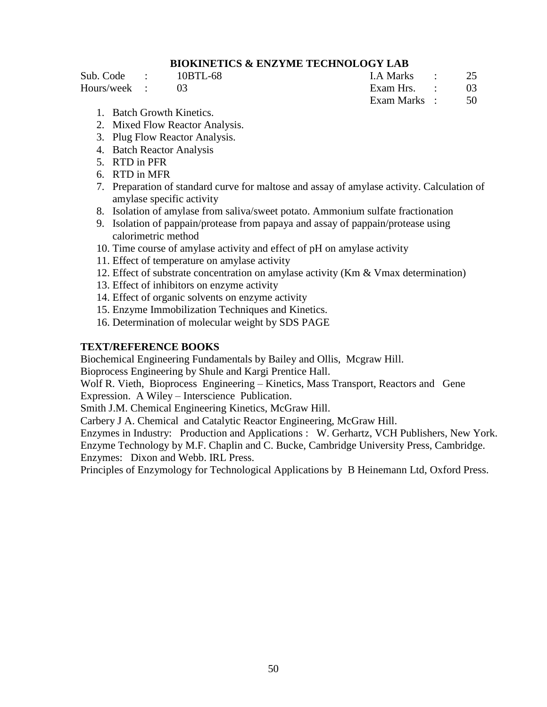### **BIOKINETICS & ENZYME TECHNOLOGY LAB**

Sub. Code : 10BTL-68 I.A Marks : 25 Hours/week : 03 Exam Hrs. : 03

Exam Marks : 50

- 1. Batch Growth Kinetics.
- 2. Mixed Flow Reactor Analysis.
- 3. Plug Flow Reactor Analysis.
- 4. Batch Reactor Analysis
- 5. RTD in PFR
- 6. RTD in MFR
- 7. Preparation of standard curve for maltose and assay of amylase activity. Calculation of amylase specific activity
- 8. Isolation of amylase from saliva/sweet potato. Ammonium sulfate fractionation
- 9. Isolation of pappain/protease from papaya and assay of pappain/protease using calorimetric method
- 10. Time course of amylase activity and effect of pH on amylase activity
- 11. Effect of temperature on amylase activity
- 12. Effect of substrate concentration on amylase activity (Km & Vmax determination)
- 13. Effect of inhibitors on enzyme activity
- 14. Effect of organic solvents on enzyme activity
- 15. Enzyme Immobilization Techniques and Kinetics.
- 16. Determination of molecular weight by SDS PAGE

#### **TEXT/REFERENCE BOOKS**

Biochemical Engineering Fundamentals by Bailey and Ollis, Mcgraw Hill.

Bioprocess Engineering by Shule and Kargi Prentice Hall.

Wolf R. Vieth, Bioprocess Engineering – Kinetics, Mass Transport, Reactors and Gene Expression. A Wiley – Interscience Publication.

Smith J.M. Chemical Engineering Kinetics, McGraw Hill.

Carbery J A. Chemical and Catalytic Reactor Engineering, McGraw Hill.

Enzymes in Industry: Production and Applications : W. Gerhartz, VCH Publishers, New York. Enzyme Technology by M.F. Chaplin and C. Bucke, Cambridge University Press, Cambridge. Enzymes: Dixon and Webb. IRL Press.

Principles of Enzymology for Technological Applications by B Heinemann Ltd, Oxford Press.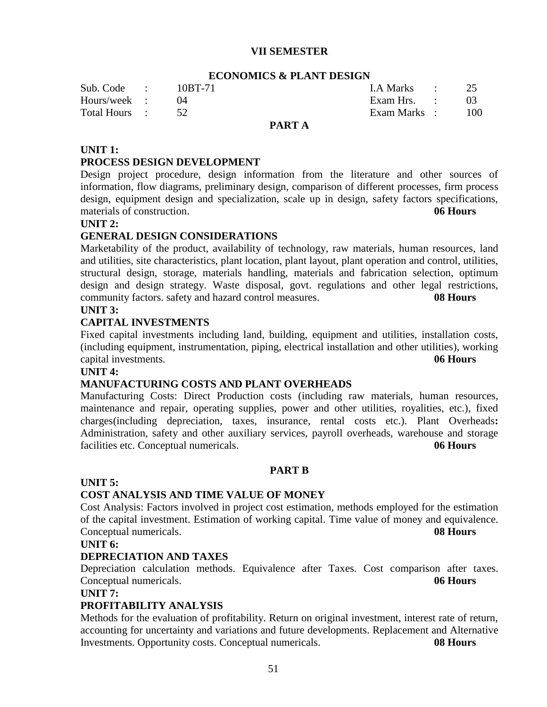#### **VII SEMESTER**

#### **ECONOMICS & PLANT DESIGN**

| Sub. Code :   | 10BT-71 |       | I.A Marks :  | 25  |
|---------------|---------|-------|--------------|-----|
| Hours/week :  |         |       | Exam Hrs. :  |     |
| Total Hours : |         |       | Exam Marks : | 100 |
|               |         | _____ |              |     |

#### **PART A**

#### **UNIT 1:**

#### **PROCESS DESIGN DEVELOPMENT**

Design project procedure, design information from the literature and other sources of information, flow diagrams, preliminary design, comparison of different processes, firm process design, equipment design and specialization, scale up in design, safety factors specifications, materials of construction. **06 Hours**

#### **UNIT 2:**

#### **GENERAL DESIGN CONSIDERATIONS**

Marketability of the product, availability of technology, raw materials, human resources, land and utilities, site characteristics, plant location, plant layout, plant operation and control, utilities, structural design, storage, materials handling, materials and fabrication selection, optimum design and design strategy. Waste disposal, govt. regulations and other legal restrictions, community factors. safety and hazard control measures. **08 Hours UNIT 3:** 

#### **CAPITAL INVESTMENTS**

Fixed capital investments including land, building, equipment and utilities, installation costs, (including equipment, instrumentation, piping, electrical installation and other utilities), working capital investments. **06 Hours**

### **UNIT 4:**

### **MANUFACTURING COSTS AND PLANT OVERHEADS**

Manufacturing Costs: Direct Production costs (including raw materials, human resources, maintenance and repair, operating supplies, power and other utilities, royalities, etc.), fixed charges(including depreciation, taxes, insurance, rental costs etc.). Plant Overheads**:** Administration, safety and other auxiliary services, payroll overheads, warehouse and storage facilities etc. Conceptual numericals. **06 Hours**

#### **PART B**

#### **UNIT 5:**

#### **COST ANALYSIS AND TIME VALUE OF MONEY**

Cost Analysis: Factors involved in project cost estimation, methods employed for the estimation of the capital investment. Estimation of working capital. Time value of money and equivalence. Conceptual numericals. **08 Hours**

#### **UNIT 6:**

#### **DEPRECIATION AND TAXES**

Depreciation calculation methods. Equivalence after Taxes. Cost comparison after taxes. Conceptual numericals. **06 Hours**

#### **UNIT 7:**

#### **PROFITABILITY ANALYSIS**

Methods for the evaluation of profitability. Return on original investment, interest rate of return, accounting for uncertainty and variations and future developments. Replacement and Alternative Investments. Opportunity costs. Conceptual numericals. **08 Hours**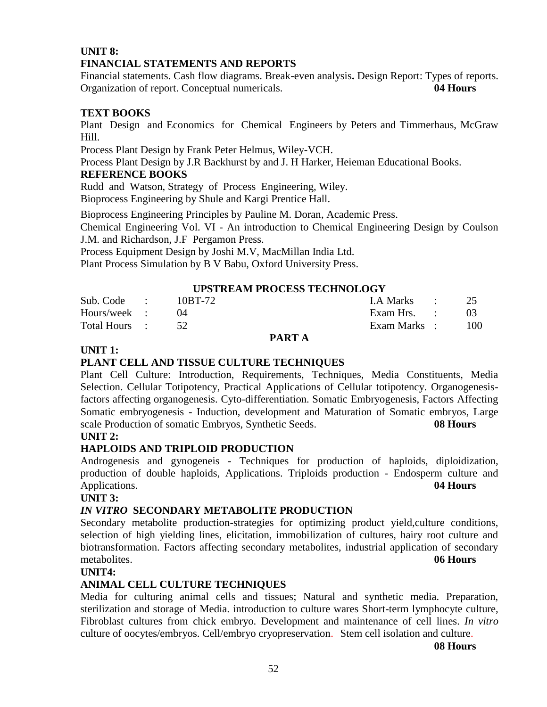### **UNIT 8: FINANCIAL STATEMENTS AND REPORTS**

Financial statements. Cash flow diagrams. Break-even analysis**.** Design Report: Types of reports. Organization of report. Conceptual numericals. **04 Hours**

### **TEXT BOOKS**

Plant Design and Economics for Chemical Engineers by Peters and Timmerhaus, McGraw Hill.

Process Plant Design by Frank Peter Helmus, Wiley-VCH.

Process Plant Design by J.R Backhurst by and J. H Harker, Heieman Educational Books.

### **REFERENCE BOOKS**

Rudd and Watson, Strategy of Process Engineering, Wiley. Bioprocess Engineering by Shule and Kargi Prentice Hall.

Bioprocess Engineering Principles by Pauline M. Doran, Academic Press.

Chemical Engineering Vol. VI - An introduction to Chemical Engineering Design by Coulson J.M. and Richardson, J.F Pergamon Press.

Process Equipment Design by Joshi M.V, MacMillan India Ltd.

Plant Process Simulation by B V Babu, Oxford University Press.

### **UPSTREAM PROCESS TECHNOLOGY**

| Sub. Code :   | 10BT-72 | $1. A Marks$ : 25 |        |
|---------------|---------|-------------------|--------|
| Hours/week :  |         | Exam Hrs. :       |        |
| Total Hours : |         | Exam Marks :      | $-100$ |

#### **PART A**

### **UNIT 1:**

### **PLANT CELL AND TISSUE CULTURE TECHNIQUES**

Plant Cell Culture: Introduction, Requirements, Techniques, Media Constituents, Media Selection. Cellular Totipotency, Practical Applications of Cellular totipotency. Organogenesisfactors affecting organogenesis. Cyto-differentiation. Somatic Embryogenesis, Factors Affecting Somatic embryogenesis - Induction, development and Maturation of Somatic embryos, Large scale Production of somatic Embryos, Synthetic Seeds. **08 Hours**

### **UNIT 2:**

### **HAPLOIDS AND TRIPLOID PRODUCTION**

Androgenesis and gynogeneis - Techniques for production of haploids, diploidization, production of double haploids, Applications. Triploids production - Endosperm culture and Applications. **04 Hours**

#### **UNIT 3:**

### *IN VITRO* **SECONDARY METABOLITE PRODUCTION**

Secondary metabolite production-strategies for optimizing product yield, culture conditions, selection of high yielding lines, elicitation, immobilization of cultures, hairy root culture and biotransformation. Factors affecting secondary metabolites, industrial application of secondary metabolites. **06 Hours**

### **UNIT4:**

### **ANIMAL CELL CULTURE TECHNIQUES**

Media for culturing animal cells and tissues; Natural and synthetic media. Preparation, sterilization and storage of Media. introduction to culture wares Short-term lymphocyte culture, Fibroblast cultures from chick embryo. Development and maintenance of cell lines. *In vitro*  culture of oocytes/embryos. Cell/embryo cryopreservation. Stem cell isolation and culture.

**08 Hours**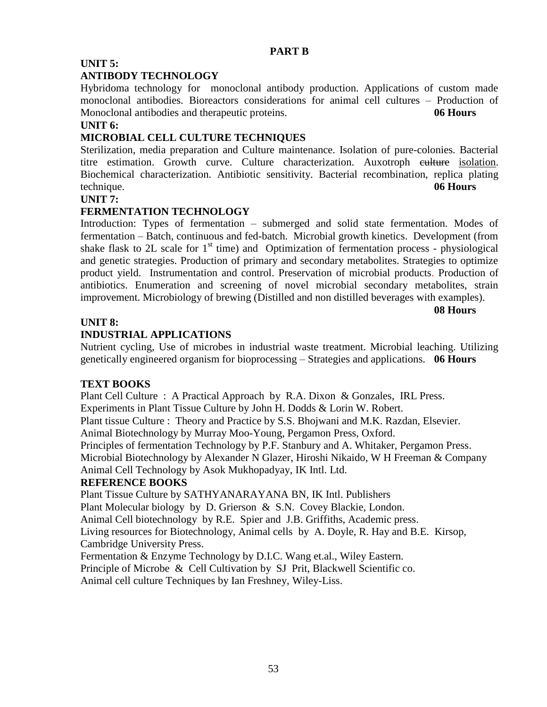### **UNIT 5:**

### **ANTIBODY TECHNOLOGY**

Hybridoma technology for monoclonal antibody production. Applications of custom made monoclonal antibodies. Bioreactors considerations for animal cell cultures – Production of Monoclonal antibodies and therapeutic proteins. **06 Hours**

### **UNIT 6:**

### **MICROBIAL CELL CULTURE TECHNIQUES**

Sterilization, media preparation and Culture maintenance. Isolation of pure-colonies. Bacterial titre estimation. Growth curve. Culture characterization. Auxotroph culture isolation. Biochemical characterization. Antibiotic sensitivity. Bacterial recombination, replica plating technique. **06 Hours**

### **UNIT 7:**

### **FERMENTATION TECHNOLOGY**

Introduction: Types of fermentation – submerged and solid state fermentation. Modes of fermentation – Batch, continuous and fed-batch. Microbial growth kinetics. Development (from shake flask to 2L scale for  $1<sup>st</sup>$  time) and Optimization of fermentation process - physiological and genetic strategies. Production of primary and secondary metabolites. Strategies to optimize product yield. Instrumentation and control. Preservation of microbial products. Production of antibiotics. Enumeration and screening of novel microbial secondary metabolites, strain improvement. Microbiology of brewing (Distilled and non distilled beverages with examples).

### **UNIT 8:**

### **INDUSTRIAL APPLICATIONS**

Nutrient cycling, Use of microbes in industrial waste treatment. Microbial leaching. Utilizing genetically engineered organism for bioprocessing – Strategies and applications. **06 Hours**

**08 Hours**

### **TEXT BOOKS**

Plant Cell Culture : A Practical Approach by R.A. Dixon & Gonzales, IRL Press. Experiments in Plant Tissue Culture by John H. Dodds & Lorin W. Robert. Plant tissue Culture : Theory and Practice by S.S. Bhojwani and M.K. Razdan, Elsevier. Animal Biotechnology by Murray Moo-Young, Pergamon Press, Oxford. Principles of fermentation Technology by P.F. Stanbury and A. Whitaker, Pergamon Press. Microbial Biotechnology by Alexander N Glazer, Hiroshi Nikaido, W H Freeman & Company Animal Cell Technology by Asok Mukhopadyay, IK Intl. Ltd.

### **REFERENCE BOOKS**

Plant Tissue Culture by SATHYANARAYANA BN, IK Intl. Publishers

Plant Molecular biology by D. Grierson & S.N. Covey Blackie, London.

Animal Cell biotechnology by R.E. Spier and J.B. Griffiths, Academic press.

Living resources for Biotechnology, Animal cells by A. Doyle, R. Hay and B.E. Kirsop, Cambridge University Press.

Fermentation & Enzyme Technology by D.I.C. Wang et.al., Wiley Eastern. Principle of Microbe & Cell Cultivation by SJ Prit, Blackwell Scientific co.

Animal cell culture Techniques by Ian Freshney, Wiley-Liss.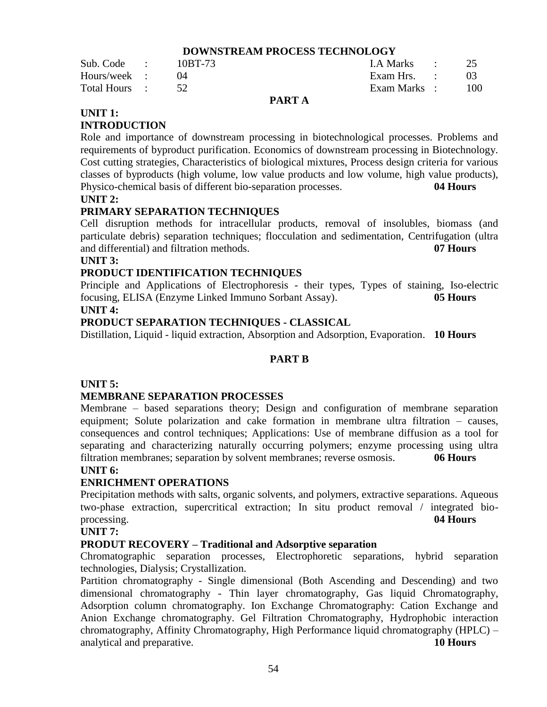#### **DOWNSTREAM PROCESS TECHNOLOGY**

| Sub. Code :   | 10BT-73 | LA Marks :   |     |
|---------------|---------|--------------|-----|
| Hours/week :  |         | Exam Hrs. :  |     |
| Total Hours : |         | Exam Marks : | 100 |

### **PART A**

### **UNIT 1:**

### **INTRODUCTION**

Role and importance of downstream processing in biotechnological processes. Problems and requirements of byproduct purification. Economics of downstream processing in Biotechnology. Cost cutting strategies, Characteristics of biological mixtures, Process design criteria for various classes of byproducts (high volume, low value products and low volume, high value products), Physico-chemical basis of different bio-separation processes. **04 Hours**

#### **UNIT 2:**

### **PRIMARY SEPARATION TECHNIQUES**

Cell disruption methods for intracellular products, removal of insolubles, biomass (and particulate debris) separation techniques; flocculation and sedimentation, Centrifugation (ultra and differential) and filtration methods. **07 Hours**

#### **UNIT 3:**

### **PRODUCT IDENTIFICATION TECHNIQUES**

Principle and Applications of Electrophoresis - their types, Types of staining, Iso-electric focusing, ELISA (Enzyme Linked Immuno Sorbant Assay). **05 Hours UNIT 4:**

### **PRODUCT SEPARATION TECHNIQUES - CLASSICAL**

Distillation, Liquid - liquid extraction, Absorption and Adsorption, Evaporation. **10 Hours**

### **PART B**

### **UNIT 5:**

### **MEMBRANE SEPARATION PROCESSES**

Membrane – based separations theory; Design and configuration of membrane separation equipment; Solute polarization and cake formation in membrane ultra filtration – causes, consequences and control techniques; Applications: Use of membrane diffusion as a tool for separating and characterizing naturally occurring polymers; enzyme processing using ultra filtration membranes; separation by solvent membranes; reverse osmosis. **06 Hours**

#### **UNIT 6:**

### **ENRICHMENT OPERATIONS**

Precipitation methods with salts, organic solvents, and polymers, extractive separations. Aqueous two-phase extraction, supercritical extraction; In situ product removal / integrated bioprocessing. **04 Hours**

#### **UNIT 7:**

### **PRODUT RECOVERY – Traditional and Adsorptive separation**

Chromatographic separation processes, Electrophoretic separations, hybrid separation technologies, Dialysis; Crystallization.

Partition chromatography - Single dimensional (Both Ascending and Descending) and two dimensional chromatography - Thin layer chromatography, Gas liquid Chromatography, Adsorption column chromatography. Ion Exchange Chromatography: Cation Exchange and Anion Exchange chromatography. Gel Filtration Chromatography, Hydrophobic interaction chromatography, Affinity Chromatography, High Performance liquid chromatography (HPLC) – analytical and preparative. **10 Hours**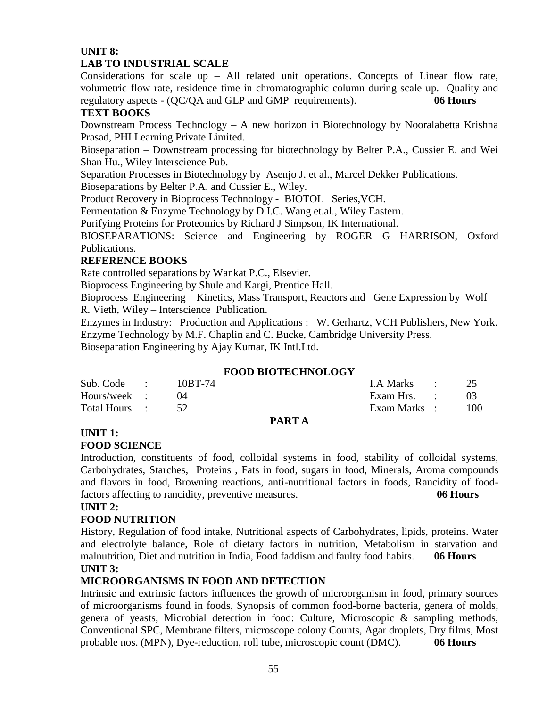### **UNIT 8:**

### **LAB TO INDUSTRIAL SCALE**

Considerations for scale  $up - All$  related unit operations. Concepts of Linear flow rate, volumetric flow rate, residence time in chromatographic column during scale up. Quality and regulatory aspects - (QC/QA and GLP and GMP requirements). **06 Hours**

### **TEXT BOOKS**

Downstream Process Technology – A new horizon in Biotechnology by Nooralabetta Krishna Prasad, PHI Learning Private Limited.

Bioseparation – Downstream processing for biotechnology by Belter P.A., Cussier E. and Wei Shan Hu., Wiley Interscience Pub.

Separation Processes in Biotechnology by Asenjo J. et al., Marcel Dekker Publications.

Bioseparations by Belter P.A. and Cussier E., Wiley.

Product Recovery in Bioprocess Technology - BIOTOL Series,VCH.

Fermentation & Enzyme Technology by D.I.C. Wang et.al., Wiley Eastern.

Purifying Proteins for Proteomics by Richard J Simpson, IK International.

BIOSEPARATIONS: Science and Engineering by ROGER G HARRISON, Oxford Publications.

### **REFERENCE BOOKS**

Rate controlled separations by Wankat P.C., Elsevier.

Bioprocess Engineering by Shule and Kargi, Prentice Hall.

Bioprocess Engineering – Kinetics, Mass Transport, Reactors and Gene Expression by Wolf R. Vieth, Wiley – Interscience Publication.

Enzymes in Industry: Production and Applications : W. Gerhartz, VCH Publishers, New York. Enzyme Technology by M.F. Chaplin and C. Bucke, Cambridge University Press.

Bioseparation Engineering by Ajay Kumar, IK Intl.Ltd.

### **FOOD BIOTECHNOLOGY**

| Sub. Code :   | 10BT-74 |                | I.A Marks :  | 25  |
|---------------|---------|----------------|--------------|-----|
| Hours/week :  |         |                | Exam Hrs. :  |     |
| Total Hours : |         |                | Exam Marks : | 100 |
|               |         | <b>DIDIDID</b> |              |     |

#### **PART A**

#### **UNIT 1:**

#### **FOOD SCIENCE**

Introduction, constituents of food, colloidal systems in food, stability of colloidal systems, Carbohydrates, Starches, Proteins , Fats in food, sugars in food, Minerals, Aroma compounds and flavors in food, Browning reactions, anti-nutritional factors in foods, Rancidity of foodfactors affecting to rancidity, preventive measures. **06 Hours**

#### **UNIT 2:**

### **FOOD NUTRITION**

History, Regulation of food intake, Nutritional aspects of Carbohydrates, lipids, proteins. Water and electrolyte balance, Role of dietary factors in nutrition, Metabolism in starvation and malnutrition, Diet and nutrition in India, Food faddism and faulty food habits. **06 Hours UNIT 3:**

### **MICROORGANISMS IN FOOD AND DETECTION**

Intrinsic and extrinsic factors influences the growth of microorganism in food, primary sources of microorganisms found in foods, Synopsis of common food-borne bacteria, genera of molds, genera of yeasts, Microbial detection in food: Culture, Microscopic & sampling methods, Conventional SPC, Membrane filters, microscope colony Counts, Agar droplets, Dry films, Most probable nos. (MPN), Dye-reduction, roll tube, microscopic count (DMC). **06 Hours**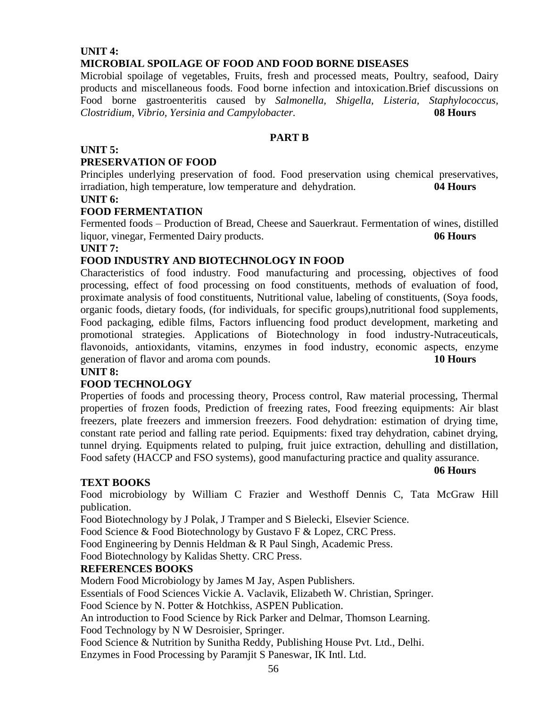### **UNIT 4: MICROBIAL SPOILAGE OF FOOD AND FOOD BORNE DISEASES**

Microbial spoilage of vegetables, Fruits, fresh and processed meats, Poultry, seafood, Dairy products and miscellaneous foods. Food borne infection and intoxication.Brief discussions on Food borne gastroenteritis caused by *Salmonella, Shigella, Listeria, Staphylococcus, Clostridium, Vibrio, Yersinia and Campylobacter.* **08 Hours**

### **PART B**

#### **UNIT 5:**

### **PRESERVATION OF FOOD**

Principles underlying preservation of food. Food preservation using chemical preservatives, irradiation, high temperature, low temperature and dehydration. **04 Hours**

#### **UNIT 6:**

#### **FOOD FERMENTATION**

Fermented foods – Production of Bread, Cheese and Sauerkraut. Fermentation of wines, distilled liquor, vinegar, Fermented Dairy products. **06 Hours**

#### **UNIT 7:**

### **FOOD INDUSTRY AND BIOTECHNOLOGY IN FOOD**

Characteristics of food industry. Food manufacturing and processing, objectives of food processing, effect of food processing on food constituents, methods of evaluation of food, proximate analysis of food constituents, Nutritional value, labeling of constituents, (Soya foods, organic foods, dietary foods, (for individuals, for specific groups),nutritional food supplements, Food packaging, edible films, Factors influencing food product development, marketing and promotional strategies. Applications of Biotechnology in food industry-Nutraceuticals, flavonoids, antioxidants, vitamins, enzymes in food industry, economic aspects, enzyme generation of flavor and aroma com pounds. **10 Hours**

#### **UNIT 8:**

#### **FOOD TECHNOLOGY**

Properties of foods and processing theory, Process control, Raw material processing, Thermal properties of frozen foods, Prediction of freezing rates, Food freezing equipments: Air blast freezers, plate freezers and immersion freezers. Food dehydration: estimation of drying time, constant rate period and falling rate period. Equipments: fixed tray dehydration, cabinet drying, tunnel drying. Equipments related to pulping, fruit juice extraction, dehulling and distillation, Food safety (HACCP and FSO systems), good manufacturing practice and quality assurance.

#### **TEXT BOOKS**

Food microbiology by William C Frazier and Westhoff Dennis C, Tata McGraw Hill publication.

Food Biotechnology by J Polak, J Tramper and S Bielecki, Elsevier Science.

Food Science & Food Biotechnology by Gustavo F & Lopez, CRC Press.

Food Engineering by Dennis Heldman & R Paul Singh, Academic Press.

Food Biotechnology by Kalidas Shetty. CRC Press.

#### **REFERENCES BOOKS**

Modern Food Microbiology by James M Jay, Aspen Publishers.

Essentials of Food Sciences Vickie A. Vaclavik, Elizabeth W. Christian, Springer.

Food Science by N. Potter & Hotchkiss, ASPEN Publication.

An introduction to Food Science by Rick Parker and Delmar, Thomson Learning.

Food Technology by N W Desroisier, Springer.

Food Science & Nutrition by Sunitha Reddy, Publishing House Pvt. Ltd., Delhi. Enzymes in Food Processing by Paramjit S Paneswar, IK Intl. Ltd.

**06 Hours**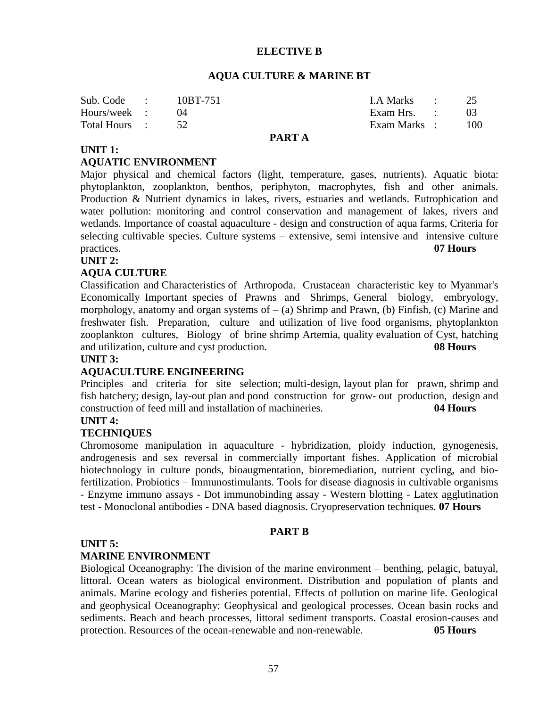#### **ELECTIVE B**

#### **AQUA CULTURE & MARINE BT**

| Sub. Code :      | 10BT-751 | I.A Marks : 25   |  |
|------------------|----------|------------------|--|
| Hours/week :     |          | Exam Hrs. :      |  |
| Total Hours : 52 |          | Exam Marks : 100 |  |

### **PART A**

#### **UNIT 1:**

#### **AQUATIC ENVIRONMENT**

Major physical and chemical factors (light, temperature, gases, nutrients). Aquatic biota: phytoplankton, zooplankton, benthos, periphyton, macrophytes, fish and other animals. Production & Nutrient dynamics in lakes, rivers, estuaries and wetlands. Eutrophication and water pollution: monitoring and control conservation and management of lakes, rivers and wetlands. Importance of coastal aquaculture - design and construction of aqua farms, Criteria for selecting cultivable species. Culture systems – extensive, semi intensive and intensive culture practices. **07 Hours**

#### **UNIT 2:**

#### **AQUA CULTURE**

Classification and Characteristics of Arthropoda. Crustacean characteristic key to Myanmar's Economically Important species of Prawns and Shrimps, General biology, embryology, morphology, anatomy and organ systems of  $-$  (a) Shrimp and Prawn, (b) Finfish, (c) Marine and freshwater fish. Preparation, culture and utilization of live food organisms, phytoplankton zooplankton cultures, Biology of brine shrimp Artemia, quality evaluation of Cyst, hatching and utilization, culture and cyst production. **08 Hours**

#### **UNIT 3:**

#### **AQUACULTURE ENGINEERING**

Principles and criteria for site selection; multi-design, layout plan for prawn, shrimp and fish hatchery; design, lay-out plan and pond construction for grow- out production, design and construction of feed mill and installation of machineries. **04 Hours**

#### **UNIT 4:**

#### **TECHNIQUES**

Chromosome manipulation in aquaculture - hybridization, ploidy induction, gynogenesis, androgenesis and sex reversal in commercially important fishes. Application of microbial biotechnology in culture ponds, bioaugmentation, bioremediation, nutrient cycling, and biofertilization. Probiotics – Immunostimulants. Tools for disease diagnosis in cultivable organisms - Enzyme immuno assays - Dot immunobinding assay - Western blotting - Latex agglutination test - Monoclonal antibodies - DNA based diagnosis. Cryopreservation techniques. **07 Hours**

#### **PART B**

#### **UNIT 5:**

#### **MARINE ENVIRONMENT**

Biological Oceanography: The division of the marine environment – benthing, pelagic, batuyal, littoral. Ocean waters as biological environment. Distribution and population of plants and animals. Marine ecology and fisheries potential. Effects of pollution on marine life. Geological and geophysical Oceanography: Geophysical and geological processes. Ocean basin rocks and sediments. Beach and beach processes, littoral sediment transports. Coastal erosion-causes and protection. Resources of the ocean-renewable and non-renewable. **05 Hours**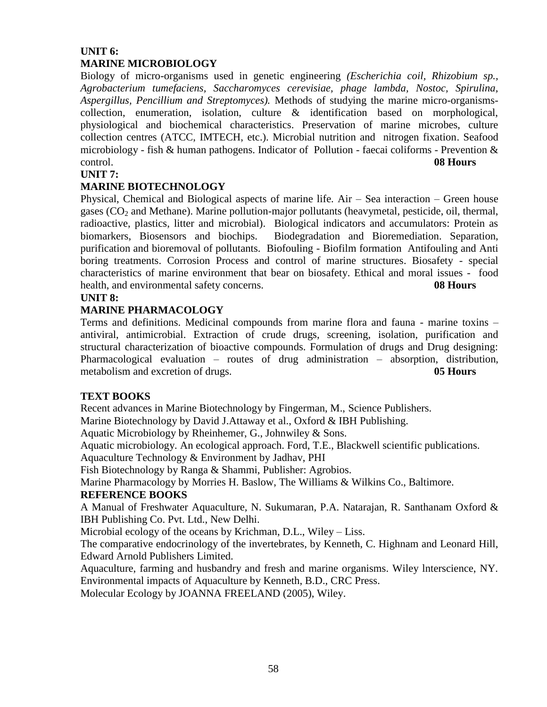### **UNIT 6: MARINE MICROBIOLOGY**

Biology of micro-organisms used in genetic engineering *(Escherichia coil, Rhizobium sp., Agrobacterium tumefaciens, Saccharomyces cerevisiae, phage lambda, Nostoc, Spirulina, Aspergillus, Pencillium and Streptomyces).* Methods of studying the marine micro-organismscollection, enumeration, isolation, culture & identification based on morphological, physiological and biochemical characteristics. Preservation of marine microbes, culture collection centres (ATCC, IMTECH, etc.). Microbial nutrition and nitrogen fixation. Seafood microbiology - fish & human pathogens. Indicator of Pollution - faecai coliforms - Prevention & control. **08 Hours**

### **UNIT 7:**

### **MARINE BIOTECHNOLOGY**

Physical, Chemical and Biological aspects of marine life. Air – Sea interaction – Green house gases  $(CO<sub>2</sub>$  and Methane). Marine pollution-major pollutants (heavymetal, pesticide, oil, thermal, radioactive, plastics, litter and microbial). Biological indicators and accumulators: Protein as biomarkers, Biosensors and biochips. Biodegradation and Bioremediation. Separation, purification and bioremoval of pollutants. Biofouling - Biofilm formation Antifouling and Anti boring treatments. Corrosion Process and control of marine structures. Biosafety - special characteristics of marine environment that bear on biosafety. Ethical and moral issues - food health, and environmental safety concerns. **08 Hours**

#### **UNIT 8:**

### **MARINE PHARMACOLOGY**

Terms and definitions. Medicinal compounds from marine flora and fauna - marine toxins – antiviral, antimicrobial. Extraction of crude drugs, screening, isolation, purification and structural characterization of bioactive compounds. Formulation of drugs and Drug designing: Pharmacological evaluation – routes of drug administration – absorption, distribution, metabolism and excretion of drugs. **05 Hours**

### **TEXT BOOKS**

Recent advances in Marine Biotechnology by Fingerman, M., Science Publishers.

Marine Biotechnology by David J.Attaway et al., Oxford & IBH Publishing.

Aquatic Microbiology by Rheinhemer, G., Johnwiley & Sons.

Aquatic microbiology. An ecological approach. Ford, T.E., Blackwell scientific publications.

Aquaculture Technology & Environment by Jadhav, PHI

Fish Biotechnology by Ranga & Shammi, Publisher: Agrobios.

Marine Pharmacology by Morries H. Baslow, The Williams & Wilkins Co., Baltimore.

#### **REFERENCE BOOKS**

A Manual of Freshwater Aquaculture*,* N. Sukumaran, P.A. Natarajan, R. Santhanam Oxford & IBH Publishing Co. Pvt. Ltd., New Delhi.

Microbial ecology of the oceans by Krichman, D.L., Wiley – Liss.

The comparative endocrinology of the invertebrates, by Kenneth, C. Highnam and Leonard Hill, Edward Arnold Publishers Limited.

Aquaculture, farming and husbandry and fresh and marine organisms. Wiley lnterscience, NY. Environmental impacts of Aquaculture by Kenneth, B.D., CRC Press.

Molecular Ecology by JOANNA FREELAND (2005), Wiley.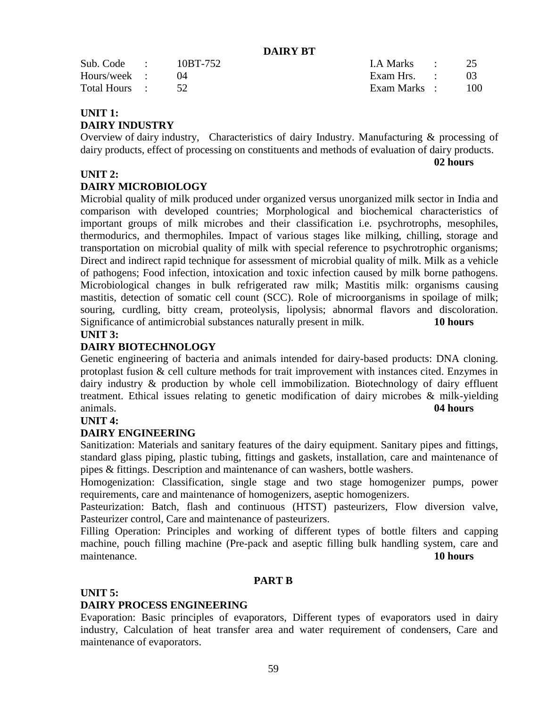**DAIRY BT**

| Sub. Code :      | 10BT-752 | I.A Marks $\qquad \qquad 25$ |       |
|------------------|----------|------------------------------|-------|
| Hours/week :     |          | Exam Hrs. :                  |       |
| Total Hours : 52 |          | Exam Marks :                 | - 100 |

### **UNIT 1:**

### **DAIRY INDUSTRY**

Overview of dairy industry, Characteristics of dairy Industry. Manufacturing & processing of dairy products, effect of processing on constituents and methods of evaluation of dairy products.

**02 hours**

### **UNIT 2:**

### **DAIRY MICROBIOLOGY**

Microbial quality of milk produced under organized versus unorganized milk sector in India and comparison with developed countries; Morphological and biochemical characteristics of important groups of milk microbes and their classification i.e. psychrotrophs, mesophiles, thermodurics, and thermophiles. Impact of various stages like milking, chilling, storage and transportation on microbial quality of milk with special reference to psychrotrophic organisms; Direct and indirect rapid technique for assessment of microbial quality of milk. Milk as a vehicle of pathogens; Food infection, intoxication and toxic infection caused by milk borne pathogens. Microbiological changes in bulk refrigerated raw milk; Mastitis milk: organisms causing mastitis, detection of somatic cell count (SCC). Role of microorganisms in spoilage of milk; souring, curdling, bitty cream, proteolysis, lipolysis; abnormal flavors and discoloration. Significance of antimicrobial substances naturally present in milk. **10 hours**

#### **UNIT 3:**

### **DAIRY BIOTECHNOLOGY**

Genetic engineering of bacteria and animals intended for dairy-based products: DNA cloning. protoplast fusion & cell culture methods for trait improvement with instances cited. Enzymes in dairy industry & production by whole cell immobilization. Biotechnology of dairy effluent treatment. Ethical issues relating to genetic modification of dairy microbes & milk-yielding animals. **04 hours**

#### **UNIT 4:**

#### **DAIRY ENGINEERING**

Sanitization: Materials and sanitary features of the dairy equipment. Sanitary pipes and fittings, standard glass piping, plastic tubing, fittings and gaskets, installation, care and maintenance of pipes & fittings. Description and maintenance of can washers, bottle washers.

Homogenization: Classification, single stage and two stage homogenizer pumps, power requirements, care and maintenance of homogenizers, aseptic homogenizers.

Pasteurization: Batch, flash and continuous (HTST) pasteurizers, Flow diversion valve, Pasteurizer control, Care and maintenance of pasteurizers.

Filling Operation: Principles and working of different types of bottle filters and capping machine, pouch filling machine (Pre-pack and aseptic filling bulk handling system, care and maintenance. **10 hours**

### **PART B**

#### **UNIT 5:**

#### **DAIRY PROCESS ENGINEERING**

Evaporation: Basic principles of evaporators, Different types of evaporators used in dairy industry, Calculation of heat transfer area and water requirement of condensers, Care and maintenance of evaporators.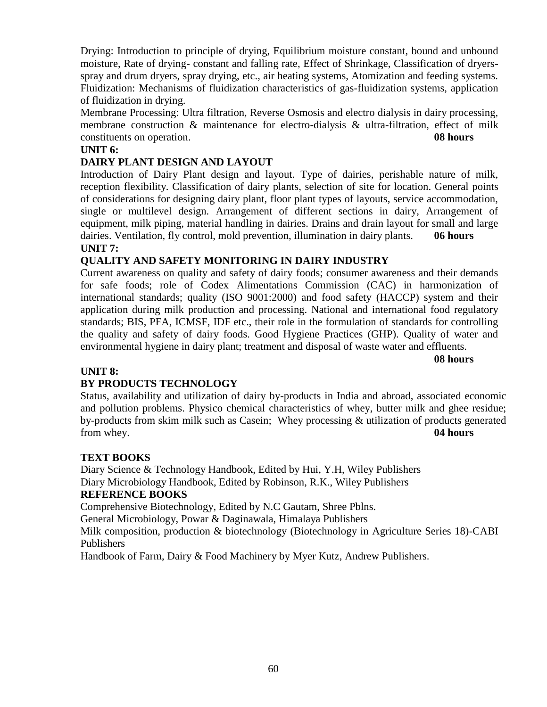Drying: Introduction to principle of drying, Equilibrium moisture constant, bound and unbound moisture, Rate of drying- constant and falling rate, Effect of Shrinkage, Classification of dryersspray and drum dryers, spray drying, etc., air heating systems, Atomization and feeding systems. Fluidization: Mechanisms of fluidization characteristics of gas-fluidization systems, application of fluidization in drying.

Membrane Processing: Ultra filtration, Reverse Osmosis and electro dialysis in dairy processing, membrane construction & maintenance for electro-dialysis & ultra-filtration, effect of milk constituents on operation. **08 hours**

### **UNIT 6:**

### **DAIRY PLANT DESIGN AND LAYOUT**

Introduction of Dairy Plant design and layout. Type of dairies, perishable nature of milk, reception flexibility. Classification of dairy plants, selection of site for location. General points of considerations for designing dairy plant, floor plant types of layouts, service accommodation, single or multilevel design. Arrangement of different sections in dairy, Arrangement of equipment, milk piping, material handling in dairies. Drains and drain layout for small and large dairies. Ventilation, fly control, mold prevention, illumination in dairy plants. **06 hours UNIT 7:**

### **QUALITY AND SAFETY MONITORING IN DAIRY INDUSTRY**

Current awareness on quality and safety of dairy foods; consumer awareness and their demands for safe foods; role of Codex Alimentations Commission (CAC) in harmonization of international standards; quality (ISO 9001:2000) and food safety (HACCP) system and their application during milk production and processing. National and international food regulatory standards; BIS, PFA, ICMSF, IDF etc., their role in the formulation of standards for controlling the quality and safety of dairy foods. Good Hygiene Practices (GHP). Quality of water and environmental hygiene in dairy plant; treatment and disposal of waste water and effluents.

**08 hours**

#### **UNIT 8:**

### **BY PRODUCTS TECHNOLOGY**

Status, availability and utilization of dairy by-products in India and abroad, associated economic and pollution problems. Physico chemical characteristics of whey, butter milk and ghee residue; by-products from skim milk such as Casein; Whey processing & utilization of products generated from whey. **04 hours**

#### **TEXT BOOKS**

Diary Science & Technology Handbook, Edited by Hui, Y.H, Wiley Publishers Diary Microbiology Handbook, Edited by Robinson, R.K., Wiley Publishers

#### **REFERENCE BOOKS**

Comprehensive Biotechnology, Edited by N.C Gautam, Shree Pblns.

General Microbiology, Powar & Daginawala, Himalaya Publishers

Milk composition, production & biotechnology (Biotechnology in Agriculture Series 18)-CABI Publishers

Handbook of Farm, Dairy & Food Machinery by Myer Kutz, Andrew Publishers.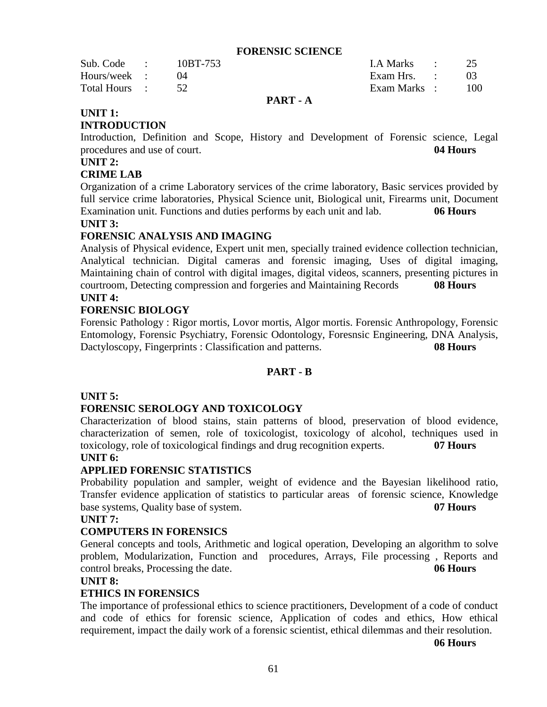#### **FORENSIC SCIENCE**

| Sub. Code :   | 10BT-753 | I.A Marks :  | 25  |
|---------------|----------|--------------|-----|
| Hours/week :  |          | Exam Hrs. :  |     |
| Total Hours : |          | Exam Marks : | 100 |
|               |          |              |     |

#### **PART - A**

### **UNIT 1:**

#### **INTRODUCTION**

Introduction, Definition and Scope, History and Development of Forensic science, Legal procedures and use of court. **04 Hours**

### **UNIT 2:**

### **CRIME LAB**

Organization of a crime Laboratory services of the crime laboratory, Basic services provided by full service crime laboratories, Physical Science unit, Biological unit, Firearms unit, Document Examination unit. Functions and duties performs by each unit and lab. **06 Hours**

### **UNIT 3:**

### **FORENSIC ANALYSIS AND IMAGING**

Analysis of Physical evidence, Expert unit men, specially trained evidence collection technician, Analytical technician. Digital cameras and forensic imaging, Uses of digital imaging, Maintaining chain of control with digital images, digital videos, scanners, presenting pictures in courtroom, Detecting compression and forgeries and Maintaining Records **08 Hours UNIT 4:**

#### **FORENSIC BIOLOGY**

Forensic Pathology : Rigor mortis, Lovor mortis, Algor mortis. Forensic Anthropology, Forensic Entomology, Forensic Psychiatry, Forensic Odontology, Foresnsic Engineering, DNA Analysis, Dactyloscopy, Fingerprints : Classification and patterns. **08 Hours**

### **PART - B**

#### **UNIT 5:**

### **FORENSIC SEROLOGY AND TOXICOLOGY**

Characterization of blood stains, stain patterns of blood, preservation of blood evidence, characterization of semen, role of toxicologist, toxicology of alcohol, techniques used in toxicology, role of toxicological findings and drug recognition experts. **07 Hours**

### **UNIT 6:**

#### **APPLIED FORENSIC STATISTICS**

Probability population and sampler, weight of evidence and the Bayesian likelihood ratio, Transfer evidence application of statistics to particular areas of forensic science, Knowledge base systems, Quality base of system. **07 Hours**

#### **UNIT 7:**

#### **COMPUTERS IN FORENSICS**

General concepts and tools, Arithmetic and logical operation, Developing an algorithm to solve problem, Modularization, Function and procedures, Arrays, File processing , Reports and control breaks, Processing the date. **06 Hours**

#### **UNIT 8:**

#### **ETHICS IN FORENSICS**

The importance of professional ethics to science practitioners, Development of a code of conduct and code of ethics for forensic science, Application of codes and ethics, How ethical requirement, impact the daily work of a forensic scientist, ethical dilemmas and their resolution.

**06 Hours**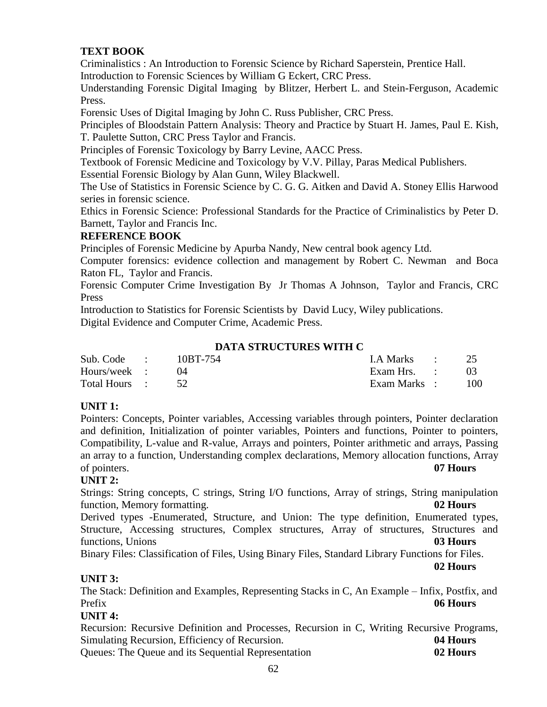### **TEXT BOOK**

Criminalistics : An Introduction to Forensic Science by Richard Saperstein, Prentice Hall. Introduction to Forensic Sciences by William G Eckert, CRC Press.

[Understanding Forensic Digital Imaging](http://www.bookbyte.com/1/1/80813-understanding-forensic-digital-imaging-by-blitzer.html) by Blitzer, Herbert L. and Stein-Ferguson, Academic Press.

Forensic Uses of Digital Imaging by John C. Russ Publisher, CRC Press.

Principles of Bloodstain Pattern Analysis: Theory and Practice by Stuart H. James, Paul E. Kish, T. Paulette Sutton, CRC Press Taylor and Francis.

Principles of Forensic Toxicology by Barry Levine, AACC Press.

Textbook of Forensic Medicine and Toxicology by V.V. Pillay, Paras Medical Publishers.

[Essential Forensic Biology b](http://www.dl4all.com/e_books/168849-essential-forensic-biology-second-edition.html)y Alan Gunn, Wiley Blackwell.

The Use of Statistics in Forensic Science by C. G. G. Aitken and David A. Stoney Ellis Harwood series in forensic science.

[Ethics in Forensic Science: Professional Standards for the Practice of Criminalistics](http://www.amazon.com/Ethics-Forensic-Science-Professional-Criminalistics/dp/0849308607/ref=sr_1_2?ie=UTF8&s=books&qid=1273047766&sr=1-2) by [Peter D.](http://www.amazon.com/Peter-D.-Barnett/e/B001KIB9AQ/ref=sr_ntt_srch_lnk_2?_encoding=UTF8&qid=1273047766&sr=1-2)  [Barnett,](http://www.amazon.com/Peter-D.-Barnett/e/B001KIB9AQ/ref=sr_ntt_srch_lnk_2?_encoding=UTF8&qid=1273047766&sr=1-2) Taylor and Francis Inc.

### **REFERENCE BOOK**

Principles of Forensic Medicine by Apurba Nandy, New central book agency Ltd.

Computer forensics: evidence collection and management by Robert C. Newman and Boca Raton FL, Taylor and Francis.

Forensic Computer Crime Investigation By [Jr Thomas A Johnson,](http://www.infibeam.com/Books/search?author=Jr%20Thomas%20A%20Johnson) Taylor and Francis, CRC Press

Introduction to Statistics for Forensic Scientists by [David Lucy,](http://www.amazon.com/David-Lucy/e/B001IXS9NI/ref=ntt_athr_dp_pel_1) Wiley publications. Digital Evidence and Computer Crime, Academic Press.

### **DATA STRUCTURES WITH C**

| Sub. Code : $10BT-754$ |  | I.A Marks : 25  |     |
|------------------------|--|-----------------|-----|
| Hours/week :           |  | Exam Hrs. : : : | 03  |
| Total Hours :          |  | Exam Marks :    | 100 |

### **UNIT 1:**

Pointers: Concepts, Pointer variables, Accessing variables through pointers, Pointer declaration and definition, Initialization of pointer variables, Pointers and functions, Pointer to pointers, Compatibility, L-value and R-value, Arrays and pointers, Pointer arithmetic and arrays, Passing an array to a function, Understanding complex declarations, Memory allocation functions, Array of pointers. **07 Hours**

### **UNIT 2:**

Strings: String concepts, C strings, String I/O functions, Array of strings, String manipulation function, Memory formatting. **02 Hours**

Derived types -Enumerated, Structure, and Union: The type definition, Enumerated types, Structure, Accessing structures, Complex structures, Array of structures, Structures and functions, Unions **03 Hours**

Binary Files: Classification of Files, Using Binary Files, Standard Library Functions for Files. **02 Hours**

### **UNIT 3:**

The Stack: Definition and Examples, Representing Stacks in C, An Example – Infix, Postfix, and Prefix **06 Hours**

**UNIT 4:**

Recursion: Recursive Definition and Processes, Recursion in C, Writing Recursive Programs, Simulating Recursion, Efficiency of Recursion. **04 Hours**

Queues: The Queue and its Sequential Representation **02 Hours**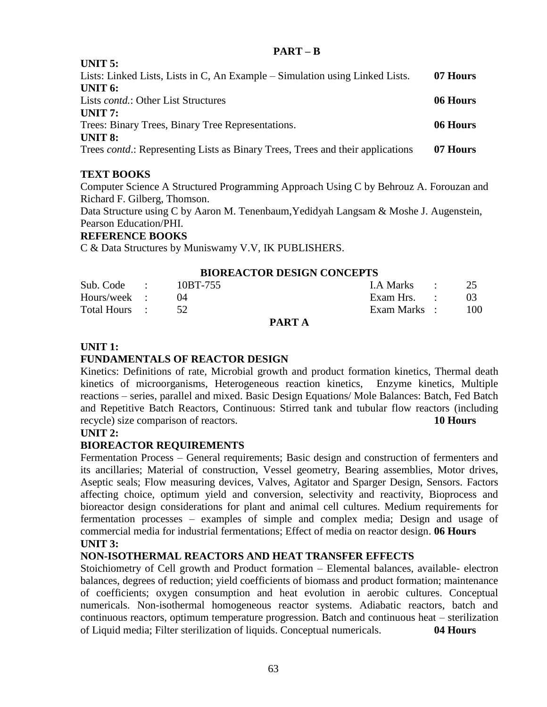#### **PART – B**

| 07 Hours |
|----------|
|          |
| 06 Hours |
|          |
| 06 Hours |
|          |
| 07 Hours |
|          |

### **TEXT BOOKS**

**UNITE**.

Computer Science A Structured Programming Approach Using C by Behrouz A. Forouzan and Richard F. Gilberg, Thomson.

Data Structure using C by Aaron M. Tenenbaum, Yedidyah Langsam & Moshe J. Augenstein, Pearson Education/PHI.

### **REFERENCE BOOKS**

C & Data Structures by Muniswamy V.V, IK PUBLISHERS.

### **BIOREACTOR DESIGN CONCEPTS**

| Sub. Code : $10BT-755$ |  |                   | I.A Marks : 25 |      |
|------------------------|--|-------------------|----------------|------|
| Hours/week :           |  |                   | Exam Hrs. :    | - 03 |
| Total Hours : 52       |  |                   | Exam Marks :   | -100 |
|                        |  | <b>DIA</b> DOM: 1 |                |      |

#### **PART A**

### **UNIT 1:**

### **FUNDAMENTALS OF REACTOR DESIGN**

Kinetics: Definitions of rate, Microbial growth and product formation kinetics, Thermal death kinetics of microorganisms, Heterogeneous reaction kinetics, Enzyme kinetics, Multiple reactions – series, parallel and mixed. Basic Design Equations/ Mole Balances: Batch, Fed Batch and Repetitive Batch Reactors, Continuous: Stirred tank and tubular flow reactors (including recycle) size comparison of reactors. **10 Hours**

#### **UNIT 2:**

### **BIOREACTOR REQUIREMENTS**

Fermentation Process – General requirements; Basic design and construction of fermenters and its ancillaries; Material of construction, Vessel geometry, Bearing assemblies, Motor drives, Aseptic seals; Flow measuring devices, Valves, Agitator and Sparger Design, Sensors. Factors affecting choice, optimum yield and conversion, selectivity and reactivity, Bioprocess and bioreactor design considerations for plant and animal cell cultures. Medium requirements for fermentation processes – examples of simple and complex media; Design and usage of commercial media for industrial fermentations; Effect of media on reactor design. **06 Hours UNIT 3:**

### **NON-ISOTHERMAL REACTORS AND HEAT TRANSFER EFFECTS**

Stoichiometry of Cell growth and Product formation – Elemental balances, available- electron balances, degrees of reduction; yield coefficients of biomass and product formation; maintenance of coefficients; oxygen consumption and heat evolution in aerobic cultures. Conceptual numericals. Non-isothermal homogeneous reactor systems. Adiabatic reactors, batch and continuous reactors, optimum temperature progression. Batch and continuous heat – sterilization of Liquid media; Filter sterilization of liquids. Conceptual numericals. **04 Hours**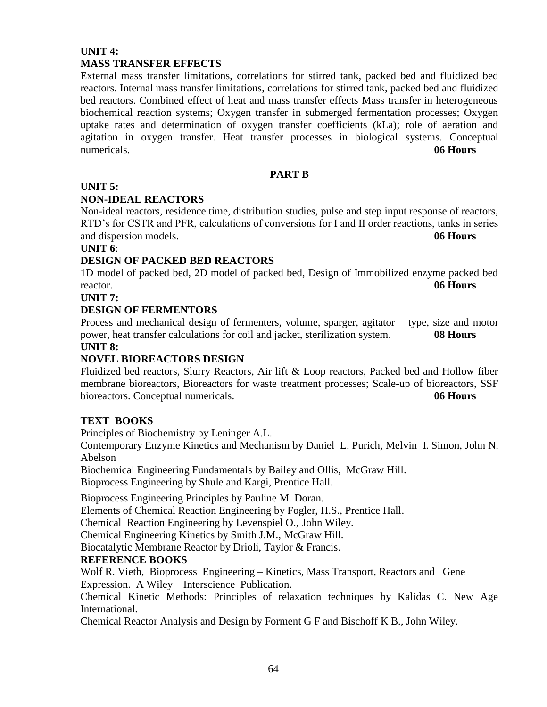### **UNIT 4: MASS TRANSFER EFFECTS**

External mass transfer limitations, correlations for stirred tank, packed bed and fluidized bed reactors. Internal mass transfer limitations, correlations for stirred tank, packed bed and fluidized bed reactors. Combined effect of heat and mass transfer effects Mass transfer in heterogeneous biochemical reaction systems; Oxygen transfer in submerged fermentation processes; Oxygen uptake rates and determination of oxygen transfer coefficients (kLa); role of aeration and agitation in oxygen transfer. Heat transfer processes in biological systems. Conceptual numericals. **06 Hours**

### **PART B**

### **UNIT 5:**

### **NON-IDEAL REACTORS**

Non-ideal reactors, residence time, distribution studies, pulse and step input response of reactors, RTD's for CSTR and PFR, calculations of conversions for I and II order reactions, tanks in series and dispersion models. **06 Hours**

### **UNIT 6**:

### **DESIGN OF PACKED BED REACTORS**

1D model of packed bed, 2D model of packed bed, Design of Immobilized enzyme packed bed reactor. **06 Hours**

**UNIT 7:**

### **DESIGN OF FERMENTORS**

Process and mechanical design of fermenters, volume, sparger, agitator – type, size and motor power, heat transfer calculations for coil and jacket, sterilization system. **08 Hours**

### **UNIT 8:**

### **NOVEL BIOREACTORS DESIGN**

Fluidized bed reactors, Slurry Reactors, Air lift & Loop reactors, Packed bed and Hollow fiber membrane bioreactors, Bioreactors for waste treatment processes; Scale-up of bioreactors, SSF bioreactors. Conceptual numericals. **06 Hours**

### **TEXT BOOKS**

Principles of Biochemistry by Leninger A.L.

Contemporary Enzyme Kinetics and Mechanism by Daniel L. Purich, Melvin I. Simon, John N. Abelson

Biochemical Engineering Fundamentals by Bailey and Ollis, McGraw Hill.

Bioprocess Engineering by Shule and Kargi, Prentice Hall.

Bioprocess Engineering Principles by Pauline M. Doran.

Elements of Chemical Reaction Engineering by Fogler, H.S., Prentice Hall.

Chemical Reaction Engineering by Levenspiel O., John Wiley.

Chemical Engineering Kinetics by Smith J.M., McGraw Hill.

Biocatalytic Membrane Reactor by Drioli, Taylor & Francis.

### **REFERENCE BOOKS**

Wolf R. Vieth, Bioprocess Engineering – Kinetics, Mass Transport, Reactors and Gene Expression. A Wiley – Interscience Publication.

Chemical Kinetic Methods: Principles of relaxation techniques by Kalidas C. New Age International.

Chemical Reactor Analysis and Design by Forment G F and Bischoff K B., John Wiley.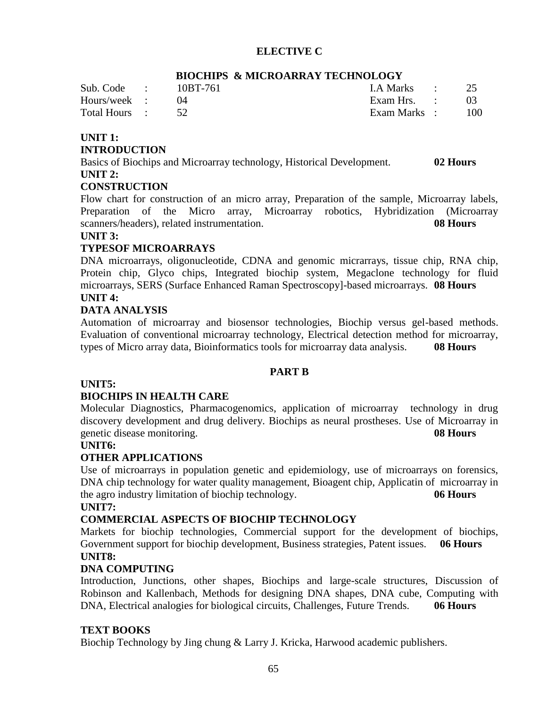### **ELECTIVE C**

| Sub. Code :   | 10BT-761 | I.A Marks : 25 |        |
|---------------|----------|----------------|--------|
| Hours/week :  |          | Exam Hrs. :    |        |
| Total Hours : |          | Exam Marks :   | $-100$ |
|               |          |                |        |

### **BIOCHIPS & MICROARRAY TECHNOLOGY**

### **UNIT 1:**

#### **INTRODUCTION**

Basics of Biochips and Microarray technology, Historical Development. **02 Hours UNIT 2:**

#### **CONSTRUCTION**

Flow chart for construction of an micro array, Preparation of the sample, Microarray labels, Preparation of the Micro array, Microarray robotics, Hybridization (Microarray scanners/headers), related instrumentation. **08 Hours**

#### **UNIT 3:**

### **TYPESOF MICROARRAYS**

DNA microarrays, oligonucleotide, CDNA and genomic micrarrays, tissue chip, RNA chip, Protein chip, Glyco chips, Integrated biochip system, Megaclone technology for fluid microarrays, SERS (Surface Enhanced Raman Spectroscopy]-based microarrays. **08 Hours UNIT 4:**

#### **DATA ANALYSIS**

Automation of microarray and biosensor technologies, Biochip versus gel-based methods. Evaluation of conventional microarray technology, Electrical detection method for microarray, types of Micro array data, Bioinformatics tools for microarray data analysis. **08 Hours**

#### **PART B**

### **UNIT5:**

#### **BIOCHIPS IN HEALTH CARE**

Molecular Diagnostics, Pharmacogenomics, application of microarray technology in drug discovery development and drug delivery. Biochips as neural prostheses. Use of Microarray in genetic disease monitoring. **08 Hours**

#### **UNIT6:**

#### **OTHER APPLICATIONS**

Use of microarrays in population genetic and epidemiology, use of microarrays on forensics, DNA chip technology for water quality management, Bioagent chip, Applicatin of microarray in the agro industry limitation of biochip technology. **06 Hours**

#### **UNIT7:**

#### **COMMERCIAL ASPECTS OF BIOCHIP TECHNOLOGY**

Markets for biochip technologies, Commercial support for the development of biochips, Government support for biochip development, Business strategies, Patent issues. **06 Hours UNIT8:**

#### **DNA COMPUTING**

Introduction, Junctions, other shapes, Biochips and large-scale structures, Discussion of Robinson and Kallenbach, Methods for designing DNA shapes, DNA cube, Computing with DNA, Electrical analogies for biological circuits, Challenges, Future Trends. **06 Hours**

#### **TEXT BOOKS**

Biochip Technology by Jing chung & Larry J. Kricka, Harwood academic publishers.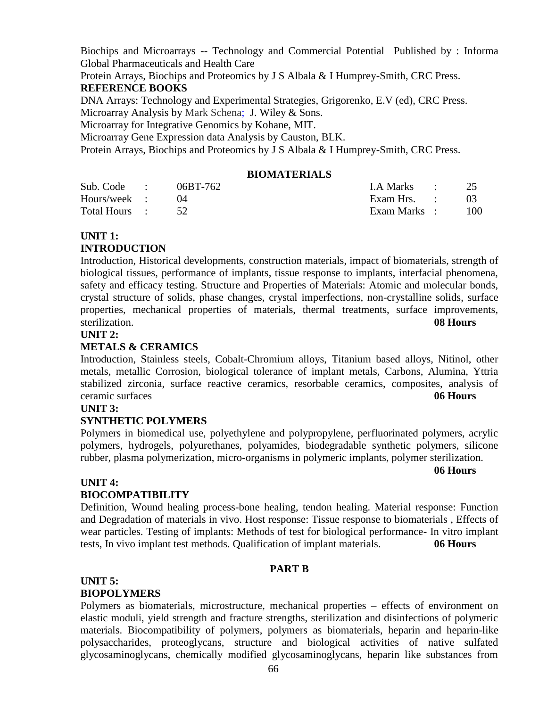Biochips and Microarrays -- Technology and Commercial Potential Published by : Informa Global Pharmaceuticals and Health Care

Protein Arrays, Biochips and Proteomics by J S Albala & I Humprey-Smith, CRC Press. **REFERENCE BOOKS**

DNA Arrays: Technology and Experimental Strategies, Grigorenko, E.V (ed), CRC Press. Microarray Analysis by Mark Schena; J. Wiley & Sons.

Microarray for Integrative Genomics by Kohane, MIT.

Microarray Gene Expression data Analysis by Causton, BLK.

Protein Arrays, Biochips and Proteomics by J S Albala & I Humprey-Smith, CRC Press.

### **BIOMATERIALS**

| Sub. Code :   | 06BT-762 | I.A Marks : 25  |     |
|---------------|----------|-----------------|-----|
| Hours/week :  |          | Exam Hrs. :     |     |
| Total Hours : |          | Exam Marks    : | 100 |

### **UNIT 1:**

### **INTRODUCTION**

Introduction, Historical developments, construction materials, impact of biomaterials, strength of biological tissues, performance of implants, tissue response to implants, interfacial phenomena, safety and efficacy testing. Structure and Properties of Materials: Atomic and molecular bonds, crystal structure of solids, phase changes, crystal imperfections, non-crystalline solids, surface properties, mechanical properties of materials, thermal treatments, surface improvements, sterilization. **08 Hours**

### **UNIT 2:**

### **METALS & CERAMICS**

Introduction, Stainless steels, Cobalt-Chromium alloys, Titanium based alloys, Nitinol, other metals, metallic Corrosion, biological tolerance of implant metals, Carbons, Alumina, Yttria stabilized zirconia, surface reactive ceramics, resorbable ceramics, composites, analysis of ceramic surfaces **06 Hours**

#### **UNIT 3:**

#### **SYNTHETIC POLYMERS**

Polymers in biomedical use, polyethylene and polypropylene, perfluorinated polymers, acrylic polymers, hydrogels, polyurethanes, polyamides, biodegradable synthetic polymers, silicone rubber, plasma polymerization, micro-organisms in polymeric implants, polymer sterilization.

#### **06 Hours**

### **UNIT 4:**

### **BIOCOMPATIBILITY**

Definition, Wound healing process-bone healing, tendon healing. Material response: Function and Degradation of materials in vivo. Host response: Tissue response to biomaterials , Effects of wear particles. Testing of implants: Methods of test for biological performance- In vitro implant tests, In vivo implant test methods. Qualification of implant materials. **06 Hours**

#### **PART B**

#### **UNIT 5: BIOPOLYMERS**

Polymers as biomaterials, microstructure, mechanical properties – effects of environment on elastic moduli, yield strength and fracture strengths, sterilization and disinfections of polymeric materials. Biocompatibility of polymers, polymers as biomaterials, heparin and heparin-like polysaccharides, proteoglycans, structure and biological activities of native sulfated glycosaminoglycans, chemically modified glycosaminoglycans, heparin like substances from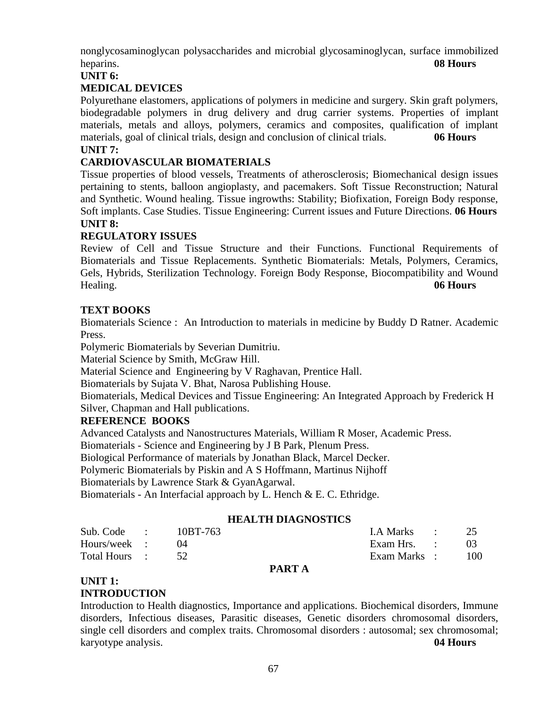nonglycosaminoglycan polysaccharides and microbial glycosaminoglycan, surface immobilized heparins. **08 Hours**

### **UNIT 6:**

### **MEDICAL DEVICES**

Polyurethane elastomers, applications of polymers in medicine and surgery. Skin graft polymers, biodegradable polymers in drug delivery and drug carrier systems. Properties of implant materials, metals and alloys, polymers, ceramics and composites, qualification of implant materials, goal of clinical trials, design and conclusion of clinical trials. **06 Hours UNIT 7:**

### **CARDIOVASCULAR BIOMATERIALS**

Tissue properties of blood vessels, Treatments of atherosclerosis; Biomechanical design issues pertaining to stents, balloon angioplasty, and pacemakers. Soft Tissue Reconstruction; Natural and Synthetic. Wound healing. Tissue ingrowths: Stability; Biofixation, Foreign Body response, Soft implants. Case Studies. Tissue Engineering: Current issues and Future Directions. **06 Hours UNIT 8:**

### **REGULATORY ISSUES**

Review of Cell and Tissue Structure and their Functions. Functional Requirements of Biomaterials and Tissue Replacements. Synthetic Biomaterials: Metals, Polymers, Ceramics, Gels, Hybrids, Sterilization Technology. Foreign Body Response, Biocompatibility and Wound Healing. **06 Hours**

### **TEXT BOOKS**

Biomaterials Science : An Introduction to materials in medicine by Buddy D Ratner. Academic Press.

Polymeric Biomaterials by Severian Dumitriu.

Material Science by Smith, McGraw Hill.

Material Science and Engineering by V Raghavan, Prentice Hall.

Biomaterials by Sujata V. Bhat, Narosa Publishing House.

Biomaterials, Medical Devices and Tissue Engineering: An Integrated Approach by Frederick H Silver, Chapman and Hall publications.

#### **REFERENCE BOOKS**

Advanced Catalysts and Nanostructures Materials, William R Moser, Academic Press.

Biomaterials - Science and Engineering by J B Park, Plenum Press.

Biological Performance of materials by Jonathan Black, Marcel Decker.

Polymeric Biomaterials by Piskin and A S Hoffmann, Martinus Nijhoff

Biomaterials by Lawrence Stark & GyanAgarwal.

Biomaterials - An Interfacial approach by L. Hench & E. C. Ethridge.

#### **HEALTH DIAGNOSTICS**

| Sub. Code :   | 10BT-763 | I.A Marks :  | 25     |
|---------------|----------|--------------|--------|
| Hours/week :  |          | Exam Hrs. :  |        |
| Total Hours : |          | Exam Marks : | $-100$ |
|               |          |              |        |

#### **PART A**

#### **UNIT 1: INTRODUCTION**

Introduction to Health diagnostics, Importance and applications. Biochemical disorders, Immune disorders, Infectious diseases, Parasitic diseases, Genetic disorders chromosomal disorders, single cell disorders and complex traits. Chromosomal disorders : autosomal; sex chromosomal; karyotype analysis. **04 Hours**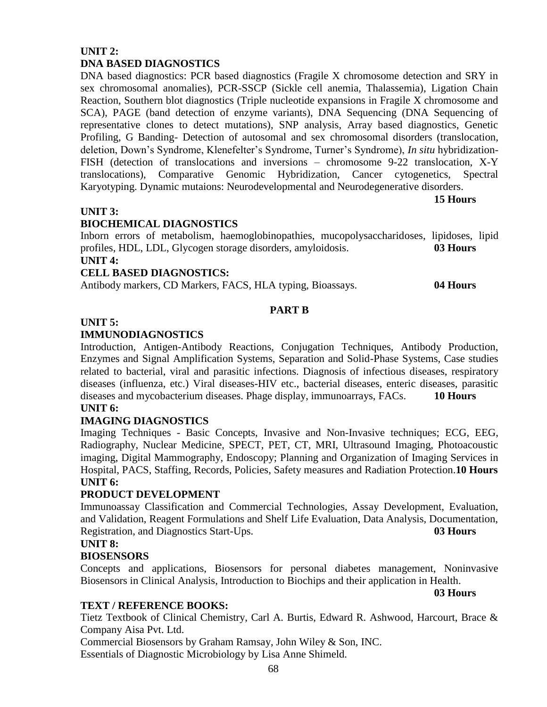### **UNIT 2: DNA BASED DIAGNOSTICS**

DNA based diagnostics: PCR based diagnostics (Fragile X chromosome detection and SRY in sex chromosomal anomalies), PCR-SSCP (Sickle cell anemia, Thalassemia), Ligation Chain Reaction, Southern blot diagnostics (Triple nucleotide expansions in Fragile X chromosome and SCA), PAGE (band detection of enzyme variants), DNA Sequencing (DNA Sequencing of representative clones to detect mutations), SNP analysis, Array based diagnostics, Genetic Profiling, G Banding- Detection of autosomal and sex chromosomal disorders (translocation, deletion, Down's Syndrome, Klenefelter's Syndrome, Turner's Syndrome), *In situ* hybridization-FISH (detection of translocations and inversions – chromosome 9-22 translocation, X-Y translocations), Comparative Genomic Hybridization, Cancer cytogenetics, Spectral Karyotyping. Dynamic mutaions: Neurodevelopmental and Neurodegenerative disorders.

#### **15 Hours**

#### **UNIT 3:**

### **BIOCHEMICAL DIAGNOSTICS**

Inborn errors of metabolism, haemoglobinopathies, mucopolysaccharidoses, lipidoses, lipid profiles, HDL, LDL, Glycogen storage disorders, amyloidosis. **03 Hours UNIT 4:**

### **CELL BASED DIAGNOSTICS:**

Antibody markers, CD Markers, FACS, HLA typing, Bioassays. **04 Hours**

### **PART B**

### **UNIT 5:**

### **IMMUNODIAGNOSTICS**

Introduction, Antigen-Antibody Reactions, Conjugation Techniques, Antibody Production, Enzymes and Signal Amplification Systems, Separation and Solid-Phase Systems, Case studies related to bacterial, viral and parasitic infections. Diagnosis of infectious diseases, respiratory diseases (influenza, etc.) Viral diseases-HIV etc., bacterial diseases, enteric diseases, parasitic diseases and mycobacterium diseases. Phage display, immunoarrays, FACs. **10 Hours UNIT 6:**

### **IMAGING DIAGNOSTICS**

Imaging Techniques - Basic Concepts, Invasive and Non-Invasive techniques; ECG, EEG, Radiography, Nuclear Medicine, SPECT, PET, CT, MRI, Ultrasound Imaging, Photoacoustic imaging, [Digital Mammography, Endoscopy; P](http://en.wikipedia.org/wiki/Digital_Mammography_and_PACS)lanning and Organization of Imaging Services in Hospital, PACS, Staffing, Records, Policies, Safety measures and Radiation Protection.**10 Hours UNIT 6:**

### **PRODUCT DEVELOPMENT**

Immunoassay Classification and Commercial Technologies, Assay Development, Evaluation, and Validation, Reagent Formulations and Shelf Life Evaluation, Data Analysis, Documentation, Registration, and Diagnostics Start-Ups. **03 Hours**

#### **UNIT 8:**

### **BIOSENSORS**

Concepts and applications, Biosensors for personal diabetes management, Noninvasive Biosensors in Clinical Analysis, Introduction to Biochips and their application in Health.

#### **03 Hours**

#### **TEXT / REFERENCE BOOKS:**

Tietz Textbook of Clinical Chemistry, Carl A. Burtis, Edward R. Ashwood, Harcourt, Brace & Company Aisa Pvt. Ltd.

Commercial Biosensors by Graham Ramsay, John Wiley & Son, INC.

Essentials of Diagnostic Microbiology by Lisa Anne Shimeld.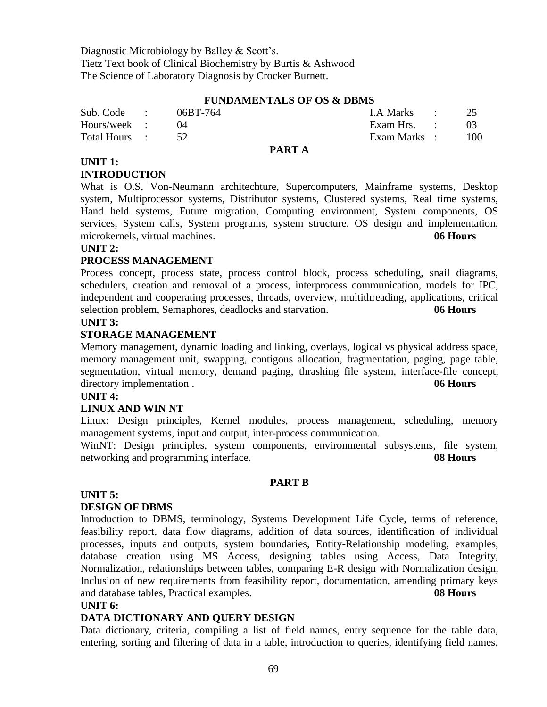Diagnostic Microbiology by Balley & Scott's. Tietz Text book of Clinical Biochemistry by Burtis & Ashwood The Science of Laboratory Diagnosis by Crocker Burnett.

#### **FUNDAMENTALS OF OS & DBMS**

| Sub. Code :   | 06BT-764 | LA Marks :           |     |
|---------------|----------|----------------------|-----|
| Hours/week :  |          | Exam Hrs. $\qquad$ : |     |
| Total Hours : |          | Exam Marks :         | 100 |
|               |          |                      |     |

#### **PART A**

#### **UNIT 1: INTRODUCTION**

What is O.S, Von-Neumann architechture, Supercomputers, Mainframe systems, Desktop system, Multiprocessor systems, Distributor systems, Clustered systems, Real time systems, Hand held systems, Future migration, Computing environment, System components, OS services, System calls, System programs, system structure, OS design and implementation, microkernels, virtual machines. **06 Hours**

#### **UNIT 2:**

### **PROCESS MANAGEMENT**

Process concept, process state, process control block, process scheduling, snail diagrams, schedulers, creation and removal of a process, interprocess communication, models for IPC, independent and cooperating processes, threads, overview, multithreading, applications, critical selection problem, Semaphores, deadlocks and starvation. **06 Hours**

#### **UNIT 3:**

### **STORAGE MANAGEMENT**

Memory management, dynamic loading and linking, overlays, logical vs physical address space, memory management unit, swapping, contigous allocation, fragmentation, paging, page table, segmentation, virtual memory, demand paging, thrashing file system, interface-file concept, directory implementation . **06 Hours** 

#### **UNIT 4:**

### **LINUX AND WIN NT**

Linux: Design principles, Kernel modules, process management, scheduling, memory management systems, input and output, inter-process communication.

WinNT: Design principles, system components, environmental subsystems, file system, networking and programming interface. **08 Hours**

#### **PART B**

#### **UNIT 5:**

#### **DESIGN OF DBMS**

Introduction to DBMS, terminology, Systems Development Life Cycle, terms of reference, feasibility report, data flow diagrams, addition of data sources, identification of individual processes, inputs and outputs, system boundaries, Entity-Relationship modeling, examples, database creation using MS Access, designing tables using Access, Data Integrity, Normalization, relationships between tables, comparing E-R design with Normalization design, Inclusion of new requirements from feasibility report, documentation, amending primary keys and database tables, Practical examples. **08 Hours**

#### **UNIT 6:**

#### **DATA DICTIONARY AND QUERY DESIGN**

Data dictionary, criteria, compiling a list of field names, entry sequence for the table data, entering, sorting and filtering of data in a table, introduction to queries, identifying field names,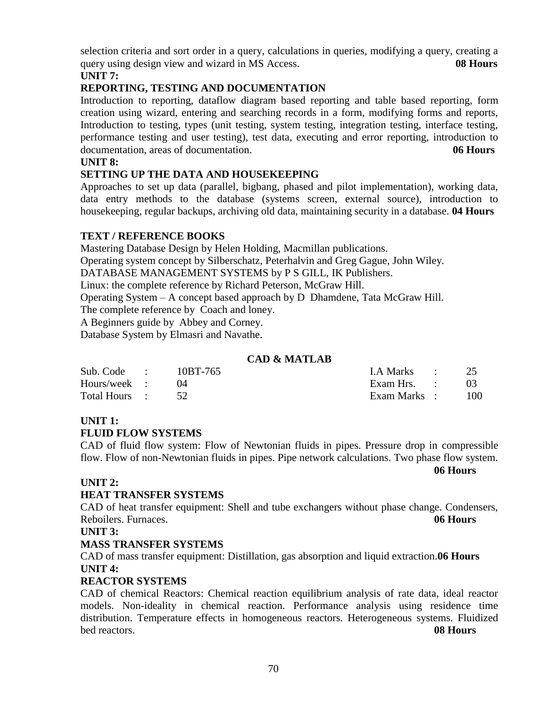selection criteria and sort order in a query, calculations in queries, modifying a query, creating a query using design view and wizard in MS Access. **08 Hours**

### **UNIT 7:**

### **REPORTING, TESTING AND DOCUMENTATION**

Introduction to reporting, dataflow diagram based reporting and table based reporting, form creation using wizard, entering and searching records in a form, modifying forms and reports, Introduction to testing, types (unit testing, system testing, integration testing, interface testing, performance testing and user testing), test data, executing and error reporting, introduction to documentation, areas of documentation. **06 Hours**

### **UNIT 8:**

### **SETTING UP THE DATA AND HOUSEKEEPING**

Approaches to set up data (parallel, bigbang, phased and pilot implementation), working data, data entry methods to the database (systems screen, external source), introduction to housekeeping, regular backups, archiving old data, maintaining security in a database. **04 Hours**

### **TEXT / REFERENCE BOOKS**

Mastering Database Design by Helen Holding, Macmillan publications. Operating system concept by Silberschatz, Peterhalvin and Greg Gague, John Wiley. DATABASE MANAGEMENT SYSTEMS by P S GILL, IK Publishers. Linux: the complete reference by Richard Peterson, McGraw Hill. Operating System – A concept based approach by D Dhamdene, Tata McGraw Hill. The complete reference by Coach and loney. A Beginners guide by Abbey and Corney. Database System by Elmasri and Navathe.

### **CAD & MATLAB**

| Sub. Code : $10BT-765$ |  | I.A Marks : 25 |       |
|------------------------|--|----------------|-------|
| Hours/week :           |  | Exam Hrs. :    |       |
| Total Hours : 52       |  | Exam Marks :   | - 100 |

### **UNIT 1:**

### **FLUID FLOW SYSTEMS**

CAD of fluid flow system: Flow of Newtonian fluids in pipes. Pressure drop in compressible flow. Flow of non-Newtonian fluids in pipes. Pipe network calculations. Two phase flow system.

**06 Hours**

### **UNIT 2:**

### **HEAT TRANSFER SYSTEMS**

CAD of heat transfer equipment: Shell and tube exchangers without phase change. Condensers, Reboilers. Furnaces. **06 Hours**

**UNIT 3:**

### **MASS TRANSFER SYSTEMS**

CAD of mass transfer equipment: Distillation, gas absorption and liquid extraction.**06 Hours UNIT 4:**

### **REACTOR SYSTEMS**

CAD of chemical Reactors: Chemical reaction equilibrium analysis of rate data, ideal reactor models. Non-ideality in chemical reaction. Performance analysis using residence time distribution. Temperature effects in homogeneous reactors. Heterogeneous systems. Fluidized bed reactors. **08 Hours**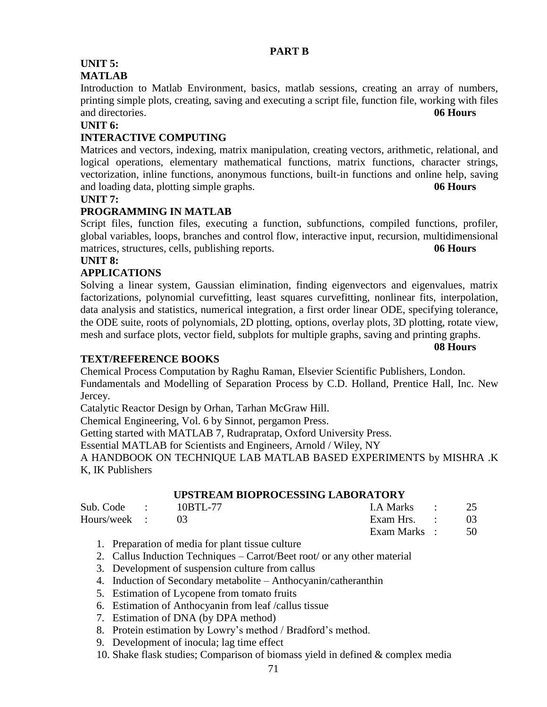## **UNIT 5:**

### **MATLAB**

Introduction to Matlab Environment, basics, matlab sessions, creating an array of numbers, printing simple plots, creating, saving and executing a script file, function file, working with files and directories. **06 Hours**

### **UNIT 6:**

### **INTERACTIVE COMPUTING**

Matrices and vectors, indexing, matrix manipulation, creating vectors, arithmetic, relational, and logical operations, elementary mathematical functions, matrix functions, character strings, vectorization, inline functions, anonymous functions, built-in functions and online help, saving and loading data, plotting simple graphs. **06 Hours**

#### **UNIT 7:**

### **PROGRAMMING IN MATLAB**

Script files, function files, executing a function, subfunctions, compiled functions, profiler, global variables, loops, branches and control flow, interactive input, recursion, multidimensional matrices, structures, cells, publishing reports. **06 Hours**

### **UNIT 8:**

### **APPLICATIONS**

Solving a linear system, Gaussian elimination, finding eigenvectors and eigenvalues, matrix factorizations, polynomial curvefitting, least squares curvefitting, nonlinear fits, interpolation, data analysis and statistics, numerical integration, a first order linear ODE, specifying tolerance, the ODE suite, roots of polynomials, 2D plotting, options, overlay plots, 3D plotting, rotate view, mesh and surface plots, vector field, subplots for multiple graphs, saving and printing graphs.

**08 Hours**

#### **TEXT/REFERENCE BOOKS**

Chemical Process Computation by Raghu Raman, Elsevier Scientific Publishers, London. Fundamentals and Modelling of Separation Process by C.D. Holland, Prentice Hall, Inc. New Jercey.

Catalytic Reactor Design by Orhan, Tarhan McGraw Hill.

Chemical Engineering, Vol. 6 by Sinnot, pergamon Press.

Getting started with MATLAB 7, Rudrapratap, Oxford University Press.

Essential MATLAB for Scientists and Engineers, Arnold / Wiley, NY

A HANDBOOK ON TECHNIQUE LAB MATLAB BASED EXPERIMENTS by MISHRA .K K, IK Publishers

### **UPSTREAM BIOPROCESSING LABORATORY**

| Sub. Code : $10BTL-77$ |  | I.A Marks $\qquad \qquad 25$ |  |
|------------------------|--|------------------------------|--|
| Hours/week : 03        |  | Exam Hrs. $\qquad \qquad$ 03 |  |
|                        |  | Exam Marks : 50              |  |

- 1. Preparation of media for plant tissue culture
- 2. Callus Induction Techniques Carrot/Beet root/ or any other material
- 3. Development of suspension culture from callus
- 4. Induction of Secondary metabolite Anthocyanin/catheranthin
- 5. Estimation of Lycopene from tomato fruits
- 6. Estimation of Anthocyanin from leaf /callus tissue
- 7. Estimation of DNA (by DPA method)
- 8. Protein estimation by Lowry's method / Bradford's method.
- 9. Development of inocula; lag time effect
- 10. Shake flask studies; Comparison of biomass yield in defined & complex media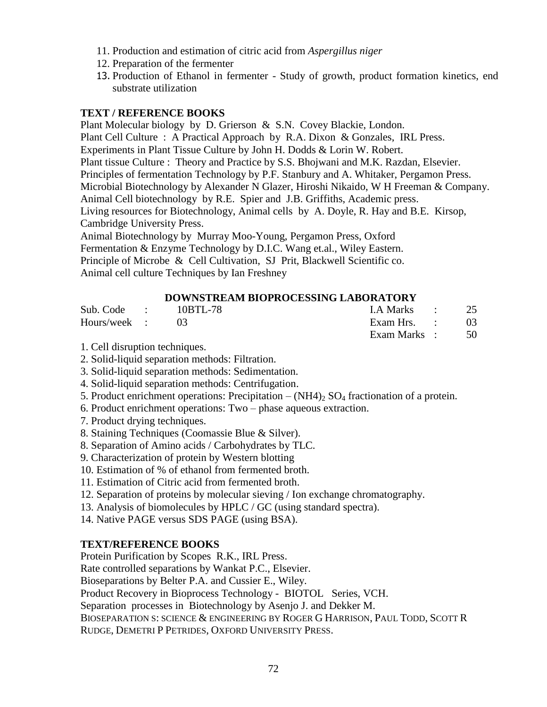- 11. Production and estimation of citric acid from *Aspergillus niger*
- 12. Preparation of the fermenter
- 13. Production of Ethanol in fermenter Study of growth, product formation kinetics, end substrate utilization

### **TEXT / REFERENCE BOOKS**

Plant Molecular biology by D. Grierson & S.N. Covey Blackie, London. Plant Cell Culture : A Practical Approach by R.A. Dixon & Gonzales, IRL Press. Experiments in Plant Tissue Culture by John H. Dodds & Lorin W. Robert. Plant tissue Culture : Theory and Practice by S.S. Bhojwani and M.K. Razdan, Elsevier. Principles of fermentation Technology by P.F. Stanbury and A. Whitaker, Pergamon Press. Microbial Biotechnology by Alexander N Glazer, Hiroshi Nikaido, W H Freeman & Company. Animal Cell biotechnology by R.E. Spier and J.B. Griffiths, Academic press. Living resources for Biotechnology, Animal cells by A. Doyle, R. Hay and B.E. Kirsop, Cambridge University Press. Animal Biotechnology by Murray Moo-Young, Pergamon Press, Oxford

Fermentation & Enzyme Technology by D.I.C. Wang et.al., Wiley Eastern. Principle of Microbe & Cell Cultivation, SJ Prit, Blackwell Scientific co. Animal cell culture Techniques by Ian Freshney

### **DOWNSTREAM BIOPROCESSING LABORATORY**

| Sub. Code : 10BTL-78 |  | I.A Marks $\qquad \qquad 25$ |  |
|----------------------|--|------------------------------|--|
| Hours/week : 03      |  | Exam Hrs. $\qquad \qquad$ 03 |  |
|                      |  | Exam Marks : 50              |  |

1. Cell disruption techniques.

- 2. Solid-liquid separation methods: Filtration.
- 3. Solid-liquid separation methods: Sedimentation.
- 4. Solid-liquid separation methods: Centrifugation.
- 5. Product enrichment operations: Precipitation  $(NH4)_2$  SO<sub>4</sub> fractionation of a protein.
- 6. Product enrichment operations: Two phase aqueous extraction.
- 7. Product drying techniques.
- 8. Staining Techniques (Coomassie Blue & Silver).
- 8. Separation of Amino acids / Carbohydrates by TLC.
- 9. Characterization of protein by Western blotting
- 10. Estimation of % of ethanol from fermented broth.
- 11. Estimation of Citric acid from fermented broth.
- 12. Separation of proteins by molecular sieving / Ion exchange chromatography.
- 13. Analysis of biomolecules by HPLC / GC (using standard spectra).
- 14. Native PAGE versus SDS PAGE (using BSA).

#### **TEXT/REFERENCE BOOKS**

Protein Purification by Scopes R.K., IRL Press.

Rate controlled separations by Wankat P.C., Elsevier.

Bioseparations by Belter P.A. and Cussier E., Wiley.

Product Recovery in Bioprocess Technology - BIOTOL Series, VCH.

Separation processes in Biotechnology by Asenjo J. and Dekker M.

BIOSEPARATION S: SCIENCE & ENGINEERING BY ROGER G HARRISON, PAUL TODD, SCOTT R RUDGE, DEMETRI P PETRIDES, OXFORD UNIVERSITY PRESS.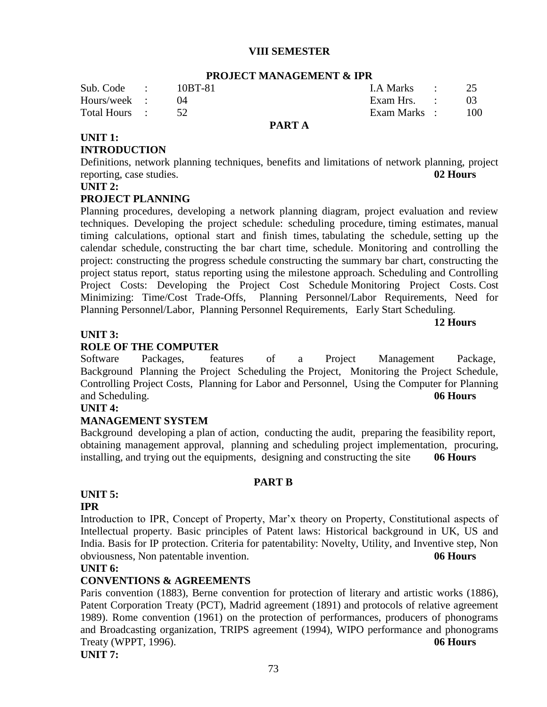#### **VIII SEMESTER**

|               |         | тиолеет минимериетти от н |               |             |
|---------------|---------|---------------------------|---------------|-------------|
| Sub. Code :   | 10BT-81 |                           | LA Marks : 25 |             |
| Hours/week :  |         |                           | Exam Hrs. :   | $^{\prime}$ |
| Total Hours : |         |                           | Exam Marks :  | - 100       |
|               |         | PART A                    |               |             |

## **PROJECT MANAGEMENT & IPR**

## **UNIT 1:**

#### **INTRODUCTION**

Definitions, network planning techniques, benefits and limitations of network planning, project reporting, case studies. **02 Hours**

#### **UNIT 2:**

#### **PROJECT PLANNING**

Planning procedures, developing a network planning diagram, project evaluation and review techniques. Developing the project schedule: scheduling procedure, timing estimates, manual timing calculations, optional start and finish times, tabulating the schedule, setting up the calendar schedule, constructing the bar chart time, schedule. Monitoring and controlling the project: constructing the progress schedule constructing the summary bar chart, constructing the project status report, status reporting using the milestone approach. Scheduling and Controlling Project Costs: Developing the Project Cost Schedule Monitoring Project Costs. Cost Minimizing: Time/Cost Trade-Offs, Planning Personnel/Labor Requirements, Need for Planning Personnel/Labor, Planning Personnel Requirements, Early Start Scheduling.

#### **12 Hours**

#### **UNIT 3:**

#### **ROLE OF THE COMPUTER**

Software Packages, features of a Project Management Package, Background Planning the Project Scheduling the Project, Monitoring the Project Schedule, Controlling Project Costs, Planning for Labor and Personnel, Using the Computer for Planning and Scheduling. **06 Hours**

#### **UNIT 4:**

#### **MANAGEMENT SYSTEM**

Background developing a plan of action, conducting the audit, preparing the feasibility report, obtaining management approval, planning and scheduling project implementation, procuring, installing, and trying out the equipments, designing and constructing the site **06 Hours**

#### **PART B**

#### **UNIT 5: IPR**

Introduction to IPR, Concept of Property, Mar'x theory on Property, Constitutional aspects of Intellectual property. Basic principles of Patent laws: Historical background in UK, US and India. Basis for IP protection. Criteria for patentability: Novelty, Utility, and Inventive step, Non obviousness, Non patentable invention. **06 Hours**

#### **UNIT 6:**

#### **CONVENTIONS & AGREEMENTS**

Paris convention (1883), Berne convention for protection of literary and artistic works (1886), Patent Corporation Treaty (PCT), Madrid agreement (1891) and protocols of relative agreement 1989). Rome convention (1961) on the protection of performances, producers of phonograms and Broadcasting organization, TRIPS agreement (1994), WIPO performance and phonograms Treaty (WPPT, 1996). **06 Hours**

**UNIT 7:**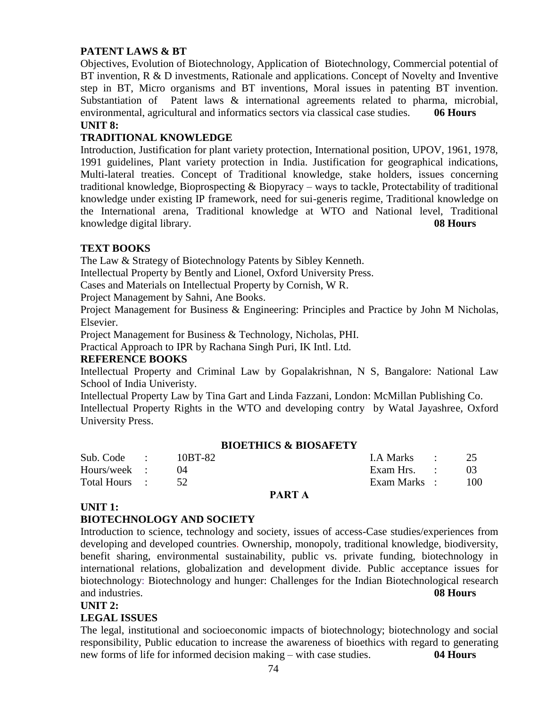## **PATENT LAWS & BT**

Objectives, Evolution of Biotechnology, Application of Biotechnology, Commercial potential of BT invention, R & D investments, Rationale and applications. Concept of Novelty and Inventive step in BT, Micro organisms and BT inventions, Moral issues in patenting BT invention. Substantiation of Patent laws & international agreements related to pharma, microbial, environmental, agricultural and informatics sectors via classical case studies. **06 Hours UNIT 8:**

## **TRADITIONAL KNOWLEDGE**

Introduction, Justification for plant variety protection, International position, UPOV, 1961, 1978, 1991 guidelines, Plant variety protection in India. Justification for geographical indications, Multi-lateral treaties. Concept of Traditional knowledge, stake holders, issues concerning traditional knowledge, Bioprospecting & Biopyracy – ways to tackle, Protectability of traditional knowledge under existing IP framework, need for sui-generis regime, Traditional knowledge on the International arena, Traditional knowledge at WTO and National level, Traditional knowledge digital library. **08 Hours**

## **TEXT BOOKS**

The Law & Strategy of Biotechnology Patents by Sibley Kenneth.

Intellectual Property by Bently and Lionel, Oxford University Press.

Cases and Materials on Intellectual Property by Cornish, W R.

Project Management by Sahni, Ane Books.

Project Management for Business & Engineering: Principles and Practice by John M Nicholas, Elsevier.

Project Management for Business & Technology, Nicholas, PHI.

Practical Approach to IPR by Rachana Singh Puri, IK Intl. Ltd.

#### **REFERENCE BOOKS**

Intellectual Property and Criminal Law by Gopalakrishnan, N S, Bangalore: National Law School of India Univeristy.

Intellectual Property Law by Tina Gart and Linda Fazzani, London: McMillan Publishing Co. Intellectual Property Rights in the WTO and developing contry by Watal Jayashree, Oxford University Press.

#### **BIOETHICS & BIOSAFETY**

| Sub. Code :   | 10BT-82 | I.A Marks : 25 |      |
|---------------|---------|----------------|------|
| Hours/week :  |         | Exam Hrs. :    |      |
| Total Hours : |         | Exam Marks :   | -100 |

#### **PART A**

#### **UNIT 1:**

#### **BIOTECHNOLOGY AND SOCIETY**

Introduction to science, technology and society, issues of access-Case studies/experiences from developing and developed countries. Ownership, monopoly, traditional knowledge, biodiversity, benefit sharing, environmental sustainability, public vs. private funding, biotechnology in international relations, globalization and development divide. Public acceptance issues for biotechnology: Biotechnology and hunger: Challenges for the Indian Biotechnological research and industries. **08 Hours**

#### **UNIT 2:**

#### **LEGAL ISSUES**

The legal, institutional and socioeconomic impacts of biotechnology; biotechnology and social responsibility, Public education to increase the awareness of bioethics with regard to generating new forms of life for informed decision making – with case studies. **04 Hours**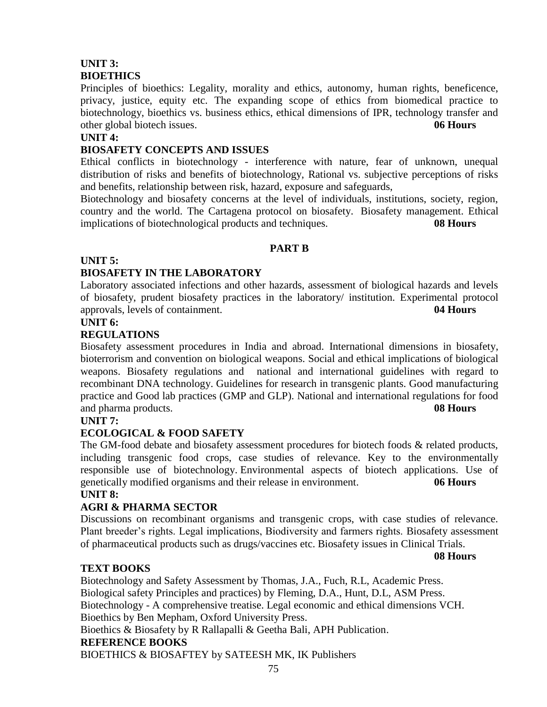## **UNIT 3: BIOETHICS**

Principles of bioethics: Legality, morality and ethics, autonomy, human rights, beneficence, privacy, justice, equity etc. The expanding scope of ethics from biomedical practice to biotechnology, bioethics vs. business ethics, ethical dimensions of IPR, technology transfer and other global biotech issues. **06 Hours**

#### **UNIT 4:**

#### **BIOSAFETY CONCEPTS AND ISSUES**

Ethical conflicts in biotechnology - interference with nature, fear of unknown, unequal distribution of risks and benefits of biotechnology, Rational vs. subjective perceptions of risks and benefits, relationship between risk, hazard, exposure and safeguards,

Biotechnology and biosafety concerns at the level of individuals, institutions, society, region, country and the world. The Cartagena protocol on biosafety. Biosafety management. Ethical implications of biotechnological products and techniques. **08 Hours**

#### **PART B**

#### **UNIT 5:**

## **BIOSAFETY IN THE LABORATORY**

Laboratory associated infections and other hazards, assessment of biological hazards and levels of biosafety, prudent biosafety practices in the laboratory/ institution. Experimental protocol approvals, levels of containment. **04 Hours**

#### **UNIT 6:**

## **REGULATIONS**

Biosafety assessment procedures in India and abroad. International dimensions in biosafety, bioterrorism and convention on biological weapons. Social and ethical implications of biological weapons. Biosafety regulations and national and international guidelines with regard to recombinant DNA technology. Guidelines for research in transgenic plants. Good manufacturing practice and Good lab practices (GMP and GLP). National and international regulations for food and pharma products. **08 Hours**

#### **UNIT 7:**

## **ECOLOGICAL & FOOD SAFETY**

The GM-food debate and biosafety assessment procedures for biotech foods & related products, including transgenic food crops, case studies of relevance. Key to the environmentally responsible use of biotechnology. Environmental aspects of biotech applications. Use of genetically modified organisms and their release in environment. **06 Hours**

## **UNIT 8:**

## **AGRI & PHARMA SECTOR**

Discussions on recombinant organisms and transgenic crops, with case studies of relevance. Plant breeder's rights. Legal implications, Biodiversity and farmers rights. Biosafety assessment of pharmaceutical products such as drugs/vaccines etc. Biosafety issues in Clinical Trials.

**08 Hours**

## **TEXT BOOKS**

Biotechnology and Safety Assessment by Thomas, J.A., Fuch, R.L, Academic Press. Biological safety Principles and practices) by Fleming, D.A., Hunt, D.L, ASM Press. Biotechnology - A comprehensive treatise. Legal economic and ethical dimensions VCH. Bioethics by Ben Mepham, Oxford University Press. Bioethics & Biosafety by R Rallapalli & Geetha Bali, APH Publication. **REFERENCE BOOKS**

BIOETHICS & BIOSAFTEY by SATEESH MK, IK Publishers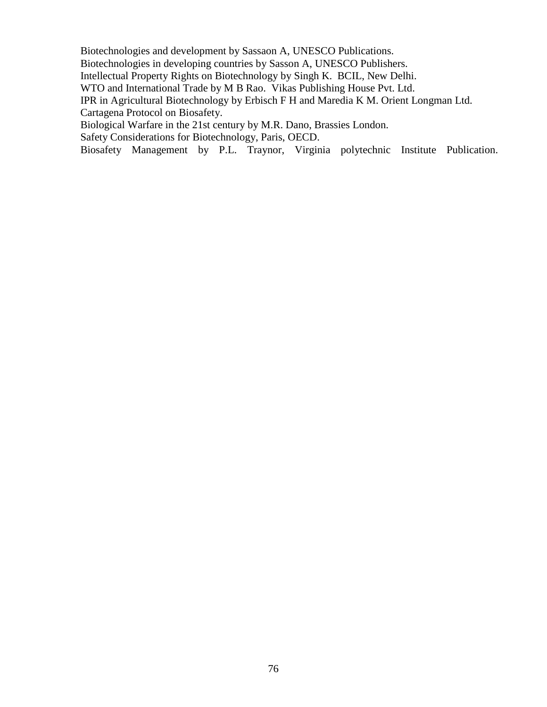Biotechnologies and development by Sassaon A, UNESCO Publications.

Biotechnologies in developing countries by Sasson A, UNESCO Publishers.

Intellectual Property Rights on Biotechnology by Singh K. BCIL, New Delhi.

WTO and International Trade by M B Rao. Vikas Publishing House Pvt. Ltd.

IPR in Agricultural Biotechnology by Erbisch F H and Maredia K M. Orient Longman Ltd.

Cartagena Protocol on Biosafety.

Biological Warfare in the 21st century by M.R. Dano, Brassies London.

Safety Considerations for Biotechnology, Paris, OECD.

Biosafety Management by P.L. Traynor, Virginia polytechnic Institute Publication.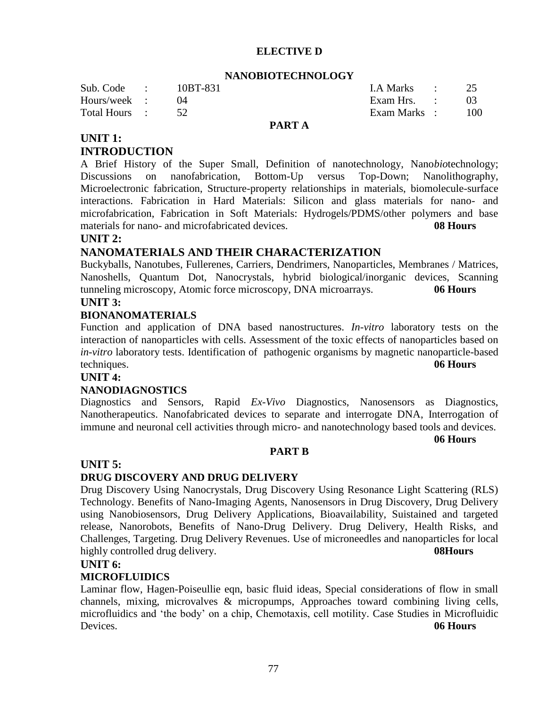#### **ELECTIVE D**

#### **NANOBIOTECHNOLOGY**

| Sub. Code :<br>Hours/week : | 10BT-831 | LA Marks : 25<br>Exam Hrs. : |       |
|-----------------------------|----------|------------------------------|-------|
| Total Hours :               |          | Exam Marks :                 | - 100 |
|                             |          |                              |       |

#### **PART A**

## **UNIT 1: INTRODUCTION**

A Brief History of the Super Small, Definition of nanotechnology, Nano*bio*technology; Discussions on nanofabrication, Bottom-Up versus Top-Down; Nanolithography, Microelectronic fabrication, Structure-property relationships in materials, biomolecule-surface interactions. Fabrication in Hard Materials: Silicon and glass materials for nano- and microfabrication, Fabrication in Soft Materials: Hydrogels/PDMS/other polymers and base materials for nano- and microfabricated devices. **08 Hours**

#### **UNIT 2:**

## **NANOMATERIALS AND THEIR CHARACTERIZATION**

Buckyballs, Nanotubes, Fullerenes, Carriers, Dendrimers, Nanoparticles, Membranes / Matrices, Nanoshells, Quantum Dot, Nanocrystals, hybrid biological/inorganic devices, Scanning tunneling microscopy, Atomic force microscopy, DNA microarrays. **06 Hours**

#### **UNIT 3:**

#### **BIONANOMATERIALS**

Function and application of DNA based nanostructures. *In-vitro* laboratory tests on the interaction of nanoparticles with cells. Assessment of the toxic effects of nanoparticles based on *in-vitro* laboratory tests. Identification of pathogenic organisms by magnetic nanoparticle-based techniques. **06 Hours**

#### **UNIT 4:**

#### **NANODIAGNOSTICS**

Diagnostics and Sensors, Rapid *Ex-Vivo* Diagnostics, Nanosensors as Diagnostics, Nanotherapeutics. Nanofabricated devices to separate and interrogate DNA, Interrogation of immune and neuronal cell activities through micro- and nanotechnology based tools and devices.

**06 Hours**

#### **PART B**

#### **UNIT 5:**

## **DRUG DISCOVERY AND DRUG DELIVERY**

Drug Discovery Using Nanocrystals, Drug Discovery Using Resonance Light Scattering (RLS) Technology. Benefits of Nano-Imaging Agents, Nanosensors in Drug Discovery, Drug Delivery using Nanobiosensors, Drug Delivery Applications, Bioavailability, Suistained and targeted release, Nanorobots, Benefits of Nano-Drug Delivery. Drug Delivery, Health Risks, and Challenges, Targeting. Drug Delivery Revenues. Use of microneedles and nanoparticles for local highly controlled drug delivery. **08Hours 08Hours** 

#### **UNIT 6:**

#### **MICROFLUIDICS**

Laminar flow, Hagen-Poiseullie eqn, basic fluid ideas, Special considerations of flow in small channels, mixing, microvalves & micropumps, Approaches toward combining living cells, microfluidics and 'the body' on a chip, Chemotaxis, cell motility. Case Studies in Microfluidic Devices. **06 Hours**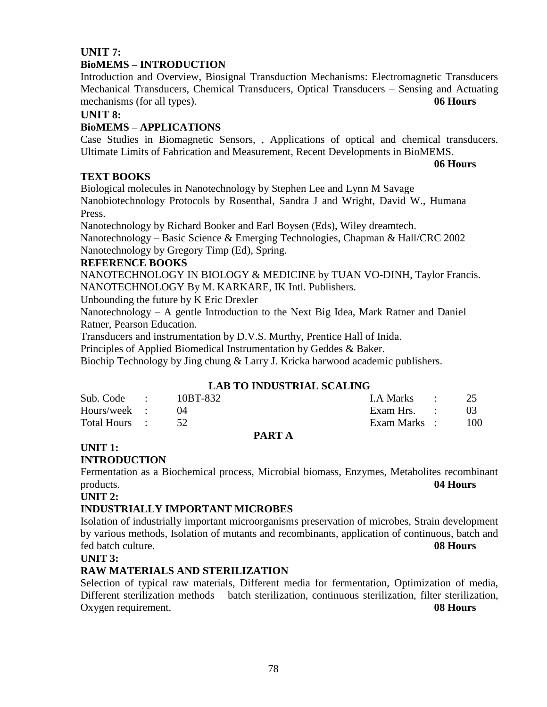## **UNIT 7:**

#### **BioMEMS – INTRODUCTION**

Introduction and Overview, Biosignal Transduction Mechanisms: Electromagnetic Transducers Mechanical Transducers, Chemical Transducers, Optical Transducers – Sensing and Actuating mechanisms (for all types). **06 Hours**

#### **UNIT 8:**

#### **BioMEMS – APPLICATIONS**

Case Studies in Biomagnetic Sensors, , Applications of optical and chemical transducers. Ultimate Limits of Fabrication and Measurement, Recent Developments in BioMEMS.

**06 Hours**

## **TEXT BOOKS**

Biological molecules in Nanotechnology by Stephen Lee and Lynn M Savage Nanobiotechnology Protocols by Rosenthal, Sandra J and Wright, David W., Humana Press.

Nanotechnology by Richard Booker and Earl Boysen (Eds), Wiley dreamtech.

Nanotechnology – Basic Science & Emerging Technologies, Chapman & Hall/CRC 2002 Nanotechnology by Gregory Timp (Ed), Spring.

#### **REFERENCE BOOKS**

NANOTECHNOLOGY IN BIOLOGY & MEDICINE by TUAN VO-DINH, Taylor Francis. NANOTECHNOLOGY By M. KARKARE, IK Intl. Publishers.

Unbounding the future by K Eric Drexler

Nanotechnology – A gentle Introduction to the Next Big Idea, Mark Ratner and Daniel Ratner, Pearson Education.

Transducers and instrumentation by D.V.S. Murthy, Prentice Hall of Inida.

Principles of Applied Biomedical Instrumentation by Geddes & Baker.

Biochip Technology by Jing chung & Larry J. Kricka harwood academic publishers.

## **LAB TO INDUSTRIAL SCALING**

| Total Hours : 52 |          | Exam Marks : | -100 |
|------------------|----------|--------------|------|
| Hours/week :     |          | Exam Hrs. :  |      |
| Sub. Code :      | 10BT-832 | LA Marks :   | 25   |

#### **PART A**

# **UNIT 1:**

#### **INTRODUCTION**

Fermentation as a Biochemical process, Microbial biomass, Enzymes, Metabolites recombinant products. **04 Hours**

**UNIT 2:**

#### **INDUSTRIALLY IMPORTANT MICROBES**

Isolation of industrially important microorganisms preservation of microbes, Strain development by various methods, Isolation of mutants and recombinants, application of continuous, batch and fed batch culture. **08 Hours**

**UNIT 3:**

## **RAW MATERIALS AND STERILIZATION**

Selection of typical raw materials, Different media for fermentation, Optimization of media, Different sterilization methods – batch sterilization, continuous sterilization, filter sterilization, Oxygen requirement. **08 Hours**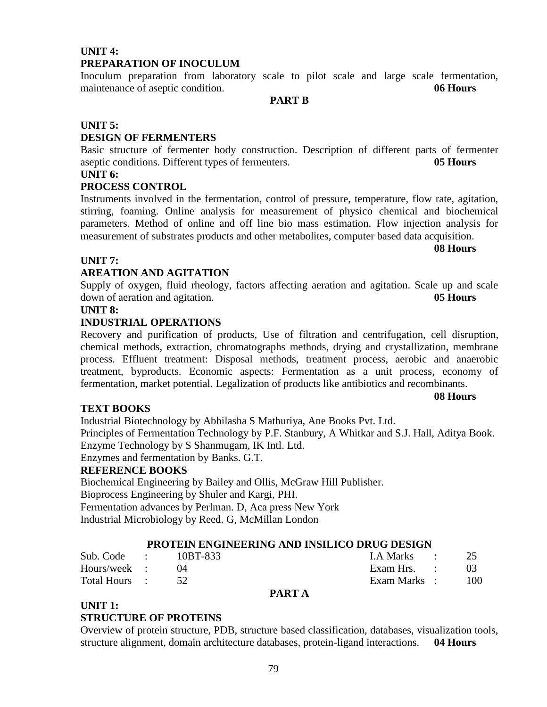## **UNIT 4: PREPARATION OF INOCULUM**

Inoculum preparation from laboratory scale to pilot scale and large scale fermentation, maintenance of aseptic condition. **06 Hours**

**PART B**

#### **UNIT 5:**

## **DESIGN OF FERMENTERS**

Basic structure of fermenter body construction. Description of different parts of fermenter aseptic conditions. Different types of fermenters. **05 Hours**

## **UNIT 6:**

#### **PROCESS CONTROL**

Instruments involved in the fermentation, control of pressure, temperature, flow rate, agitation, stirring, foaming. Online analysis for measurement of physico chemical and biochemical parameters. Method of online and off line bio mass estimation. Flow injection analysis for measurement of substrates products and other metabolites, computer based data acquisition.

#### **UNIT 7:**

#### **AREATION AND AGITATION**

Supply of oxygen, fluid rheology, factors affecting aeration and agitation. Scale up and scale down of aeration and agitation. **05 Hours**

#### **UNIT 8:**

#### **INDUSTRIAL OPERATIONS**

Recovery and purification of products, Use of filtration and centrifugation, cell disruption, chemical methods, extraction, chromatographs methods, drying and crystallization, membrane process. Effluent treatment: Disposal methods, treatment process, aerobic and anaerobic treatment, byproducts. Economic aspects: Fermentation as a unit process, economy of fermentation, market potential. Legalization of products like antibiotics and recombinants.

## **TEXT BOOKS**

Industrial Biotechnology by Abhilasha S Mathuriya, Ane Books Pvt. Ltd.

Principles of Fermentation Technology by P.F. Stanbury, A Whitkar and S.J. Hall, Aditya Book. Enzyme Technology by S Shanmugam, IK Intl. Ltd.

Enzymes and fermentation by Banks. G.T.

#### **REFERENCE BOOKS**

Biochemical Engineering by Bailey and Ollis, McGraw Hill Publisher. Bioprocess Engineering by Shuler and Kargi, PHI. Fermentation advances by Perlman. D, Aca press New York Industrial Microbiology by Reed. G, McMillan London

#### **PROTEIN ENGINEERING AND INSILICO DRUG DESIGN**

| Sub. Code :   | 10BT-833 |               | I.A Marks :  |     |
|---------------|----------|---------------|--------------|-----|
| Hours/week :  |          |               | Exam Hrs. :  |     |
| Total Hours : |          |               | Exam Marks : | 100 |
|               |          | <b>PART A</b> |              |     |

#### **UNIT 1:**

#### **STRUCTURE OF PROTEINS**

Overview of protein structure, PDB, structure based classification, databases, visualization tools, structure alignment, domain architecture databases, protein-ligand interactions. **04 Hours**

# **08 Hours**

#### **08 Hours**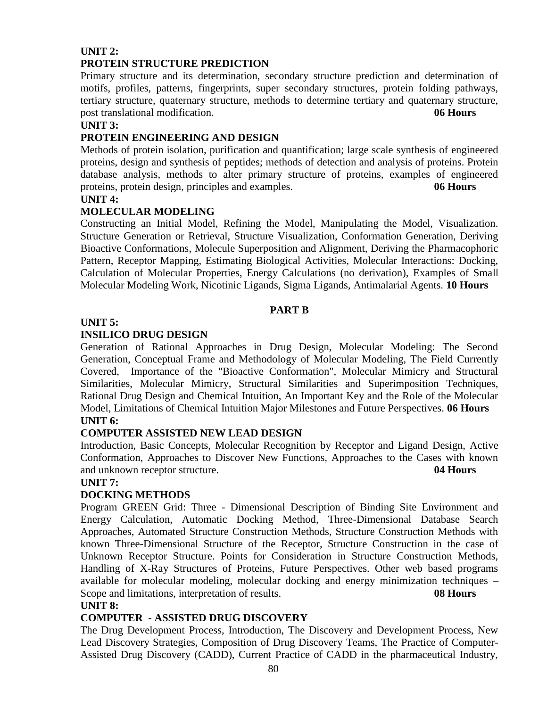#### **UNIT 2: PROTEIN STRUCTURE PREDICTION**

Primary structure and its determination, secondary structure prediction and determination of motifs, profiles, patterns, fingerprints, super secondary structures, protein folding pathways, tertiary structure, quaternary structure, methods to determine tertiary and quaternary structure, post translational modification. **06 Hours**

#### **UNIT 3:**

## **PROTEIN ENGINEERING AND DESIGN**

Methods of protein isolation, purification and quantification; large scale synthesis of engineered proteins, design and synthesis of peptides; methods of detection and analysis of proteins. Protein database analysis, methods to alter primary structure of proteins, examples of engineered proteins, protein design, principles and examples. **06 Hours**

#### **UNIT 4:**

## **MOLECULAR MODELING**

Constructing an Initial Model, Refining the Model, Manipulating the Model, Visualization. Structure Generation or Retrieval, Structure Visualization, Conformation Generation, Deriving Bioactive Conformations, Molecule Superposition and Alignment, Deriving the Pharmacophoric Pattern, Receptor Mapping, Estimating Biological Activities, Molecular Interactions: Docking, Calculation of Molecular Properties, Energy Calculations (no derivation), Examples of Small Molecular Modeling Work, Nicotinic Ligands, Sigma Ligands, Antimalarial Agents. **10 Hours**

## **PART B**

## **UNIT 5:**

## **INSILICO DRUG DESIGN**

Generation of Rational Approaches in Drug Design, Molecular Modeling: The Second Generation, Conceptual Frame and Methodology of Molecular Modeling, The Field Currently Covered, Importance of the "Bioactive Conformation", Molecular Mimicry and Structural Similarities, Molecular Mimicry, Structural Similarities and Superimposition Techniques, Rational Drug Design and Chemical Intuition, An Important Key and the Role of the Molecular Model, Limitations of Chemical Intuition Major Milestones and Future Perspectives. **06 Hours**

#### **UNIT 6:**

## **COMPUTER ASSISTED NEW LEAD DESIGN**

Introduction, Basic Concepts, Molecular Recognition by Receptor and Ligand Design, Active Conformation, Approaches to Discover New Functions, Approaches to the Cases with known and unknown receptor structure. **04 Hours**

## **UNIT 7:**

## **DOCKING METHODS**

Program GREEN Grid: Three - Dimensional Description of Binding Site Environment and Energy Calculation, Automatic Docking Method, Three-Dimensional Database Search Approaches, Automated Structure Construction Methods, Structure Construction Methods with known Three-Dimensional Structure of the Receptor, Structure Construction in the case of Unknown Receptor Structure. Points for Consideration in Structure Construction Methods, Handling of X-Ray Structures of Proteins, Future Perspectives. Other web based programs available for molecular modeling, molecular docking and energy minimization techniques – Scope and limitations, interpretation of results. **08 Hours**

## **UNIT 8:**

## **COMPUTER - ASSISTED DRUG DISCOVERY**

The Drug Development Process, Introduction, The Discovery and Development Process, New Lead Discovery Strategies, Composition of Drug Discovery Teams, The Practice of Computer-Assisted Drug Discovery (CADD), Current Practice of CADD in the pharmaceutical Industry,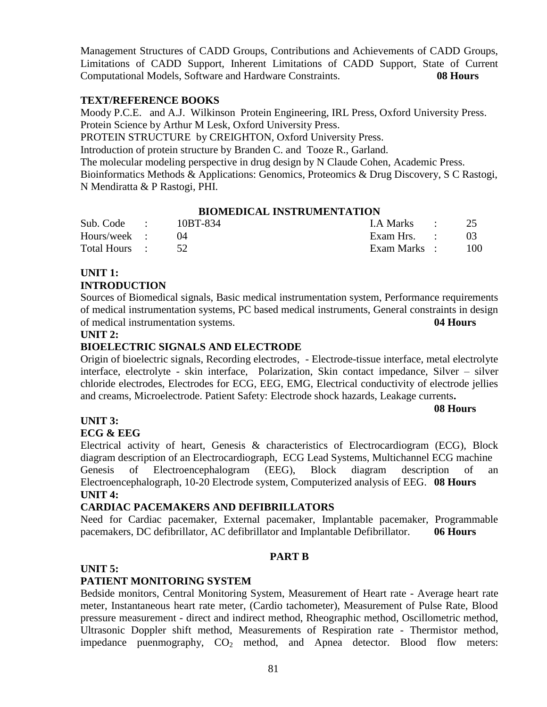Management Structures of CADD Groups, Contributions and Achievements of CADD Groups, Limitations of CADD Support, Inherent Limitations of CADD Support, State of Current Computational Models, Software and Hardware Constraints. **08 Hours**

#### **TEXT/REFERENCE BOOKS**

Moody P.C.E. and A.J. Wilkinson Protein Engineering, IRL Press, Oxford University Press. Protein Science by Arthur M Lesk, Oxford University Press.

PROTEIN STRUCTURE by CREIGHTON, Oxford University Press.

Introduction of protein structure by Branden C. and Tooze R., Garland.

The molecular modeling perspective in drug design by N Claude Cohen, Academic Press.

Bioinformatics Methods & Applications: Genomics, Proteomics & Drug Discovery, S C Rastogi, N Mendiratta & P Rastogi, PHI.

#### **BIOMEDICAL INSTRUMENTATION**

| Sub. Code :   | 10BT-834 | LA Marks :   |     |
|---------------|----------|--------------|-----|
| Hours/week :  |          | Exam Hrs. :  |     |
| Total Hours : |          | Exam Marks : | 100 |

#### **UNIT 1: INTRODUCTION**

Sources of Biomedical signals, Basic medical instrumentation system, Performance requirements of medical instrumentation systems, PC based medical instruments, General constraints in design of medical instrumentation systems. **04 Hours**

#### **UNIT 2:**

## **BIOELECTRIC SIGNALS AND ELECTRODE**

Origin of bioelectric signals, Recording electrodes, - Electrode-tissue interface, metal electrolyte interface, electrolyte - skin interface, Polarization, Skin contact impedance, Silver – silver chloride electrodes, Electrodes for ECG, EEG, EMG, Electrical conductivity of electrode jellies and creams, Microelectrode. Patient Safety: Electrode shock hazards, Leakage currents**.** 

#### **08 Hours**

#### **UNIT 3:**

#### **ECG & EEG**

Electrical activity of heart, Genesis & characteristics of Electrocardiogram (ECG), Block diagram description of an Electrocardiograph, ECG Lead Systems, Multichannel ECG machine Genesis of Electroencephalogram (EEG), Block diagram description of an Electroencephalograph, 10-20 Electrode system, Computerized analysis of EEG. **08 Hours UNIT 4:**

#### **CARDIAC PACEMAKERS AND DEFIBRILLATORS**

Need for Cardiac pacemaker, External pacemaker, Implantable pacemaker, Programmable pacemakers, DC defibrillator, AC defibrillator and Implantable Defibrillator. **06 Hours**

#### **PART B**

#### **UNIT 5:**

#### **PATIENT MONITORING SYSTEM**

Bedside monitors, Central Monitoring System, Measurement of Heart rate - Average heart rate meter, Instantaneous heart rate meter, (Cardio tachometer), Measurement of Pulse Rate, Blood pressure measurement - direct and indirect method, Rheographic method, Oscillometric method, Ultrasonic Doppler shift method, Measurements of Respiration rate - Thermistor method, impedance puenmography,  $CO<sub>2</sub>$  method, and Apnea detector. Blood flow meters: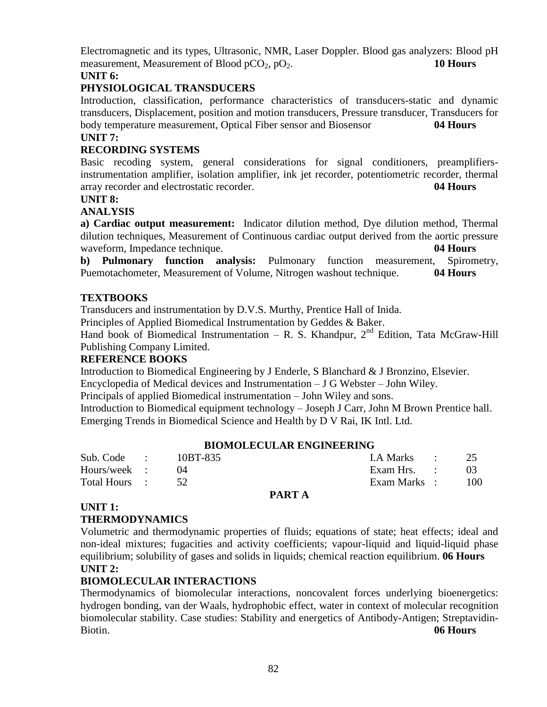Electromagnetic and its types, Ultrasonic, NMR, Laser Doppler. Blood gas analyzers: Blood pH measurement, Measurement of Blood pCO<sub>2</sub>, pO<sub>2</sub>. **10 Hours** 

## **UNIT 6:**

## **PHYSIOLOGICAL TRANSDUCERS**

Introduction, classification, performance characteristics of transducers-static and dynamic transducers, Displacement, position and motion transducers, Pressure transducer, Transducers for body temperature measurement, Optical Fiber sensor and Biosensor **04 Hours**

## **UNIT 7:**

## **RECORDING SYSTEMS**

Basic recoding system, general considerations for signal conditioners, preamplifiersinstrumentation amplifier, isolation amplifier, ink jet recorder, potentiometric recorder, thermal array recorder and electrostatic recorder. **04 Hours**

#### **UNIT 8:**

## **ANALYSIS**

**a) Cardiac output measurement:** Indicator dilution method, Dye dilution method, Thermal dilution techniques, Measurement of Continuous cardiac output derived from the aortic pressure waveform, Impedance technique. **04 Hours**

**b) Pulmonary function analysis:** Pulmonary function measurement, Spirometry, Puemotachometer, Measurement of Volume, Nitrogen washout technique. **04 Hours**

#### **TEXTBOOKS**

Transducers and instrumentation by D.V.S. Murthy, Prentice Hall of Inida.

Principles of Applied Biomedical Instrumentation by Geddes & Baker.

Hand book of Biomedical Instrumentation – R. S. Khandpur,  $2<sup>nd</sup>$  Edition, Tata McGraw-Hill Publishing Company Limited.

#### **REFERENCE BOOKS**

Introduction to Biomedical Engineering by J Enderle, S Blanchard & J Bronzino, Elsevier.

Encyclopedia of Medical devices and Instrumentation – J G Webster – John Wiley.

Principals of applied Biomedical instrumentation – John Wiley and sons.

Introduction to Biomedical equipment technology – Joseph J Carr, John M Brown Prentice hall. Emerging Trends in Biomedical Science and Health by D V Rai, IK Intl. Ltd.

#### **BIOMOLECULAR ENGINEERING**

| Sub. Code :   | 10BT-835 | $1. A Marks$ : 25 |     |
|---------------|----------|-------------------|-----|
| Hours/week :  |          | Exam Hrs. :       | -03 |
| Total Hours : |          | Exam Marks :      | 100 |

#### **PART A**

# **UNIT 1:**

#### **THERMODYNAMICS**

Volumetric and thermodynamic properties of fluids; equations of state; heat effects; ideal and non-ideal mixtures; fugacities and activity coefficients; vapour-liquid and liquid-liquid phase equilibrium; solubility of gases and solids in liquids; chemical reaction equilibrium. **06 Hours UNIT 2:** 

## **BIOMOLECULAR INTERACTIONS**

Thermodynamics of biomolecular interactions, noncovalent forces underlying bioenergetics: hydrogen bonding, van der Waals, hydrophobic effect, water in context of molecular recognition biomolecular stability. Case studies: Stability and energetics of Antibody-Antigen; Streptavidin-Biotin. **06 Hours**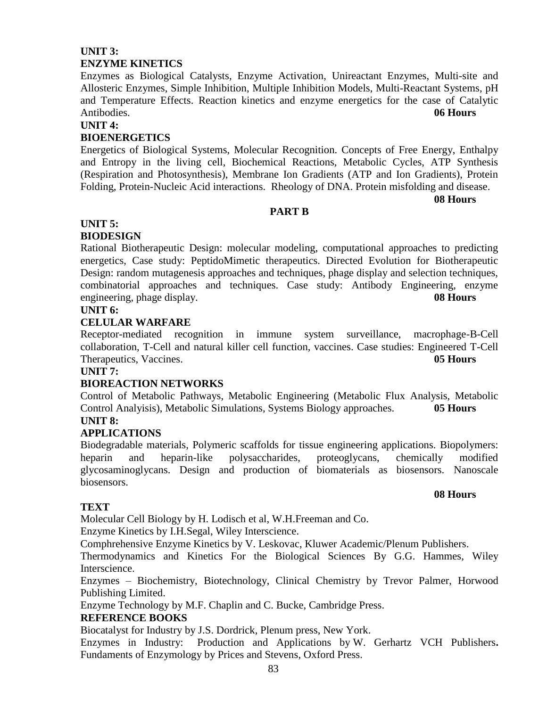## **UNIT 3: ENZYME KINETICS**

Enzymes as Biological Catalysts, Enzyme Activation, Unireactant Enzymes, Multi-site and Allosteric Enzymes, Simple Inhibition, Multiple Inhibition Models, Multi-Reactant Systems, pH and Temperature Effects. Reaction kinetics and enzyme energetics for the case of Catalytic Antibodies. **06 Hours**

#### **UNIT 4:**

#### **BIOENERGETICS**

Energetics of Biological Systems, Molecular Recognition. Concepts of Free Energy, Enthalpy and Entropy in the living cell, Biochemical Reactions, Metabolic Cycles, ATP Synthesis (Respiration and Photosynthesis), Membrane Ion Gradients (ATP and Ion Gradients), Protein Folding, Protein-Nucleic Acid interactions. Rheology of DNA. Protein misfolding and disease.

**08 Hours**

#### **PART B**

#### **UNIT 5:**

## **BIODESIGN**

Rational Biotherapeutic Design: molecular modeling, computational approaches to predicting energetics, Case study: PeptidoMimetic therapeutics. Directed Evolution for Biotherapeutic Design: random mutagenesis approaches and techniques, phage display and selection techniques, combinatorial approaches and techniques. Case study: Antibody Engineering, enzyme engineering, phage display. **08 Hours**

## **UNIT 6:**

#### **CELULAR WARFARE**

Receptor-mediated recognition in immune system surveillance, macrophage-B-Cell collaboration, T-Cell and natural killer cell function, vaccines. Case studies: Engineered T-Cell Therapeutics, Vaccines. **05 Hours**

#### **UNIT 7:**

#### **BIOREACTION NETWORKS**

Control of Metabolic Pathways, Metabolic Engineering (Metabolic Flux Analysis, Metabolic Control Analyisis), Metabolic Simulations, Systems Biology approaches. **05 Hours**

# **UNIT 8:**

#### **APPLICATIONS**

Biodegradable materials, Polymeric scaffolds for tissue engineering applications. Biopolymers: heparin and heparin-like polysaccharides, proteoglycans, chemically modified glycosaminoglycans. Design and production of biomaterials as biosensors. Nanoscale biosensors.

#### **08 Hours**

#### **TEXT**

Molecular Cell Biology by H. Lodisch et al, W.H.Freeman and Co.

Enzyme Kinetics by I.H.Segal, Wiley Interscience.

Comphrehensive Enzyme Kinetics by V. Leskovac, Kluwer Academic/Plenum Publishers.

Thermodynamics and Kinetics For the Biological Sciences By G.G. Hammes, Wiley Interscience.

Enzymes – Biochemistry, Biotechnology, Clinical Chemistry by Trevor Palmer, Horwood Publishing Limited.

Enzyme Technology by M.F. Chaplin and C. Bucke, Cambridge Press.

#### **REFERENCE BOOKS**

Biocatalyst for Industry by J.S. Dordrick, Plenum press, New York.

Enzymes in Industry: Production and Applications by W. Gerhartz VCH Publishers**.** Fundaments of Enzymology by Prices and Stevens, Oxford Press.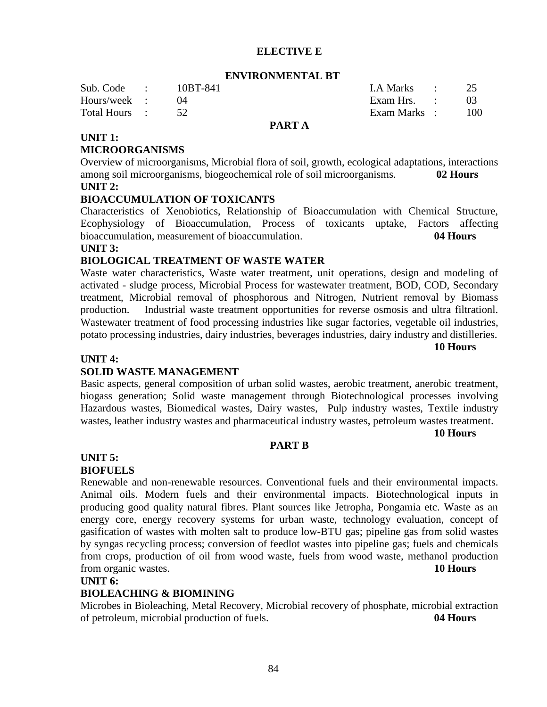#### **ELECTIVE E**

#### **ENVIRONMENTAL BT**

| Sub. Code :   | 10BT-841 |               | LA Marks :   |     |
|---------------|----------|---------------|--------------|-----|
| Hours/week :  |          |               | Exam Hrs. :  |     |
| Total Hours : |          |               | Exam Marks : | 100 |
|               |          | <b>DIDE</b> 1 |              |     |

#### **PART A**

## **UNIT 1:**

#### **MICROORGANISMS**

Overview of microorganisms, Microbial flora of soil, growth, ecological adaptations, interactions among soil microorganisms, biogeochemical role of soil microorganisms. **02 Hours UNIT 2:**

#### **BIOACCUMULATION OF TOXICANTS**

Characteristics of Xenobiotics, Relationship of Bioaccumulation with Chemical Structure, Ecophysiology of Bioaccumulation, Process of toxicants uptake, Factors affecting bioaccumulation, measurement of bioaccumulation. **04 Hours**

#### **UNIT 3:**

#### **BIOLOGICAL TREATMENT OF WASTE WATER**

Waste water characteristics, Waste water treatment, unit operations, design and modeling of activated - sludge process, Microbial Process for wastewater treatment, BOD, COD, Secondary treatment, Microbial removal of phosphorous and Nitrogen, Nutrient removal by Biomass production. Industrial waste treatment opportunities for reverse osmosis and ultra filtrationl. Wastewater treatment of food processing industries like sugar factories, vegetable oil industries, potato processing industries, dairy industries, beverages industries, dairy industry and distilleries.

**10 Hours**

#### **UNIT 4:**

#### **SOLID WASTE MANAGEMENT**

Basic aspects, general composition of urban solid wastes, aerobic treatment, anerobic treatment, biogass generation; Solid waste management through Biotechnological processes involving Hazardous wastes, Biomedical wastes, Dairy wastes, Pulp industry wastes, Textile industry wastes, leather industry wastes and pharmaceutical industry wastes, petroleum wastes treatment.

#### **10 Hours**

#### **PART B**

#### **UNIT 5:**

#### **BIOFUELS**

Renewable and non-renewable resources. Conventional fuels and their environmental impacts. Animal oils. Modern fuels and their environmental impacts. Biotechnological inputs in producing good quality natural fibres. Plant sources like Jetropha, Pongamia etc. Waste as an energy core, energy recovery systems for urban waste, technology evaluation, concept of gasification of wastes with molten salt to produce low-BTU gas; pipeline gas from solid wastes by syngas recycling process; conversion of feedlot wastes into pipeline gas; fuels and chemicals from crops, production of oil from wood waste, fuels from wood waste, methanol production from organic wastes. **10 Hours**

#### **UNIT 6:**

#### **BIOLEACHING & BIOMINING**

Microbes in Bioleaching, Metal Recovery, Microbial recovery of phosphate, microbial extraction of petroleum, microbial production of fuels. **04 Hours**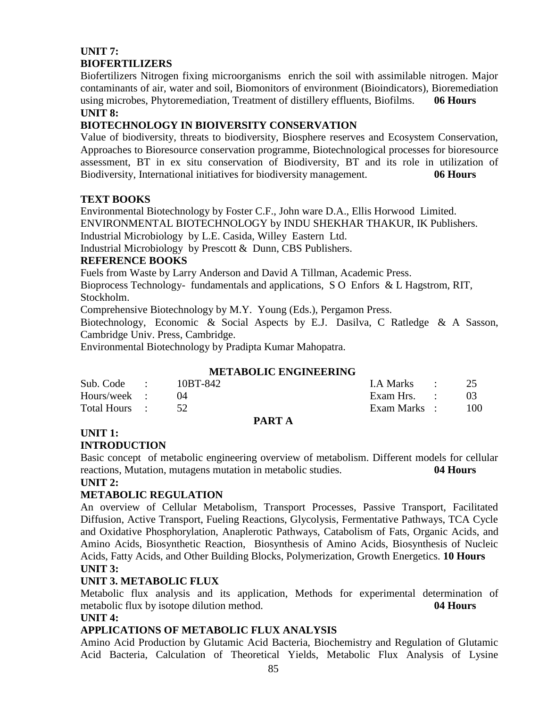# **UNIT 7: BIOFERTILIZERS**

Biofertilizers Nitrogen fixing microorganisms enrich the soil with assimilable nitrogen. Major contaminants of air, water and soil, Biomonitors of environment (Bioindicators), Bioremediation using microbes, Phytoremediation, Treatment of distillery effluents, Biofilms. **06 Hours**

#### **UNIT 8:**

## **BIOTECHNOLOGY IN BIOIVERSITY CONSERVATION**

Value of biodiversity, threats to biodiversity, Biosphere reserves and Ecosystem Conservation, Approaches to Bioresource conservation programme, Biotechnological processes for bioresource assessment, BT in ex situ conservation of Biodiversity, BT and its role in utilization of Biodiversity, International initiatives for biodiversity management. **06 Hours**

## **TEXT BOOKS**

Environmental Biotechnology by Foster C.F., John ware D.A., Ellis Horwood Limited. ENVIRONMENTAL BIOTECHNOLOGY by INDU SHEKHAR THAKUR, IK Publishers. Industrial Microbiology by L.E. Casida, Willey Eastern Ltd. Industrial Microbiology by Prescott & Dunn, CBS Publishers.

# **REFERENCE BOOKS**

Fuels from Waste by Larry Anderson and David A Tillman, Academic Press.

Bioprocess Technology- fundamentals and applications, S O Enfors & L Hagstrom, RIT, Stockholm.

Comprehensive Biotechnology by M.Y. Young (Eds.), Pergamon Press.

Biotechnology, Economic & Social Aspects by E.J. Dasilva, C Ratledge & A Sasson, Cambridge Univ. Press, Cambridge.

Environmental Biotechnology by Pradipta Kumar Mahopatra.

## **METABOLIC ENGINEERING**

| Sub. Code :   | 10BT-842 |              | I.A Marks :  | 25  |
|---------------|----------|--------------|--------------|-----|
| Hours/week :  |          |              | Exam Hrs. :  | -03 |
| Total Hours : |          |              | Exam Marks : | 100 |
|               |          | <b>PARTA</b> |              |     |

## **UNIT 1:**

## **INTRODUCTION**

Basic concept of metabolic engineering overview of metabolism. Different models for cellular reactions, Mutation, mutagens mutation in metabolic studies. **04 Hours**

#### **UNIT 2:**

## **METABOLIC REGULATION**

An overview of Cellular Metabolism, Transport Processes, Passive Transport, Facilitated Diffusion, Active Transport, Fueling Reactions, Glycolysis, Fermentative Pathways, TCA Cycle and Oxidative Phosphorylation, Anaplerotic Pathways, Catabolism of Fats, Organic Acids, and Amino Acids, Biosynthetic Reaction, Biosynthesis of Amino Acids, Biosynthesis of Nucleic Acids, Fatty Acids, and Other Building Blocks, Polymerization, Growth Energetics. **10 Hours UNIT 3:**

## **UNIT 3. METABOLIC FLUX**

Metabolic flux analysis and its application, Methods for experimental determination of metabolic flux by isotope dilution method. **04 Hours**

## **UNIT 4:**

## **APPLICATIONS OF METABOLIC FLUX ANALYSIS**

Amino Acid Production by Glutamic Acid Bacteria, Biochemistry and Regulation of Glutamic Acid Bacteria, Calculation of Theoretical Yields, Metabolic Flux Analysis of Lysine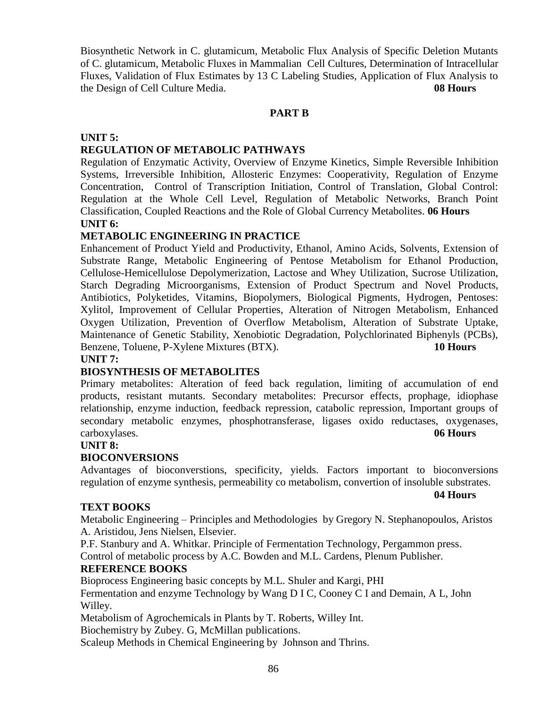Biosynthetic Network in C. glutamicum, Metabolic Flux Analysis of Specific Deletion Mutants of C. glutamicum, Metabolic Fluxes in Mammalian Cell Cultures, Determination of Intracellular Fluxes, Validation of Flux Estimates by 13 C Labeling Studies, Application of Flux Analysis to the Design of Cell Culture Media. **08 Hours**

#### **PART B**

#### **UNIT 5:**

## **REGULATION OF METABOLIC PATHWAYS**

Regulation of Enzymatic Activity, Overview of Enzyme Kinetics, Simple Reversible Inhibition Systems, Irreversible Inhibition, Allosteric Enzymes: Cooperativity, Regulation of Enzyme Concentration, Control of Transcription Initiation, Control of Translation, Global Control: Regulation at the Whole Cell Level, Regulation of Metabolic Networks, Branch Point Classification, Coupled Reactions and the Role of Global Currency Metabolites. **06 Hours UNIT 6:**

#### **METABOLIC ENGINEERING IN PRACTICE**

Enhancement of Product Yield and Productivity, Ethanol, Amino Acids, Solvents, Extension of Substrate Range, Metabolic Engineering of Pentose Metabolism for Ethanol Production, Cellulose-Hemicellulose Depolymerization, Lactose and Whey Utilization, Sucrose Utilization, Starch Degrading Microorganisms, Extension of Product Spectrum and Novel Products, Antibiotics, Polyketides, Vitamins, Biopolymers, Biological Pigments, Hydrogen, Pentoses: Xylitol, Improvement of Cellular Properties, Alteration of Nitrogen Metabolism, Enhanced Oxygen Utilization, Prevention of Overflow Metabolism, Alteration of Substrate Uptake, Maintenance of Genetic Stability, Xenobiotic Degradation, Polychlorinated Biphenyls (PCBs), Benzene, Toluene, P-Xylene Mixtures (BTX). **10 Hours**

#### **UNIT 7:**

#### **BIOSYNTHESIS OF METABOLITES**

Primary metabolites: Alteration of feed back regulation, limiting of accumulation of end products, resistant mutants. Secondary metabolites: Precursor effects, prophage, idiophase relationship, enzyme induction, feedback repression, catabolic repression, Important groups of secondary metabolic enzymes, phosphotransferase, ligases oxido reductases, oxygenases, carboxylases. **06 Hours**

#### **UNIT 8:**

#### **BIOCONVERSIONS**

Advantages of bioconverstions, specificity, yields. Factors important to bioconversions regulation of enzyme synthesis, permeability co metabolism, convertion of insoluble substrates.

**04 Hours**

#### **TEXT BOOKS**

Metabolic Engineering – Principles and Methodologies by Gregory N. Stephanopoulos, Aristos A. Aristidou, Jens Nielsen, Elsevier.

P.F. Stanbury and A. Whitkar. Principle of Fermentation Technology, Pergammon press. Control of metabolic process by A.C. Bowden and M.L. Cardens, Plenum Publisher.

#### **REFERENCE BOOKS**

Bioprocess Engineering basic concepts by M.L. Shuler and Kargi, PHI Fermentation and enzyme Technology by Wang D I C, Cooney C I and Demain, A L, John Willey.

Metabolism of Agrochemicals in Plants by T. Roberts, Willey Int.

Biochemistry by Zubey. G, McMillan publications.

Scaleup Methods in Chemical Engineering by Johnson and Thrins.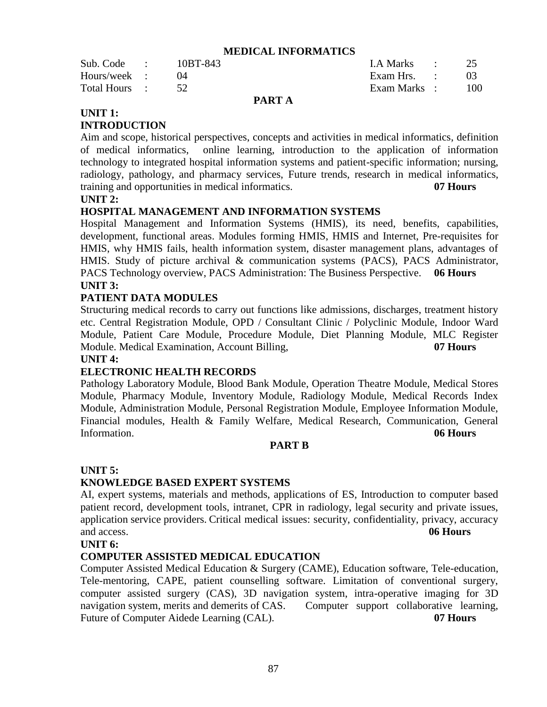#### **MEDICAL INFORMATICS**

| Sub. Code :   | 10BT-843 | LA Marks :   |     |
|---------------|----------|--------------|-----|
| Hours/week :  |          | Exam Hrs. :  |     |
| Total Hours : |          | Exam Marks : | 100 |

#### **PART A**

#### **UNIT 1:**

#### **INTRODUCTION**

Aim and scope, historical perspectives, concepts and activities in medical informatics, definition of medical informatics, online learning, introduction to the application of information technology to integrated hospital information systems and patient-specific information; nursing, radiology, pathology, and pharmacy services, Future trends, research in medical informatics, training and opportunities in medical informatics. **07 Hours**

#### **UNIT 2:**

#### **HOSPITAL MANAGEMENT AND INFORMATION SYSTEMS**

Hospital Management and Information Systems (HMIS), its need, benefits, capabilities, development, functional areas. Modules forming HMIS, HMIS and Internet, Pre-requisites for HMIS, why HMIS fails, health information system, disaster management plans, advantages of HMIS. Study of picture archival & communication systems (PACS), PACS Administrator, PACS Technology overview, PACS Administration: The Business Perspective. **06 Hours UNIT 3:**

#### **PATIENT DATA MODULES**

Structuring medical records to carry out functions like admissions, discharges, treatment history etc. Central Registration Module, OPD / Consultant Clinic / Polyclinic Module, Indoor Ward Module, Patient Care Module, Procedure Module, Diet Planning Module, MLC Register Module. Medical Examination, Account Billing, **07 Hours**

#### **UNIT 4:**

#### **ELECTRONIC HEALTH RECORDS**

Pathology Laboratory Module, Blood Bank Module, Operation Theatre Module, Medical Stores Module, Pharmacy Module, Inventory Module, Radiology Module, Medical Records Index Module, Administration Module, Personal Registration Module, Employee Information Module, Financial modules, Health & Family Welfare, Medical Research, Communication, General Information. **06 Hours**

#### **PART B**

#### **UNIT 5:**

#### **KNOWLEDGE BASED EXPERT SYSTEMS**

AI, expert systems, materials and methods, applications of ES, Introduction to computer based patient record, development tools, intranet, CPR in radiology, legal security and private issues, application service providers. Critical medical issues: security, confidentiality, privacy, accuracy and access. **06 Hours**

#### **UNIT 6:**

#### **COMPUTER ASSISTED MEDICAL EDUCATION**

Computer Assisted Medical Education & Surgery (CAME), Education software, Tele-education, Tele-mentoring, CAPE, patient counselling software. Limitation of conventional surgery, computer assisted surgery (CAS), 3D navigation system, intra-operative imaging for 3D navigation system, merits and demerits of CAS. Computer support collaborative learning, Future of Computer Aidede Learning (CAL). **07 Hours**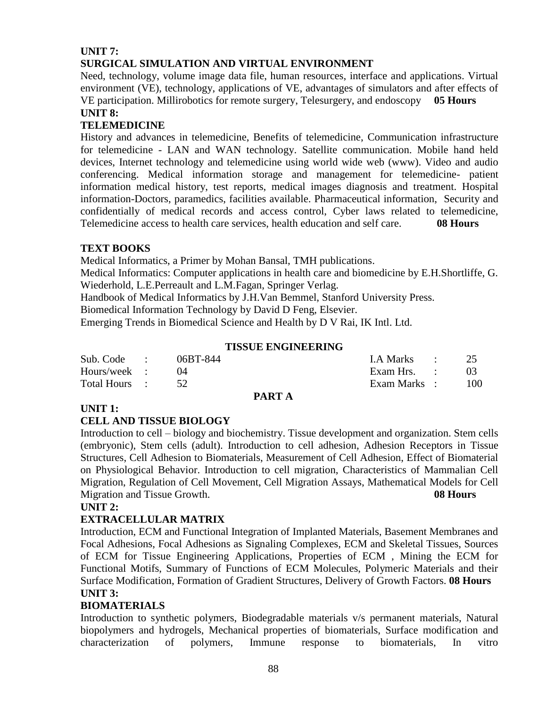## **UNIT 7: SURGICAL SIMULATION AND VIRTUAL ENVIRONMENT**

Need, technology, volume image data file, human resources, interface and applications. Virtual environment (VE), technology, applications of VE, advantages of simulators and after effects of VE participation. Millirobotics for remote surgery, Telesurgery, and endoscopy **05 Hours**

#### **UNIT 8:**

## **TELEMEDICINE**

History and advances in telemedicine, Benefits of telemedicine, Communication infrastructure for telemedicine - LAN and WAN technology. Satellite communication. Mobile hand held devices, Internet technology and telemedicine using world wide web (www). Video and audio conferencing. Medical information storage and management for telemedicine- patient information medical history, test reports, medical images diagnosis and treatment. Hospital information-Doctors, paramedics, facilities available. Pharmaceutical information, Security and confidentially of medical records and access control, Cyber laws related to telemedicine, Telemedicine access to health care services, health education and self care. **08 Hours**

## **TEXT BOOKS**

Medical Informatics, a Primer by Mohan Bansal, TMH publications.

Medical Informatics: Computer applications in health care and biomedicine by E.H.Shortliffe, G. Wiederhold, L.E.Perreault and L.M.Fagan, Springer Verlag.

Handbook of Medical Informatics by J.H.Van Bemmel, Stanford University Press.

Biomedical Information Technology by David D Feng, Elsevier.

Emerging Trends in Biomedical Science and Health by D V Rai, IK Intl. Ltd.

#### **TISSUE ENGINEERING**

| Sub. Code :   | 06BT-844 |               | LA Marks :   | 25  |
|---------------|----------|---------------|--------------|-----|
| Hours/week :  |          |               | Exam Hrs. :  | -03 |
| Total Hours : |          |               | Exam Marks : | 100 |
|               |          | <b>PART A</b> |              |     |

## **UNIT 1:**

## **CELL AND TISSUE BIOLOGY**

Introduction to cell – biology and biochemistry. Tissue development and organization. Stem cells (embryonic), Stem cells (adult). Introduction to cell adhesion, Adhesion Receptors in Tissue Structures, Cell Adhesion to Biomaterials, Measurement of Cell Adhesion, Effect of Biomaterial on Physiological Behavior. Introduction to cell migration, Characteristics of Mammalian Cell Migration, Regulation of Cell Movement, Cell Migration Assays, Mathematical Models for Cell Migration and Tissue Growth. **08 Hours**

#### **UNIT 2:**

## **EXTRACELLULAR MATRIX**

Introduction, ECM and Functional Integration of Implanted Materials, Basement Membranes and Focal Adhesions, Focal Adhesions as Signaling Complexes, ECM and Skeletal Tissues, Sources of ECM for Tissue Engineering Applications, Properties of ECM , Mining the ECM for Functional Motifs, Summary of Functions of ECM Molecules, Polymeric Materials and their Surface Modification, Formation of Gradient Structures, Delivery of Growth Factors. **08 Hours UNIT 3:**

## **BIOMATERIALS**

Introduction to synthetic polymers, Biodegradable materials v/s permanent materials, Natural biopolymers and hydrogels, Mechanical properties of biomaterials, Surface modification and characterization of polymers, Immune response to biomaterials, In vitro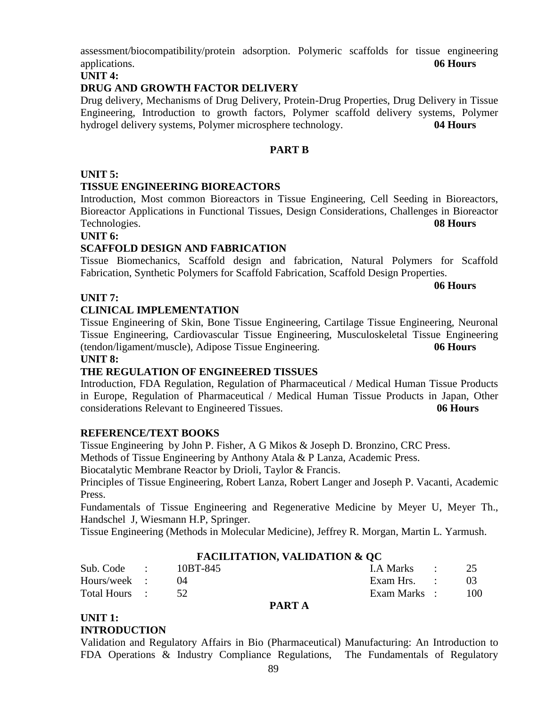assessment/biocompatibility/protein adsorption. Polymeric scaffolds for tissue engineering applications. **06 Hours**

#### **UNIT 4:**

## **DRUG AND GROWTH FACTOR DELIVERY**

Drug delivery, Mechanisms of Drug Delivery, Protein-Drug Properties, Drug Delivery in Tissue Engineering, Introduction to growth factors, Polymer scaffold delivery systems, Polymer hydrogel delivery systems, Polymer microsphere technology. **04 Hours**

## **PART B**

## **UNIT 5:**

## **TISSUE ENGINEERING BIOREACTORS**

Introduction, Most common Bioreactors in Tissue Engineering, Cell Seeding in Bioreactors, Bioreactor Applications in Functional Tissues, Design Considerations, Challenges in Bioreactor Technologies. **08 Hours**

## **UNIT 6:**

## **SCAFFOLD DESIGN AND FABRICATION**

Tissue Biomechanics, Scaffold design and fabrication, Natural Polymers for Scaffold Fabrication, Synthetic Polymers for Scaffold Fabrication, Scaffold Design Properties.

#### **06 Hours**

## **UNIT 7:**

## **CLINICAL IMPLEMENTATION**

Tissue Engineering of Skin, Bone Tissue Engineering, Cartilage Tissue Engineering, Neuronal Tissue Engineering, Cardiovascular Tissue Engineering, Musculoskeletal Tissue Engineering (tendon/ligament/muscle), Adipose Tissue Engineering. **06 Hours**

#### **UNIT 8:**

## **THE REGULATION OF ENGINEERED TISSUES**

Introduction, FDA Regulation, Regulation of Pharmaceutical / Medical Human Tissue Products in Europe, Regulation of Pharmaceutical / Medical Human Tissue Products in Japan, Other considerations Relevant to Engineered Tissues. **06 Hours**

## **REFERENCE/TEXT BOOKS**

Tissue Engineering by John P. Fisher, A G Mikos & Joseph D. Bronzino, CRC Press.

Methods of Tissue Engineering by Anthony Atala & P Lanza, Academic Press.

Biocatalytic Membrane Reactor by Drioli, Taylor & Francis.

Principles of Tissue Engineering, [Robert Lanza,](http://www.amazon.com/s/ref=ntt_athr_dp_sr_1?_encoding=UTF8&sort=relevancerank&search-alias=books&field-author=Robert%20Lanza) [Robert Langer](http://www.amazon.com/s/ref=ntt_athr_dp_sr_2?_encoding=UTF8&sort=relevancerank&search-alias=books&field-author=Robert%20Langer) and [Joseph P. Vacanti,](http://www.amazon.com/s/ref=ntt_athr_dp_sr_3?_encoding=UTF8&sort=relevancerank&search-alias=books&field-author=Joseph%20P.%20Vacanti) Academic Press.

Fundamentals of Tissue Engineering and Regenerative Medicine by Meyer U, Meyer Th., Handschel J, Wiesmann H.P, Springer.

Tissue Engineering (Methods in Molecular Medicine), [Jeffrey R. Morgan,](http://www.amazon.com/s/ref=ntt_athr_dp_sr_1?_encoding=UTF8&sort=relevancerank&search-alias=books&field-author=Jeffrey%20R.%20Morgan) [Martin L. Yarmush.](http://www.amazon.com/s/ref=ntt_athr_dp_sr_2?_encoding=UTF8&sort=relevancerank&search-alias=books&field-author=Martin%20L.%20Yarmush)

## **FACILITATION, VALIDATION & QC**

| Sub. Code :   | 10BT-845 | I.A Marks : 25 |            |
|---------------|----------|----------------|------------|
| Hours/week :  |          | Exam Hrs. :    |            |
| Total Hours : |          | Exam Marks :   | <b>100</b> |

#### **PART A**

#### **UNIT 1: INTRODUCTION**

Validation and Regulatory Affairs in Bio (Pharmaceutical) Manufacturing: An Introduction to FDA Operations & Industry Compliance Regulations, The Fundamentals of Regulatory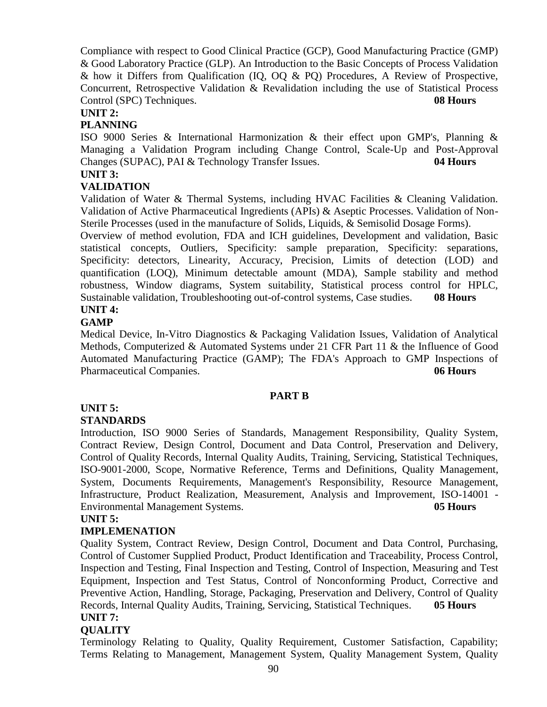Compliance with respect to Good Clinical Practice (GCP), Good Manufacturing Practice (GMP) & Good Laboratory Practice (GLP). An Introduction to the Basic Concepts of Process Validation & how it Differs from Qualification (IQ, OQ & PQ) Procedures, A Review of Prospective, Concurrent, Retrospective Validation & Revalidation including the use of Statistical Process Control (SPC) Techniques. **08 Hours**

#### **UNIT 2:**

## **PLANNING**

ISO 9000 Series & International Harmonization & their effect upon GMP's, Planning & Managing a Validation Program including Change Control, Scale-Up and Post-Approval Changes (SUPAC), PAI & Technology Transfer Issues. **04 Hours**

# **UNIT 3:**

## **VALIDATION**

Validation of Water & Thermal Systems, including HVAC Facilities & Cleaning Validation. Validation of Active Pharmaceutical Ingredients (APIs) & Aseptic Processes. Validation of Non-Sterile Processes (used in the manufacture of Solids, Liquids, & Semisolid Dosage Forms).

Overview of method evolution, FDA and ICH guidelines, Development and validation, Basic statistical concepts, Outliers, Specificity: sample preparation, Specificity: separations, Specificity: detectors, Linearity, Accuracy, Precision, Limits of detection (LOD) and quantification (LOQ), Minimum detectable amount (MDA), Sample stability and method robustness, Window diagrams, System suitability, Statistical process control for HPLC, Sustainable validation, Troubleshooting out-of-control systems, Case studies. **08 Hours UNIT 4:**

## **GAMP**

Medical Device, In-Vitro Diagnostics & Packaging Validation Issues, Validation of Analytical Methods, Computerized & Automated Systems under 21 CFR Part 11 & the Influence of Good Automated Manufacturing Practice (GAMP); The FDA's Approach to GMP Inspections of Pharmaceutical Companies. **06 Hours**

## **PART B**

## **UNIT 5:**

## **STANDARDS**

Introduction, ISO 9000 Series of Standards, Management Responsibility, Quality System, Contract Review, Design Control, Document and Data Control, Preservation and Delivery, Control of Quality Records, Internal Quality Audits, Training, Servicing, Statistical Techniques, ISO-9001-2000, Scope, Normative Reference, Terms and Definitions, Quality Management, System, Documents Requirements, Management's Responsibility, Resource Management, Infrastructure, Product Realization, Measurement, Analysis and Improvement, ISO-14001 - Environmental Management Systems. **05 Hours**

#### **UNIT 5:**

## **IMPLEMENATION**

Quality System, Contract Review, Design Control, Document and Data Control, Purchasing, Control of Customer Supplied Product, Product Identification and Traceability, Process Control, Inspection and Testing, Final Inspection and Testing, Control of Inspection, Measuring and Test Equipment, Inspection and Test Status, Control of Nonconforming Product, Corrective and Preventive Action, Handling, Storage, Packaging, Preservation and Delivery, Control of Quality Records, Internal Quality Audits, Training, Servicing, Statistical Techniques. **05 Hours UNIT 7:**

## **QUALITY**

Terminology Relating to Quality, Quality Requirement, Customer Satisfaction, Capability; Terms Relating to Management, Management System, Quality Management System, Quality